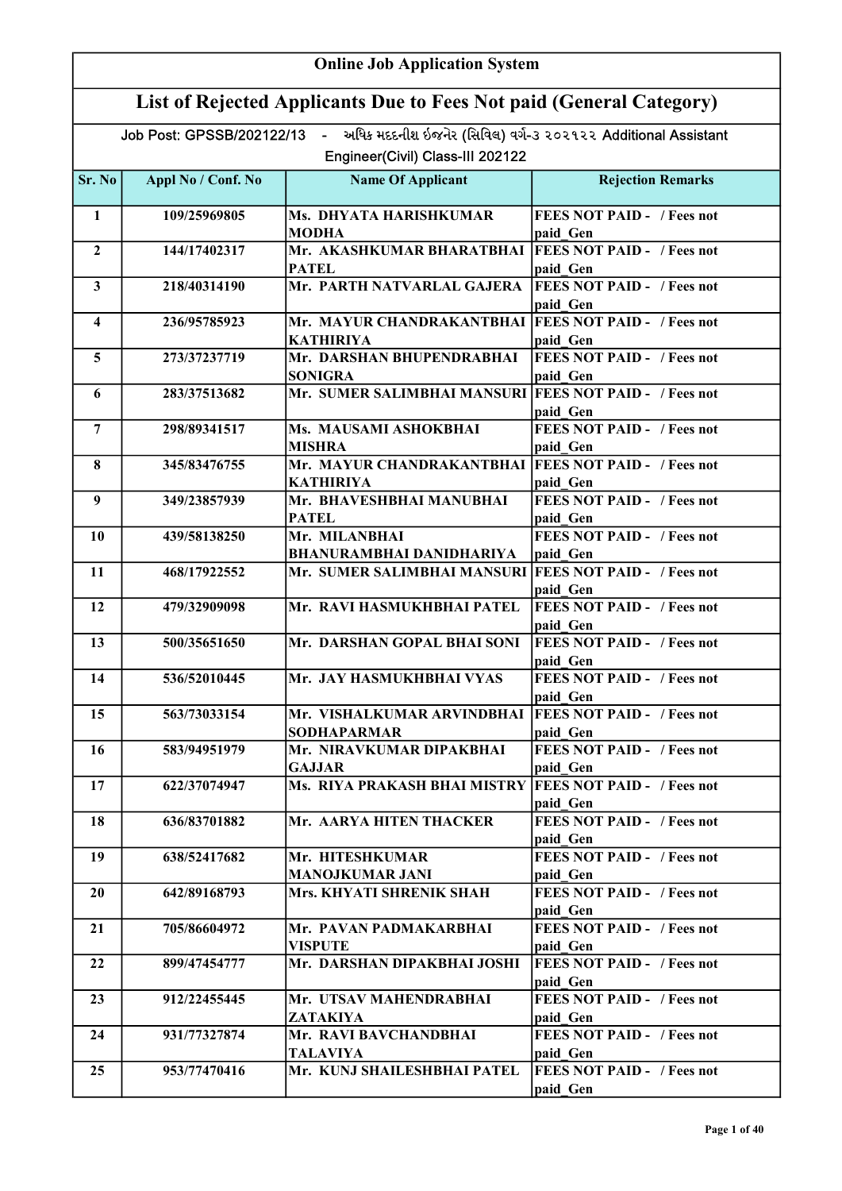| <b>Online Job Application System</b> |                                                                     |                                                                                                                              |                                                           |  |
|--------------------------------------|---------------------------------------------------------------------|------------------------------------------------------------------------------------------------------------------------------|-----------------------------------------------------------|--|
|                                      | List of Rejected Applicants Due to Fees Not paid (General Category) |                                                                                                                              |                                                           |  |
|                                      |                                                                     | Job Post: GPSSB/202122/13 - અધિક મદદનીશ ઇજનેર (સિવિલ) વર્ગ-૩ ૨૦૨૧૨૨ Additional Assistant<br>Engineer(Civil) Class-III 202122 |                                                           |  |
|                                      |                                                                     |                                                                                                                              |                                                           |  |
| Sr. No                               | Appl No / Conf. No                                                  | <b>Name Of Applicant</b>                                                                                                     | <b>Rejection Remarks</b>                                  |  |
| 1                                    | 109/25969805                                                        | Ms. DHYATA HARISHKUMAR<br><b>MODHA</b>                                                                                       | <b>FEES NOT PAID - / Fees not</b><br>paid Gen             |  |
| $\overline{2}$                       | 144/17402317                                                        | Mr. AKASHKUMAR BHARATBHAI   FEES NOT PAID - / Fees not<br>PATEL                                                              | paid Gen                                                  |  |
| $\mathbf{3}$                         | 218/40314190                                                        | Mr. PARTH NATVARLAL GAJERA                                                                                                   | <b>FEES NOT PAID - / Fees not</b><br>paid Gen             |  |
| $\overline{\mathbf{4}}$              | 236/95785923                                                        | Mr. MAYUR CHANDRAKANTBHAI<br><b>KATHIRIYA</b>                                                                                | <b>FEES NOT PAID - / Fees not</b><br>paid Gen             |  |
| $5\overline{)}$                      | 273/37237719                                                        | Mr. DARSHAN BHUPENDRABHAI<br><b>SONIGRA</b>                                                                                  | <b>FEES NOT PAID - / Fees not</b><br>paid Gen             |  |
| 6                                    | 283/37513682                                                        | Mr. SUMER SALIMBHAI MANSURI FEES NOT PAID - / Fees not                                                                       |                                                           |  |
| $\overline{7}$                       | 298/89341517                                                        | Ms. MAUSAMI ASHOKBHAI                                                                                                        | paid Gen<br><b>FEES NOT PAID - / Fees not</b>             |  |
| 8                                    | 345/83476755                                                        | <b>MISHRA</b><br>Mr. MAYUR CHANDRAKANTBHAI   FEES NOT PAID - / Fees not                                                      | paid Gen                                                  |  |
| 9                                    | 349/23857939                                                        | KATHIRIYA<br>Mr. BHAVESHBHAI MANUBHAI                                                                                        | paid Gen<br><b>FEES NOT PAID - / Fees not</b>             |  |
| 10                                   | 439/58138250                                                        | <b>PATEL</b><br>Mr. MILANBHAI                                                                                                | paid_Gen<br><b>FEES NOT PAID - / Fees not</b>             |  |
| 11                                   | 468/17922552                                                        | <b>BHANURAMBHAI DANIDHARIYA</b><br>Mr. SUMER SALIMBHAI MANSURI FEES NOT PAID - / Fees not                                    | paid Gen                                                  |  |
| 12                                   | 479/32909098                                                        | Mr. RAVI HASMUKHBHAI PATEL                                                                                                   | paid Gen<br><b>FEES NOT PAID - / Fees not</b>             |  |
| 13                                   | 500/35651650                                                        | Mr. DARSHAN GOPAL BHAI SONI                                                                                                  | paid Gen<br><b>FEES NOT PAID - / Fees not</b>             |  |
| 14                                   | 536/52010445                                                        | Mr. JAY HASMUKHBHAI VYAS                                                                                                     | paid Gen<br><b>FEES NOT PAID - / Fees not</b>             |  |
|                                      |                                                                     |                                                                                                                              | paid Gen                                                  |  |
| 15                                   | 563/73033154                                                        | Mr. VISHALKUMAR ARVINDBHAI<br>SODHAPARMAR                                                                                    | <b>FEES NOT PAID - / Fees not</b><br>paid Gen             |  |
| 16                                   | 583/94951979                                                        | Mr. NIRAVKUMAR DIPAKBHAI<br><b>GAJJAR</b>                                                                                    | <b>FEES NOT PAID - / Fees not</b><br>paid Gen             |  |
| 17                                   | 622/37074947                                                        | Ms. RIYA PRAKASH BHAI MISTRY FEES NOT PAID - /Fees not                                                                       | paid Gen                                                  |  |
| 18                                   | 636/83701882                                                        | Mr. AARYA HITEN THACKER                                                                                                      | <b>FEES NOT PAID - / Fees not</b><br>paid Gen             |  |
| 19                                   | 638/52417682                                                        | Mr. HITESHKUMAR<br><b>MANOJKUMAR JANI</b>                                                                                    | <b>FEES NOT PAID - / Fees not</b><br>paid Gen             |  |
| 20                                   | 642/89168793                                                        | Mrs. KHYATI SHRENIK SHAH                                                                                                     | <b>FEES NOT PAID - / Fees not</b><br>paid Gen             |  |
| 21                                   | 705/86604972                                                        | Mr. PAVAN PADMAKARBHAI<br><b>VISPUTE</b>                                                                                     | <b>FEES NOT PAID - / Fees not</b><br>paid Gen             |  |
| 22                                   | 899/47454777                                                        | Mr. DARSHAN DIPAKBHAI JOSHI                                                                                                  | <b>FEES NOT PAID - / Fees not</b>                         |  |
| 23                                   | 912/22455445                                                        | Mr. UTSAV MAHENDRABHAI                                                                                                       | paid Gen<br><b>FEES NOT PAID - / Fees not</b>             |  |
| 24                                   | 931/77327874                                                        | ZATAKIYA<br>Mr. RAVI BAVCHANDBHAI                                                                                            | paid Gen<br><b>FEES NOT PAID - / Fees not</b>             |  |
| 25                                   | 953/77470416                                                        | TALAVIYA<br>Mr. KUNJ SHAILESHBHAI PATEL                                                                                      | paid Gen<br><b>FEES NOT PAID - / Fees not</b><br>paid Gen |  |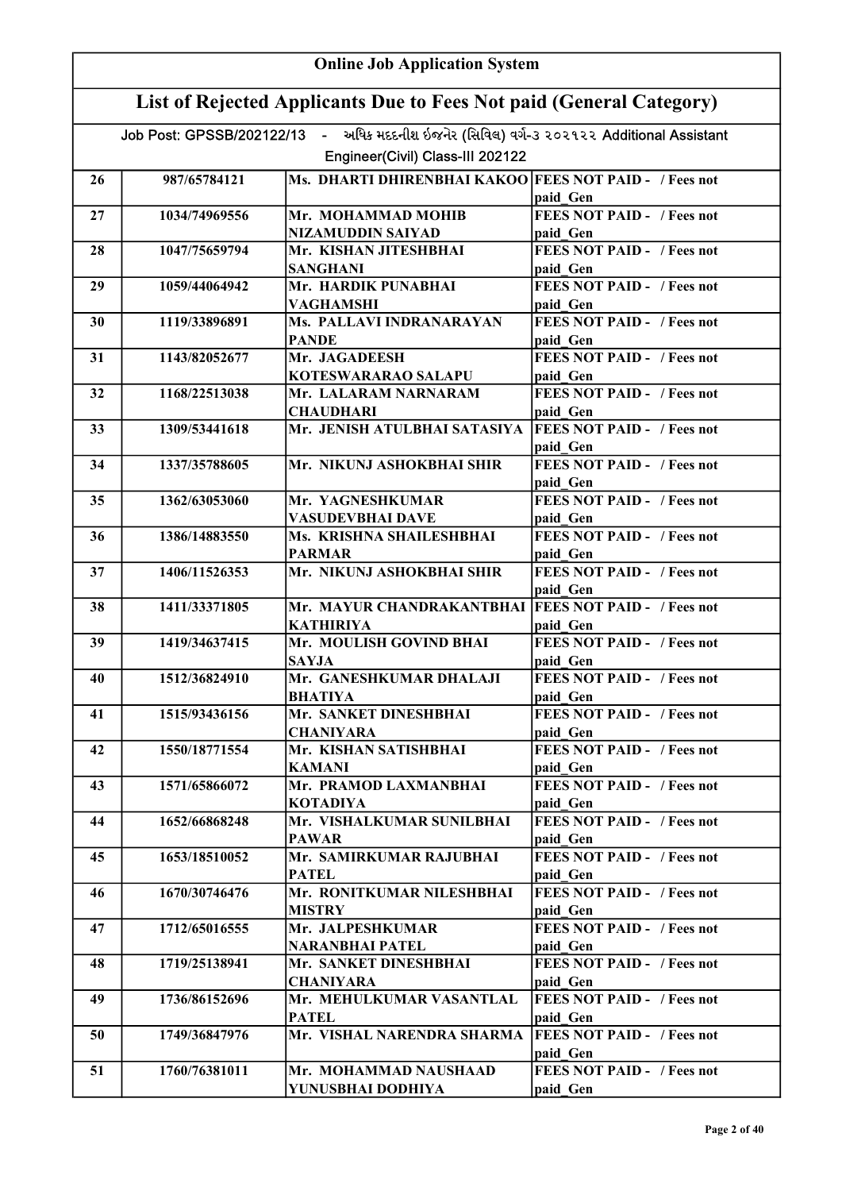|    | <b>Online Job Application System</b>                                |                                                                                          |                                               |  |
|----|---------------------------------------------------------------------|------------------------------------------------------------------------------------------|-----------------------------------------------|--|
|    | List of Rejected Applicants Due to Fees Not paid (General Category) |                                                                                          |                                               |  |
|    |                                                                     | Job Post: GPSSB/202122/13 - અધિક મદદનીશ ઇજનેર (સિવિલ) વર્ગ-૩ ૨૦૨૧૨૨ Additional Assistant |                                               |  |
|    |                                                                     | Engineer(Civil) Class-III 202122                                                         |                                               |  |
| 26 | 987/65784121                                                        | Ms. DHARTI DHIRENBHAI KAKOO FEES NOT PAID - / Fees not                                   |                                               |  |
|    |                                                                     |                                                                                          | paid Gen                                      |  |
| 27 | 1034/74969556                                                       | Mr. MOHAMMAD MOHIB                                                                       | <b>FEES NOT PAID - / Fees not</b>             |  |
|    |                                                                     | NIZAMUDDIN SAIYAD                                                                        | paid Gen                                      |  |
| 28 | 1047/75659794                                                       | Mr. KISHAN JITESHBHAI                                                                    | <b>FEES NOT PAID - / Fees not</b>             |  |
|    |                                                                     | <b>SANGHANI</b>                                                                          | paid Gen                                      |  |
| 29 | 1059/44064942                                                       | Mr. HARDIK PUNABHAI                                                                      | <b>FEES NOT PAID - / Fees not</b>             |  |
|    |                                                                     | <b>VAGHAMSHI</b>                                                                         | paid Gen                                      |  |
| 30 | 1119/33896891                                                       | Ms. PALLAVI INDRANARAYAN<br><b>PANDE</b>                                                 | <b>FEES NOT PAID - / Fees not</b>             |  |
| 31 | 1143/82052677                                                       | Mr. JAGADEESH                                                                            | paid Gen<br><b>FEES NOT PAID - / Fees not</b> |  |
|    |                                                                     | KOTESWARARAO SALAPU                                                                      | paid Gen                                      |  |
| 32 | 1168/22513038                                                       | Mr. LALARAM NARNARAM                                                                     | <b>FEES NOT PAID - / Fees not</b>             |  |
|    |                                                                     | <b>CHAUDHARI</b>                                                                         | paid Gen                                      |  |
| 33 | 1309/53441618                                                       | Mr. JENISH ATULBHAI SATASIYA                                                             | <b>FEES NOT PAID - / Fees not</b>             |  |
|    |                                                                     |                                                                                          | paid Gen                                      |  |
| 34 | 1337/35788605                                                       | Mr. NIKUNJ ASHOKBHAI SHIR                                                                | <b>FEES NOT PAID - / Fees not</b>             |  |
|    |                                                                     |                                                                                          | paid Gen                                      |  |
| 35 | 1362/63053060                                                       | Mr. YAGNESHKUMAR                                                                         | <b>FEES NOT PAID - / Fees not</b>             |  |
|    |                                                                     | VASUDEVBHAI DAVE                                                                         | paid Gen<br><b>FEES NOT PAID - / Fees not</b> |  |
| 36 | 1386/14883550                                                       | Ms. KRISHNA SHAILESHBHAI<br><b>PARMAR</b>                                                | paid Gen                                      |  |
| 37 | 1406/11526353                                                       | Mr. NIKUNJ ASHOKBHAI SHIR                                                                | <b>FEES NOT PAID - / Fees not</b>             |  |
|    |                                                                     |                                                                                          | paid Gen                                      |  |
| 38 | 1411/33371805                                                       | Mr. MAYUR CHANDRAKANTBHAI   FEES NOT PAID - / Fees not                                   |                                               |  |
|    |                                                                     | <b>KATHIRIYA</b>                                                                         | paid Gen                                      |  |
| 39 | 1419/34637415                                                       | Mr. MOULISH GOVIND BHAI                                                                  | FEES NOT PAID - / Fees not                    |  |
|    |                                                                     | <b>SAYJA</b>                                                                             | paid Gen                                      |  |
| 40 | 1512/36824910                                                       | Mr. GANESHKUMAR DHALAJI                                                                  | <b>FEES NOT PAID - / Fees not</b>             |  |
| 41 |                                                                     | <b>BHATIYA</b><br>Mr. SANKET DINESHBHAI                                                  | paid Gen<br><b>FEES NOT PAID - / Fees not</b> |  |
|    | 1515/93436156                                                       | <b>CHANIYARA</b>                                                                         | paid Gen                                      |  |
| 42 | 1550/18771554                                                       | Mr. KISHAN SATISHBHAI                                                                    | <b>FEES NOT PAID - / Fees not</b>             |  |
|    |                                                                     | <b>KAMANI</b>                                                                            | paid Gen                                      |  |
| 43 | 1571/65866072                                                       | Mr. PRAMOD LAXMANBHAI                                                                    | <b>FEES NOT PAID - / Fees not</b>             |  |
|    |                                                                     | <b>KOTADIYA</b>                                                                          | paid Gen                                      |  |
| 44 | 1652/66868248                                                       | Mr. VISHALKUMAR SUNILBHAI                                                                | <b>FEES NOT PAID - / Fees not</b>             |  |
|    |                                                                     | <b>PAWAR</b>                                                                             | paid Gen                                      |  |
| 45 | 1653/18510052                                                       | Mr. SAMIRKUMAR RAJUBHAI                                                                  | <b>FEES NOT PAID - / Fees not</b>             |  |
|    |                                                                     | <b>PATEL</b>                                                                             | paid Gen                                      |  |
| 46 | 1670/30746476                                                       | Mr. RONITKUMAR NILESHBHAI<br><b>MISTRY</b>                                               | <b>FEES NOT PAID -</b> / Fees not<br>paid Gen |  |
| 47 | 1712/65016555                                                       | Mr. JALPESHKUMAR                                                                         | <b>FEES NOT PAID - / Fees not</b>             |  |
|    |                                                                     | <b>NARANBHAI PATEL</b>                                                                   | paid Gen                                      |  |
| 48 | 1719/25138941                                                       | Mr. SANKET DINESHBHAI                                                                    | <b>FEES NOT PAID - / Fees not</b>             |  |
|    |                                                                     | <b>CHANIYARA</b>                                                                         | paid Gen                                      |  |
| 49 | 1736/86152696                                                       | Mr. MEHULKUMAR VASANTLAL                                                                 | <b>FEES NOT PAID - / Fees not</b>             |  |
|    |                                                                     | <b>PATEL</b>                                                                             | paid Gen                                      |  |
| 50 | 1749/36847976                                                       | Mr. VISHAL NARENDRA SHARMA                                                               | <b>FEES NOT PAID - / Fees not</b>             |  |
|    |                                                                     |                                                                                          | paid Gen                                      |  |
| 51 | 1760/76381011                                                       | Mr. MOHAMMAD NAUSHAAD                                                                    | <b>FEES NOT PAID - / Fees not</b>             |  |
|    |                                                                     | YUNUSBHAI DODHIYA                                                                        | paid Gen                                      |  |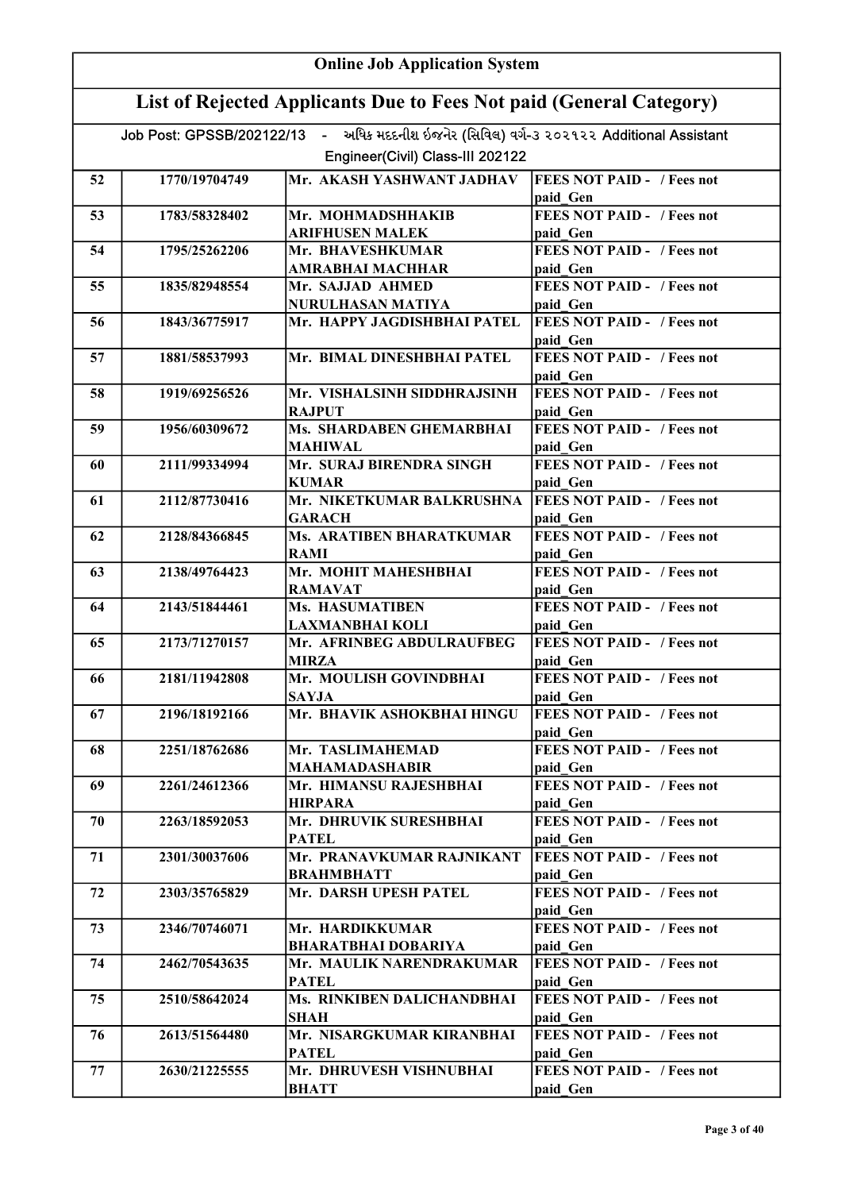|    | <b>Online Job Application System</b>                                |                                                                                          |                                               |  |
|----|---------------------------------------------------------------------|------------------------------------------------------------------------------------------|-----------------------------------------------|--|
|    | List of Rejected Applicants Due to Fees Not paid (General Category) |                                                                                          |                                               |  |
|    |                                                                     | Job Post: GPSSB/202122/13 - અધિક મદદનીશ ઇજનેર (સિવિલ) વર્ગ-3 ૨૦૨૧૨૨ Additional Assistant |                                               |  |
|    |                                                                     | Engineer(Civil) Class-III 202122                                                         |                                               |  |
| 52 | 1770/19704749                                                       | Mr. AKASH YASHWANT JADHAV                                                                | <b>FEES NOT PAID - / Fees not</b>             |  |
|    |                                                                     |                                                                                          | paid Gen                                      |  |
| 53 | 1783/58328402                                                       | Mr. MOHMADSHHAKIB                                                                        | <b>FEES NOT PAID - / Fees not</b>             |  |
|    |                                                                     | <b>ARIFHUSEN MALEK</b>                                                                   | paid Gen                                      |  |
| 54 | 1795/25262206                                                       | Mr. BHAVESHKUMAR<br>AMRABHAI MACHHAR                                                     | <b>FEES NOT PAID - / Fees not</b><br>paid Gen |  |
| 55 | 1835/82948554                                                       | Mr. SAJJAD AHMED                                                                         | <b>FEES NOT PAID - / Fees not</b>             |  |
|    |                                                                     | NURULHASAN MATIYA                                                                        | paid Gen                                      |  |
| 56 | 1843/36775917                                                       | Mr. HAPPY JAGDISHBHAI PATEL                                                              | <b>FEES NOT PAID - / Fees not</b><br>paid Gen |  |
| 57 | 1881/58537993                                                       | Mr. BIMAL DINESHBHAI PATEL                                                               | <b>FEES NOT PAID - / Fees not</b>             |  |
|    |                                                                     |                                                                                          | paid Gen                                      |  |
| 58 | 1919/69256526                                                       | Mr. VISHALSINH SIDDHRAJSINH                                                              | <b>FEES NOT PAID - / Fees not</b>             |  |
|    |                                                                     | <b>RAJPUT</b>                                                                            | paid Gen                                      |  |
| 59 | 1956/60309672                                                       | Ms. SHARDABEN GHEMARBHAI                                                                 | <b>FEES NOT PAID - / Fees not</b>             |  |
| 60 | 2111/99334994                                                       | <b>MAHIWAL</b><br>Mr. SURAJ BIRENDRA SINGH                                               | paid Gen<br><b>FEES NOT PAID - / Fees not</b> |  |
|    |                                                                     | <b>KUMAR</b>                                                                             | paid Gen                                      |  |
| 61 | 2112/87730416                                                       | Mr. NIKETKUMAR BALKRUSHNA<br><b>GARACH</b>                                               | <b>FEES NOT PAID - / Fees not</b><br>paid Gen |  |
| 62 | 2128/84366845                                                       | <b>Ms. ARATIBEN BHARATKUMAR</b>                                                          | <b>FEES NOT PAID - / Fees not</b>             |  |
|    |                                                                     | <b>RAMI</b>                                                                              | paid Gen                                      |  |
| 63 | 2138/49764423                                                       | Mr. MOHIT MAHESHBHAI                                                                     | <b>FEES NOT PAID - / Fees not</b>             |  |
|    |                                                                     | <b>RAMAVAT</b>                                                                           | paid Gen                                      |  |
| 64 | 2143/51844461                                                       | Ms. HASUMATIBEN                                                                          | <b>FEES NOT PAID - / Fees not</b>             |  |
| 65 | 2173/71270157                                                       | <b>LAXMANBHAI KOLI</b><br>Mr. AFRINBEG ABDULRAUFBEG                                      | paid Gen<br><b>FEES NOT PAID - / Fees not</b> |  |
|    |                                                                     | <b>MIRZA</b>                                                                             | paid Gen                                      |  |
| 66 | 2181/11942808                                                       | Mr. MOULISH GOVINDBHAI<br><b>SAYJA</b>                                                   | <b>FEES NOT PAID - / Fees not</b><br>paid Gen |  |
| 67 | 2196/18192166                                                       | Mr. BHAVIK ASHOKBHAI HINGU                                                               | <b>FEES NOT PAID - / Fees not</b>             |  |
|    |                                                                     |                                                                                          | paid Gen                                      |  |
| 68 | 2251/18762686                                                       | Mr. TASLIMAHEMAD                                                                         | <b>FEES NOT PAID - / Fees not</b>             |  |
|    |                                                                     | <b>MAHAMADASHABIR</b>                                                                    | paid Gen                                      |  |
| 69 | 2261/24612366                                                       | Mr. HIMANSU RAJESHBHAI<br><b>HIRPARA</b>                                                 | <b>FEES NOT PAID - / Fees not</b><br>paid Gen |  |
| 70 | 2263/18592053                                                       | Mr. DHRUVIK SURESHBHAI                                                                   | <b>FEES NOT PAID - / Fees not</b>             |  |
|    |                                                                     | <b>PATEL</b>                                                                             | paid Gen                                      |  |
| 71 | 2301/30037606                                                       | Mr. PRANAVKUMAR RAJNIKANT                                                                | <b>FEES NOT PAID - / Fees not</b>             |  |
|    |                                                                     | <b>BRAHMBHATT</b>                                                                        | paid Gen                                      |  |
| 72 | 2303/35765829                                                       | Mr. DARSH UPESH PATEL                                                                    | <b>FEES NOT PAID - / Fees not</b><br>paid Gen |  |
| 73 | 2346/70746071                                                       | Mr. HARDIKKUMAR                                                                          | <b>FEES NOT PAID - / Fees not</b>             |  |
|    |                                                                     | <b>BHARATBHAI DOBARIYA</b>                                                               | paid Gen                                      |  |
| 74 | 2462/70543635                                                       | Mr. MAULIK NARENDRAKUMAR<br><b>PATEL</b>                                                 | <b>FEES NOT PAID - / Fees not</b><br>paid Gen |  |
| 75 | 2510/58642024                                                       | Ms. RINKIBEN DALICHANDBHAI                                                               | <b>FEES NOT PAID - / Fees not</b>             |  |
|    |                                                                     | SHAH                                                                                     | paid Gen                                      |  |
| 76 | 2613/51564480                                                       | Mr. NISARGKUMAR KIRANBHAI<br><b>PATEL</b>                                                | <b>FEES NOT PAID - / Fees not</b><br>paid Gen |  |
| 77 | 2630/21225555                                                       | Mr. DHRUVESH VISHNUBHAI                                                                  | <b>FEES NOT PAID - / Fees not</b>             |  |
|    |                                                                     | <b>BHATT</b>                                                                             | paid Gen                                      |  |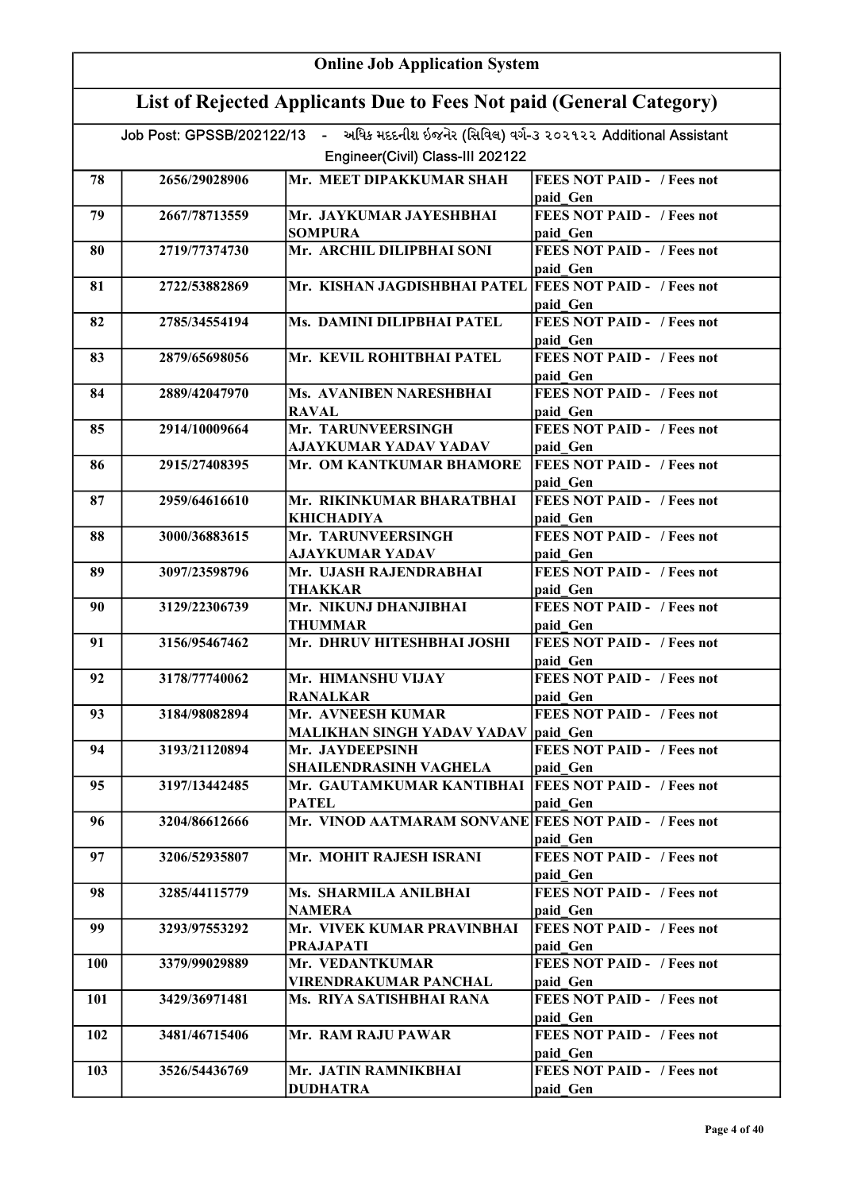|            | <b>Online Job Application System</b>                                |                                                                                          |                                               |  |
|------------|---------------------------------------------------------------------|------------------------------------------------------------------------------------------|-----------------------------------------------|--|
|            | List of Rejected Applicants Due to Fees Not paid (General Category) |                                                                                          |                                               |  |
|            |                                                                     | Job Post: GPSSB/202122/13 - અધિક મદદનીશ ઇજનેર (સિવિલ) વર્ગ-૩ ૨૦૨૧૨૨ Additional Assistant |                                               |  |
|            |                                                                     | Engineer(Civil) Class-III 202122                                                         |                                               |  |
| 78         | 2656/29028906                                                       | Mr. MEET DIPAKKUMAR SHAH                                                                 | <b>FEES NOT PAID - / Fees not</b><br>paid Gen |  |
| 79         | 2667/78713559                                                       | Mr. JAYKUMAR JAYESHBHAI<br><b>SOMPURA</b>                                                | <b>FEES NOT PAID - / Fees not</b><br>paid Gen |  |
| 80         | 2719/77374730                                                       | Mr. ARCHIL DILIPBHAI SONI                                                                | <b>FEES NOT PAID - / Fees not</b>             |  |
| 81         | 2722/53882869                                                       | Mr. KISHAN JAGDISHBHAI PATEL FEES NOT PAID - / Fees not                                  | paid Gen<br>paid Gen                          |  |
| 82         | 2785/34554194                                                       | Ms. DAMINI DILIPBHAI PATEL                                                               | <b>FEES NOT PAID - / Fees not</b><br>paid Gen |  |
| 83         | 2879/65698056                                                       | Mr. KEVIL ROHITBHAI PATEL                                                                | <b>FEES NOT PAID - / Fees not</b><br>paid Gen |  |
| 84         | 2889/42047970                                                       | Ms. AVANIBEN NARESHBHAI<br><b>RAVAL</b>                                                  | <b>FEES NOT PAID - / Fees not</b><br>paid Gen |  |
| 85         | 2914/10009664                                                       | Mr. TARUNVEERSINGH<br>AJAYKUMAR YADAV YADAV                                              | <b>FEES NOT PAID - / Fees not</b><br>paid Gen |  |
| 86         | 2915/27408395                                                       | Mr. OM KANTKUMAR BHAMORE                                                                 | <b>FEES NOT PAID - / Fees not</b><br>paid Gen |  |
| 87         | 2959/64616610                                                       | Mr. RIKINKUMAR BHARATBHAI<br><b>KHICHADIYA</b>                                           | <b>FEES NOT PAID - / Fees not</b><br>paid_Gen |  |
| 88         | 3000/36883615                                                       | Mr. TARUNVEERSINGH<br><b>AJAYKUMAR YADAV</b>                                             | <b>FEES NOT PAID - / Fees not</b><br>paid Gen |  |
| 89         | 3097/23598796                                                       | Mr. UJASH RAJENDRABHAI<br><b>THAKKAR</b>                                                 | <b>FEES NOT PAID - / Fees not</b><br>paid Gen |  |
| 90         | 3129/22306739                                                       | Mr. NIKUNJ DHANJIBHAI<br><b>THUMMAR</b>                                                  | <b>FEES NOT PAID - / Fees not</b><br>paid Gen |  |
| 91         | 3156/95467462                                                       | Mr. DHRUV HITESHBHAI JOSHI                                                               | <b>FEES NOT PAID - / Fees not</b><br>paid Gen |  |
| 92         | 3178/77740062                                                       | Mr. HIMANSHU VIJAY<br><b>RANALKAR</b>                                                    | <b>FEES NOT PAID -</b> / Fees not<br>paid Gen |  |
| 93         | 3184/98082894                                                       | Mr. AVNEESH KUMAR<br><b>MALIKHAN SINGH YADAV YADAV paid Gen</b>                          | <b>FEES NOT PAID - / Fees not</b>             |  |
| 94         | 3193/21120894                                                       | Mr. JAYDEEPSINH<br><b>SHAILENDRASINH VAGHELA</b>                                         | <b>FEES NOT PAID - / Fees not</b><br>paid Gen |  |
| 95         | 3197/13442485                                                       | Mr. GAUTAMKUMAR KANTIBHAI   FEES NOT PAID - / Fees not<br><b>PATEL</b>                   | paid Gen                                      |  |
| 96         | 3204/86612666                                                       | Mr. VINOD AATMARAM SONVANE FEES NOT PAID - / Fees not                                    | paid Gen                                      |  |
| 97         | 3206/52935807                                                       | Mr. MOHIT RAJESH ISRANI                                                                  | <b>FEES NOT PAID - / Fees not</b><br>paid Gen |  |
| 98         | 3285/44115779                                                       | Ms. SHARMILA ANILBHAI<br><b>NAMERA</b>                                                   | <b>FEES NOT PAID - / Fees not</b><br>paid Gen |  |
| 99         | 3293/97553292                                                       | Mr. VIVEK KUMAR PRAVINBHAI<br><b>PRAJAPATI</b>                                           | <b>FEES NOT PAID - / Fees not</b><br>paid Gen |  |
| <b>100</b> | 3379/99029889                                                       | Mr. VEDANTKUMAR<br><b>VIRENDRAKUMAR PANCHAL</b>                                          | <b>FEES NOT PAID - / Fees not</b><br>paid Gen |  |
| 101        | 3429/36971481                                                       | Ms. RIYA SATISHBHAI RANA                                                                 | <b>FEES NOT PAID - / Fees not</b><br>paid Gen |  |
| 102        | 3481/46715406                                                       | Mr. RAM RAJU PAWAR                                                                       | <b>FEES NOT PAID - / Fees not</b><br>paid Gen |  |
| 103        | 3526/54436769                                                       | Mr. JATIN RAMNIKBHAI<br><b>DUDHATRA</b>                                                  | <b>FEES NOT PAID - / Fees not</b><br>paid Gen |  |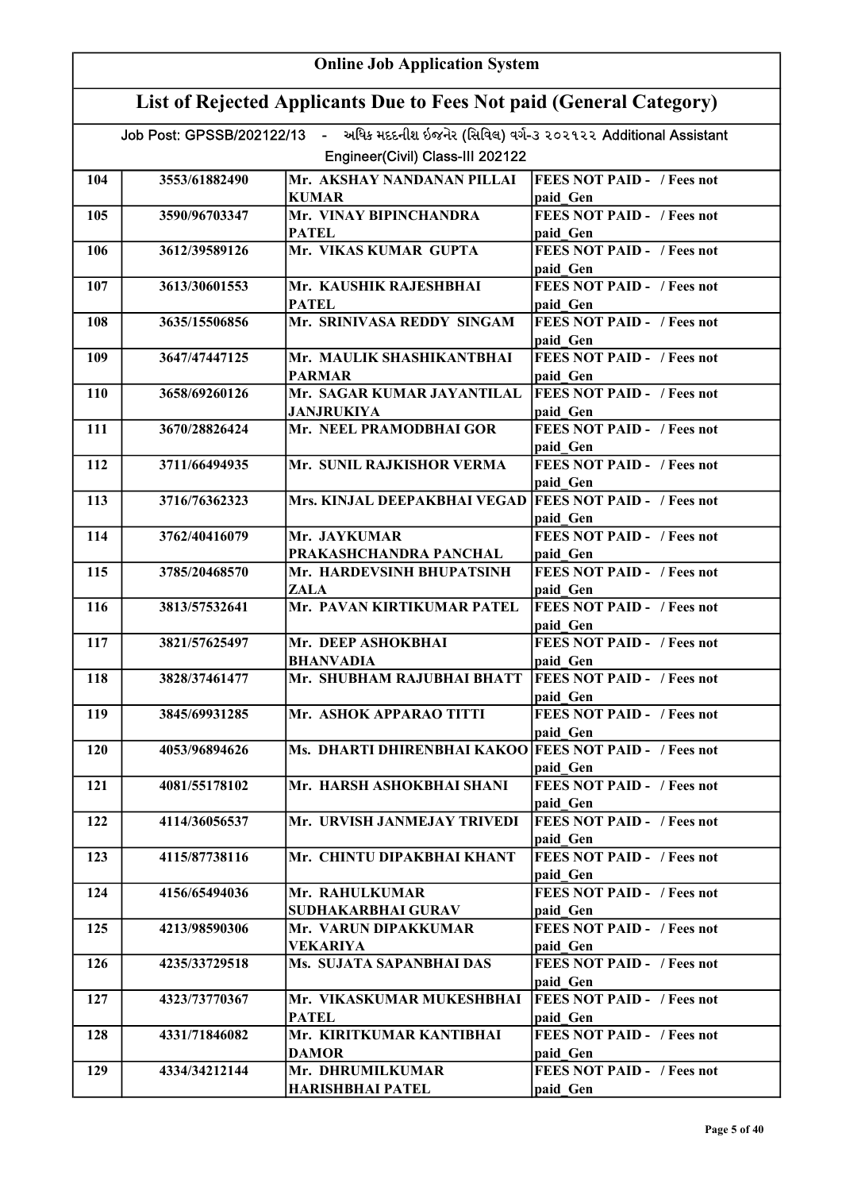|            | <b>Online Job Application System</b>                                |                                                                                                                              |                                                                                    |  |
|------------|---------------------------------------------------------------------|------------------------------------------------------------------------------------------------------------------------------|------------------------------------------------------------------------------------|--|
|            | List of Rejected Applicants Due to Fees Not paid (General Category) |                                                                                                                              |                                                                                    |  |
|            |                                                                     | Job Post: GPSSB/202122/13 - અધિક મદદનીશ ઇજનેર (સિવિલ) વર્ગ-૩ ૨૦૨૧૨૨ Additional Assistant<br>Engineer(Civil) Class-III 202122 |                                                                                    |  |
| 104        | 3553/61882490                                                       | Mr. AKSHAY NANDANAN PILLAI<br><b>KUMAR</b>                                                                                   | <b>FEES NOT PAID - / Fees not</b><br>paid Gen                                      |  |
| 105        | 3590/96703347                                                       | Mr. VINAY BIPINCHANDRA<br><b>PATEL</b>                                                                                       | <b>FEES NOT PAID - / Fees not</b><br>paid Gen                                      |  |
| 106        | 3612/39589126                                                       | Mr. VIKAS KUMAR GUPTA                                                                                                        | <b>FEES NOT PAID - / Fees not</b><br>paid Gen                                      |  |
| 107        | 3613/30601553                                                       | Mr. KAUSHIK RAJESHBHAI<br><b>PATEL</b>                                                                                       | <b>FEES NOT PAID - / Fees not</b><br>paid Gen                                      |  |
| 108        | 3635/15506856                                                       | Mr. SRINIVASA REDDY SINGAM                                                                                                   | <b>FEES NOT PAID - / Fees not</b><br>paid Gen                                      |  |
| 109        | 3647/47447125                                                       | Mr. MAULIK SHASHIKANTBHAI<br><b>PARMAR</b>                                                                                   | <b>FEES NOT PAID - / Fees not</b><br>paid Gen                                      |  |
| 110        | 3658/69260126                                                       | Mr. SAGAR KUMAR JAYANTILAL<br><b>JANJRUKIYA</b>                                                                              | <b>FEES NOT PAID - / Fees not</b><br>paid Gen                                      |  |
| 111        | 3670/28826424                                                       | Mr. NEEL PRAMODBHAI GOR                                                                                                      | <b>FEES NOT PAID - / Fees not</b><br>paid Gen                                      |  |
| 112        | 3711/66494935                                                       | Mr. SUNIL RAJKISHOR VERMA                                                                                                    | <b>FEES NOT PAID - / Fees not</b><br>paid Gen                                      |  |
| 113        | 3716/76362323                                                       | Mrs. KINJAL DEEPAKBHAI VEGAD   FEES NOT PAID - / Fees not                                                                    | paid Gen                                                                           |  |
| 114        | 3762/40416079                                                       | Mr. JAYKUMAR<br>PRAKASHCHANDRA PANCHAL                                                                                       | <b>FEES NOT PAID - / Fees not</b><br>paid Gen                                      |  |
| 115        | 3785/20468570                                                       | Mr. HARDEVSINH BHUPATSINH<br>ZALA                                                                                            | <b>FEES NOT PAID - / Fees not</b><br>paid Gen                                      |  |
| 116        | 3813/57532641                                                       | Mr. PAVAN KIRTIKUMAR PATEL                                                                                                   | <b>FEES NOT PAID - / Fees not</b><br>paid Gen                                      |  |
| 117        | 3821/57625497                                                       | Mr. DEEP ASHOKBHAI<br><b>BHANVADIA</b>                                                                                       | <b>FEES NOT PAID - / Fees not</b><br>paid Gen                                      |  |
| 118        | 3828/37461477                                                       | Mr. SHUBHAM RAJUBHAI BHATT   FEES NOT PAID - / Fees not                                                                      | paid Gen                                                                           |  |
| 119        | 3845/69931285                                                       | Mr. ASHOK APPARAO TITTI                                                                                                      | <b>FEES NOT PAID - / Fees not</b><br>paid Gen                                      |  |
| 120        | 4053/96894626                                                       | Ms. DHARTI DHIRENBHAI KAKOO FEES NOT PAID - / Fees not                                                                       | paid Gen                                                                           |  |
| 121        | 4081/55178102                                                       | Mr. HARSH ASHOKBHAI SHANI                                                                                                    | FEES NOT PAID - / Fees not<br>paid Gen                                             |  |
| 122        | 4114/36056537                                                       | Mr. URVISH JANMEJAY TRIVEDI                                                                                                  | <b>FEES NOT PAID - / Fees not</b><br>paid Gen                                      |  |
| 123        | 4115/87738116                                                       | Mr. CHINTU DIPAKBHAI KHANT                                                                                                   | <b>FEES NOT PAID - / Fees not</b><br>paid Gen                                      |  |
| 124        | 4156/65494036                                                       | Mr. RAHULKUMAR<br>SUDHAKARBHAI GURAV                                                                                         | <b>FEES NOT PAID - / Fees not</b><br>paid Gen<br><b>FEES NOT PAID - / Fees not</b> |  |
| 125<br>126 | 4213/98590306<br>4235/33729518                                      | Mr. VARUN DIPAKKUMAR<br><b>VEKARIYA</b><br>Ms. SUJATA SAPANBHAI DAS                                                          | paid Gen<br><b>FEES NOT PAID - / Fees not</b>                                      |  |
| 127        | 4323/73770367                                                       | Mr. VIKASKUMAR MUKESHBHAI                                                                                                    | paid Gen<br><b>FEES NOT PAID - / Fees not</b>                                      |  |
| 128        | 4331/71846082                                                       | <b>PATEL</b><br>Mr. KIRITKUMAR KANTIBHAI                                                                                     | paid Gen<br><b>FEES NOT PAID - / Fees not</b>                                      |  |
| 129        | 4334/34212144                                                       | <b>DAMOR</b><br>Mr. DHRUMILKUMAR                                                                                             | paid Gen<br><b>FEES NOT PAID - / Fees not</b>                                      |  |
|            |                                                                     | <b>HARISHBHAI PATEL</b>                                                                                                      | paid Gen                                                                           |  |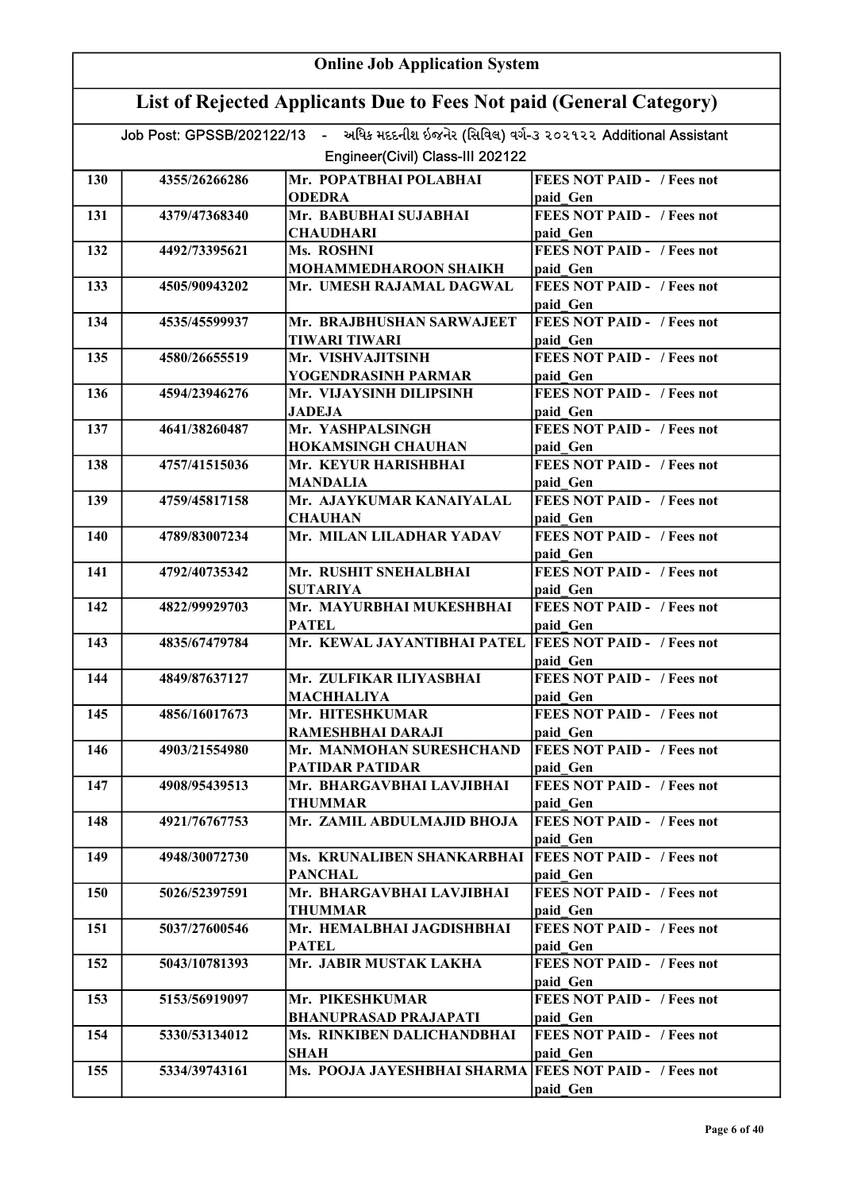|     | <b>Online Job Application System</b>                                |                                                                                          |                                               |  |
|-----|---------------------------------------------------------------------|------------------------------------------------------------------------------------------|-----------------------------------------------|--|
|     | List of Rejected Applicants Due to Fees Not paid (General Category) |                                                                                          |                                               |  |
|     |                                                                     | Job Post: GPSSB/202122/13 - અધિક મદદનીશ ઇજનેર (સિવિલ) વર્ગ-૩ ૨૦૨૧૨૨ Additional Assistant |                                               |  |
|     |                                                                     | Engineer(Civil) Class-III 202122                                                         |                                               |  |
| 130 | 4355/26266286                                                       | Mr. POPATBHAI POLABHAI                                                                   | <b>FEES NOT PAID - / Fees not</b>             |  |
|     |                                                                     | <b>ODEDRA</b>                                                                            | paid Gen                                      |  |
| 131 | 4379/47368340                                                       | Mr. BABUBHAI SUJABHAI                                                                    | <b>FEES NOT PAID - / Fees not</b>             |  |
|     |                                                                     | <b>CHAUDHARI</b>                                                                         | paid Gen                                      |  |
| 132 | 4492/73395621                                                       | Ms. ROSHNI                                                                               | <b>FEES NOT PAID - / Fees not</b>             |  |
|     |                                                                     | MOHAMMEDHAROON SHAIKH                                                                    | paid Gen                                      |  |
| 133 | 4505/90943202                                                       | Mr. UMESH RAJAMAL DAGWAL                                                                 | <b>FEES NOT PAID - / Fees not</b><br>paid Gen |  |
| 134 | 4535/45599937                                                       | Mr. BRAJBHUSHAN SARWAJEET<br><b>TIWARI TIWARI</b>                                        | <b>FEES NOT PAID - / Fees not</b><br>paid Gen |  |
| 135 | 4580/26655519                                                       | Mr. VISHVAJITSINH                                                                        | <b>FEES NOT PAID - / Fees not</b>             |  |
|     |                                                                     | YOGENDRASINH PARMAR                                                                      | paid Gen                                      |  |
| 136 | 4594/23946276                                                       | Mr. VIJAYSINH DILIPSINH                                                                  | <b>FEES NOT PAID - / Fees not</b>             |  |
|     |                                                                     | <b>JADEJA</b>                                                                            | paid Gen<br><b>FEES NOT PAID - / Fees not</b> |  |
| 137 | 4641/38260487                                                       | Mr. YASHPALSINGH<br><b>HOKAMSINGH CHAUHAN</b>                                            |                                               |  |
| 138 | 4757/41515036                                                       | Mr. KEYUR HARISHBHAI                                                                     | paid Gen<br><b>FEES NOT PAID - / Fees not</b> |  |
|     |                                                                     | MANDALIA                                                                                 | paid Gen                                      |  |
| 139 | 4759/45817158                                                       | Mr. AJAYKUMAR KANAIYALAL<br><b>CHAUHAN</b>                                               | <b>FEES NOT PAID - / Fees not</b>             |  |
| 140 | 4789/83007234                                                       | Mr. MILAN LILADHAR YADAV                                                                 | paid Gen<br><b>FEES NOT PAID - / Fees not</b> |  |
|     |                                                                     |                                                                                          | paid Gen                                      |  |
| 141 | 4792/40735342                                                       | Mr. RUSHIT SNEHALBHAI                                                                    | <b>FEES NOT PAID - / Fees not</b>             |  |
|     |                                                                     | <b>SUTARIYA</b>                                                                          | paid Gen                                      |  |
| 142 | 4822/99929703                                                       | Mr. MAYURBHAI MUKESHBHAI                                                                 | <b>FEES NOT PAID - / Fees not</b>             |  |
|     |                                                                     | <b>PATEL</b>                                                                             | paid Gen                                      |  |
| 143 | 4835/67479784                                                       | Mr. KEWAL JAYANTIBHAI PATEL                                                              | <b>FEES NOT PAID - / Fees not</b><br>paid Gen |  |
| 144 | 4849/87637127                                                       | Mr. ZULFIKAR ILIYASBHAI                                                                  | <b>FEES NOT PAID - / Fees not</b>             |  |
|     |                                                                     | <b>MACHHALIYA</b>                                                                        | paid Gen                                      |  |
| 145 | 4856/16017673                                                       | Mr. HITESHKUMAR<br>RAMESHBHAI DARAJI                                                     | <b>FEES NOT PAID - / Fees not</b><br>paid Gen |  |
| 146 | 4903/21554980                                                       | Mr. MANMOHAN SURESHCHAND                                                                 | <b>FEES NOT PAID - / Fees not</b>             |  |
|     |                                                                     | PATIDAR PATIDAR                                                                          | paid Gen                                      |  |
| 147 | 4908/95439513                                                       | Mr. BHARGAVBHAI LAVJIBHAI                                                                | <b>FEES NOT PAID - / Fees not</b>             |  |
|     |                                                                     | <b>THUMMAR</b>                                                                           | paid Gen                                      |  |
| 148 | 4921/76767753                                                       | Mr. ZAMIL ABDULMAJID BHOJA                                                               | <b>FEES NOT PAID - / Fees not</b><br>paid Gen |  |
| 149 | 4948/30072730                                                       | Ms. KRUNALIBEN SHANKARBHAI                                                               | <b>FEES NOT PAID - / Fees not</b>             |  |
|     |                                                                     | <b>PANCHAL</b>                                                                           | paid Gen                                      |  |
| 150 | 5026/52397591                                                       | Mr. BHARGAVBHAI LAVJIBHAI<br><b>THUMMAR</b>                                              | <b>FEES NOT PAID - / Fees not</b><br>paid Gen |  |
| 151 | 5037/27600546                                                       | Mr. HEMALBHAI JAGDISHBHAI<br><b>PATEL</b>                                                | <b>FEES NOT PAID - / Fees not</b><br>paid Gen |  |
| 152 | 5043/10781393                                                       | Mr. JABIR MUSTAK LAKHA                                                                   | <b>FEES NOT PAID - / Fees not</b>             |  |
|     |                                                                     |                                                                                          | paid Gen                                      |  |
| 153 | 5153/56919097                                                       | Mr. PIKESHKUMAR                                                                          | <b>FEES NOT PAID - / Fees not</b>             |  |
|     |                                                                     | <b>BHANUPRASAD PRAJAPATI</b>                                                             | paid Gen                                      |  |
| 154 | 5330/53134012                                                       | Ms. RINKIBEN DALICHANDBHAI<br><b>SHAH</b>                                                | <b>FEES NOT PAID - / Fees not</b><br>paid Gen |  |
| 155 | 5334/39743161                                                       | Ms. POOJA JAYESHBHAI SHARMA FEES NOT PAID - / Fees not                                   | paid Gen                                      |  |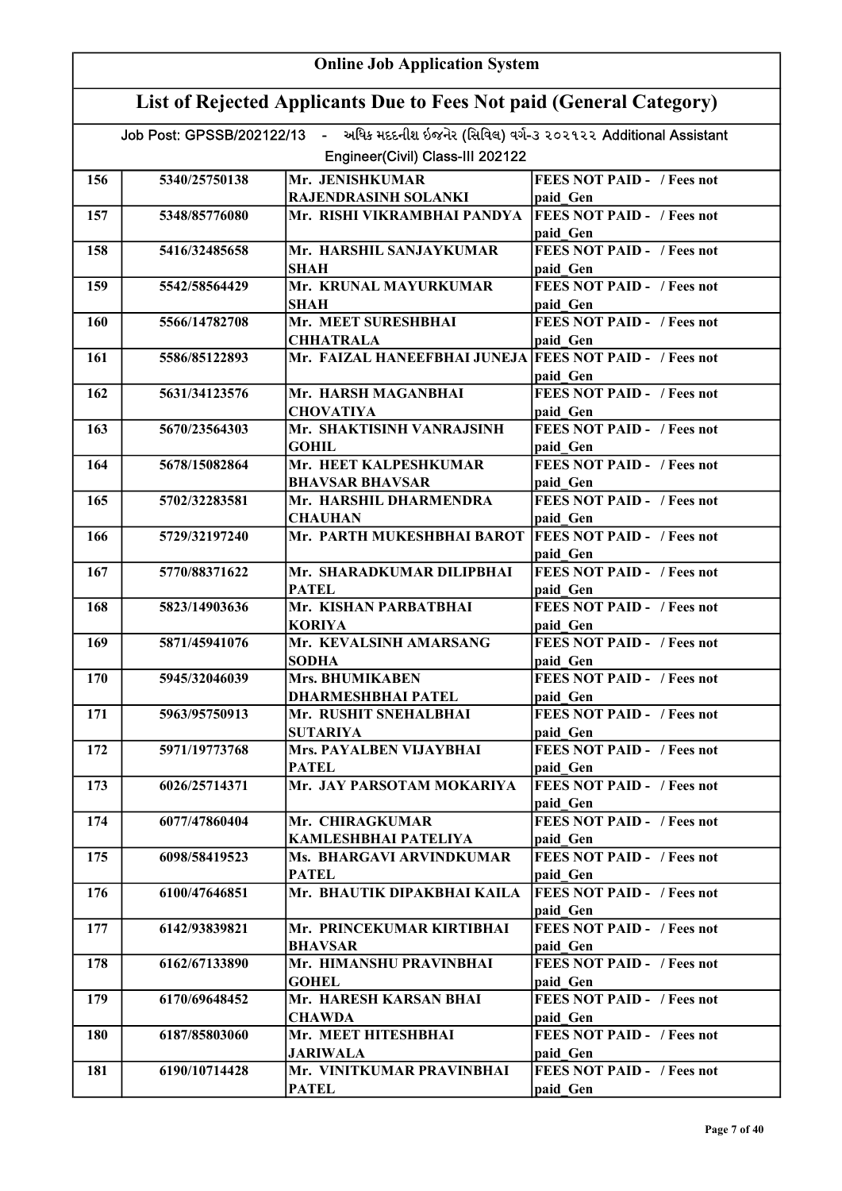|     | <b>Online Job Application System</b>                                |                                                                                          |                                               |  |
|-----|---------------------------------------------------------------------|------------------------------------------------------------------------------------------|-----------------------------------------------|--|
|     | List of Rejected Applicants Due to Fees Not paid (General Category) |                                                                                          |                                               |  |
|     |                                                                     | Job Post: GPSSB/202122/13 - અધિક મદદનીશ ઇજનેર (સિવિલ) વર્ગ-૩ ૨૦૨૧૨૨ Additional Assistant |                                               |  |
|     |                                                                     | Engineer(Civil) Class-III 202122                                                         |                                               |  |
| 156 | 5340/25750138                                                       | Mr. JENISHKUMAR                                                                          | <b>FEES NOT PAID - / Fees not</b>             |  |
|     |                                                                     | RAJENDRASINH SOLANKI                                                                     | paid Gen                                      |  |
| 157 | 5348/85776080                                                       | Mr. RISHI VIKRAMBHAI PANDYA                                                              | <b>FEES NOT PAID - / Fees not</b>             |  |
|     |                                                                     |                                                                                          | paid Gen                                      |  |
| 158 | 5416/32485658                                                       | Mr. HARSHIL SANJAYKUMAR<br>SHAH                                                          | <b>FEES NOT PAID - / Fees not</b><br>paid Gen |  |
| 159 | 5542/58564429                                                       | Mr. KRUNAL MAYURKUMAR                                                                    | <b>FEES NOT PAID - / Fees not</b>             |  |
|     |                                                                     | SHAH                                                                                     | paid Gen                                      |  |
| 160 | 5566/14782708                                                       | Mr. MEET SURESHBHAI<br><b>CHHATRALA</b>                                                  | <b>FEES NOT PAID - / Fees not</b><br>paid Gen |  |
| 161 | 5586/85122893                                                       | Mr. FAIZAL HANEEFBHAI JUNEJA FEES NOT PAID - / Fees not                                  |                                               |  |
|     |                                                                     |                                                                                          | paid Gen                                      |  |
| 162 | 5631/34123576                                                       | Mr. HARSH MAGANBHAI                                                                      | <b>FEES NOT PAID - / Fees not</b>             |  |
|     |                                                                     | <b>CHOVATIYA</b>                                                                         | paid Gen                                      |  |
| 163 | 5670/23564303                                                       | Mr. SHAKTISINH VANRAJSINH<br>GOHIL                                                       | <b>FEES NOT PAID - / Fees not</b>             |  |
| 164 | 5678/15082864                                                       | Mr. HEET KALPESHKUMAR                                                                    | paid Gen<br><b>FEES NOT PAID - / Fees not</b> |  |
|     |                                                                     | <b>BHAVSAR BHAVSAR</b>                                                                   | paid Gen                                      |  |
| 165 | 5702/32283581                                                       | Mr. HARSHIL DHARMENDRA                                                                   | <b>FEES NOT PAID - / Fees not</b>             |  |
|     |                                                                     | <b>CHAUHAN</b><br>Mr. PARTH MUKESHBHAI BAROT                                             | paid Gen<br><b>FEES NOT PAID - / Fees not</b> |  |
| 166 | 5729/32197240                                                       |                                                                                          | paid Gen                                      |  |
| 167 | 5770/88371622                                                       | Mr. SHARADKUMAR DILIPBHAI                                                                | <b>FEES NOT PAID - / Fees not</b>             |  |
|     |                                                                     | <b>PATEL</b>                                                                             | paid Gen                                      |  |
| 168 | 5823/14903636                                                       | Mr. KISHAN PARBATBHAI                                                                    | <b>FEES NOT PAID - / Fees not</b>             |  |
|     |                                                                     | <b>KORIYA</b>                                                                            | paid Gen                                      |  |
| 169 | 5871/45941076                                                       | Mr. KEVALSINH AMARSANG<br><b>SODHA</b>                                                   | <b>FEES NOT PAID - / Fees not</b><br>paid Gen |  |
| 170 | 5945/32046039                                                       | Mrs. BHUMIKABEN                                                                          | <b>FEES NOT PAID - / Fees not</b>             |  |
|     |                                                                     | <b>DHARMESHBHAI PATEL</b>                                                                | paid Gen                                      |  |
| 171 | 5963/95750913                                                       | Mr. RUSHIT SNEHALBHAI                                                                    | <b>FEES NOT PAID - / Fees not</b>             |  |
| 172 | 5971/19773768                                                       | <b>SUTARIYA</b><br>Mrs. PAYALBEN VIJAYBHAI                                               | paid Gen<br><b>FEES NOT PAID - / Fees not</b> |  |
|     |                                                                     | <b>PATEL</b>                                                                             | paid Gen                                      |  |
| 173 | 6026/25714371                                                       | Mr. JAY PARSOTAM MOKARIYA                                                                | <b>FEES NOT PAID - / Fees not</b>             |  |
|     |                                                                     |                                                                                          | paid Gen                                      |  |
| 174 | 6077/47860404                                                       | Mr. CHIRAGKUMAR                                                                          | <b>FEES NOT PAID - / Fees not</b>             |  |
|     |                                                                     | KAMLESHBHAI PATELIYA                                                                     | paid Gen                                      |  |
| 175 | 6098/58419523                                                       | Ms. BHARGAVI ARVINDKUMAR                                                                 | <b>FEES NOT PAID - / Fees not</b>             |  |
|     |                                                                     | <b>PATEL</b>                                                                             | paid Gen                                      |  |
| 176 | 6100/47646851                                                       | Mr. BHAUTIK DIPAKBHAI KAILA                                                              | <b>FEES NOT PAID - / Fees not</b><br>paid Gen |  |
| 177 | 6142/93839821                                                       | Mr. PRINCEKUMAR KIRTIBHAI                                                                | <b>FEES NOT PAID - / Fees not</b>             |  |
|     |                                                                     | <b>BHAVSAR</b>                                                                           | paid Gen                                      |  |
| 178 | 6162/67133890                                                       | Mr. HIMANSHU PRAVINBHAI                                                                  | <b>FEES NOT PAID - / Fees not</b>             |  |
|     |                                                                     | <b>GOHEL</b>                                                                             | paid Gen                                      |  |
| 179 | 6170/69648452                                                       | Mr. HARESH KARSAN BHAI<br><b>CHAWDA</b>                                                  | <b>FEES NOT PAID - / Fees not</b><br>paid Gen |  |
| 180 | 6187/85803060                                                       | Mr. MEET HITESHBHAI                                                                      | <b>FEES NOT PAID - / Fees not</b>             |  |
|     |                                                                     | <b>JARIWALA</b>                                                                          | paid Gen                                      |  |
| 181 | 6190/10714428                                                       | Mr. VINITKUMAR PRAVINBHAI                                                                | <b>FEES NOT PAID - / Fees not</b>             |  |
|     |                                                                     | <b>PATEL</b>                                                                             | paid Gen                                      |  |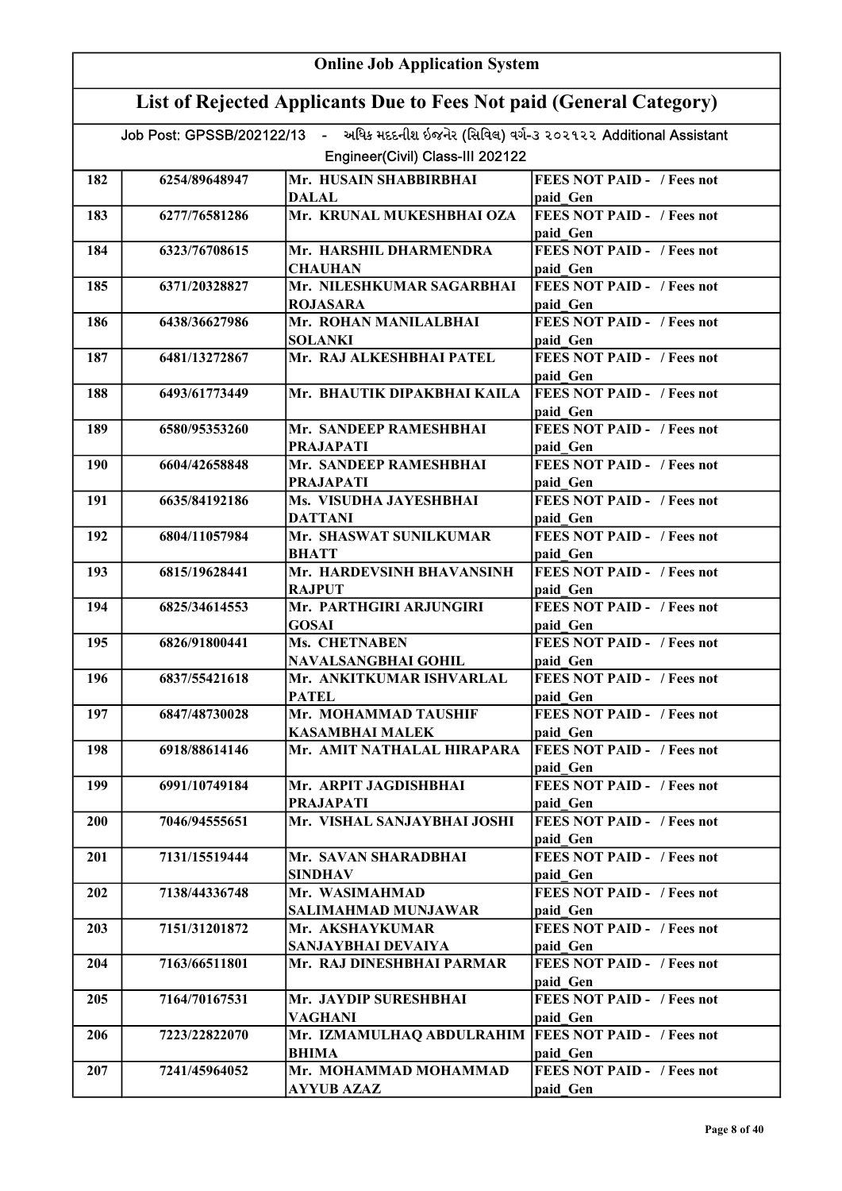|     | <b>Online Job Application System</b>                                |                                                                                                                              |                                               |  |
|-----|---------------------------------------------------------------------|------------------------------------------------------------------------------------------------------------------------------|-----------------------------------------------|--|
|     | List of Rejected Applicants Due to Fees Not paid (General Category) |                                                                                                                              |                                               |  |
|     |                                                                     | Job Post: GPSSB/202122/13 - અધિક મદદનીશ ઇજનેર (સિવિલ) વર્ગ-૩ ૨૦૨૧૨૨ Additional Assistant<br>Engineer(Civil) Class-III 202122 |                                               |  |
|     |                                                                     |                                                                                                                              |                                               |  |
| 182 | 6254/89648947                                                       | Mr. HUSAIN SHABBIRBHAI                                                                                                       | <b>FEES NOT PAID - / Fees not</b>             |  |
|     |                                                                     | <b>DALAL</b><br>Mr. KRUNAL MUKESHBHAI OZA                                                                                    | paid Gen                                      |  |
| 183 | 6277/76581286                                                       |                                                                                                                              | <b>FEES NOT PAID - / Fees not</b><br>paid Gen |  |
| 184 | 6323/76708615                                                       | Mr. HARSHIL DHARMENDRA                                                                                                       | <b>FEES NOT PAID - / Fees not</b>             |  |
|     |                                                                     | <b>CHAUHAN</b>                                                                                                               | paid Gen                                      |  |
| 185 | 6371/20328827                                                       | Mr. NILESHKUMAR SAGARBHAI                                                                                                    | <b>FEES NOT PAID - / Fees not</b>             |  |
|     |                                                                     | <b>ROJASARA</b>                                                                                                              | paid Gen<br><b>FEES NOT PAID - / Fees not</b> |  |
| 186 | 6438/36627986                                                       | Mr. ROHAN MANILALBHAI<br><b>SOLANKI</b>                                                                                      | paid Gen                                      |  |
| 187 | 6481/13272867                                                       | Mr. RAJ ALKESHBHAI PATEL                                                                                                     | <b>FEES NOT PAID - / Fees not</b>             |  |
|     |                                                                     |                                                                                                                              | paid Gen                                      |  |
| 188 | 6493/61773449                                                       | Mr. BHAUTIK DIPAKBHAI KAILA                                                                                                  | <b>FEES NOT PAID - / Fees not</b>             |  |
|     |                                                                     |                                                                                                                              | paid Gen                                      |  |
| 189 | 6580/95353260                                                       | Mr. SANDEEP RAMESHBHAI                                                                                                       | <b>FEES NOT PAID - / Fees not</b>             |  |
|     |                                                                     | <b>PRAJAPATI</b>                                                                                                             | paid Gen<br><b>FEES NOT PAID - / Fees not</b> |  |
| 190 | 6604/42658848                                                       | Mr. SANDEEP RAMESHBHAI<br><b>PRAJAPATI</b>                                                                                   | paid Gen                                      |  |
| 191 | 6635/84192186                                                       | Ms. VISUDHA JAYESHBHAI                                                                                                       | <b>FEES NOT PAID - / Fees not</b>             |  |
|     |                                                                     | <b>DATTANI</b>                                                                                                               | paid Gen                                      |  |
| 192 | 6804/11057984                                                       | Mr. SHASWAT SUNILKUMAR                                                                                                       | <b>FEES NOT PAID - / Fees not</b>             |  |
|     |                                                                     | <b>BHATT</b>                                                                                                                 | paid Gen                                      |  |
| 193 | 6815/19628441                                                       | Mr. HARDEVSINH BHAVANSINH                                                                                                    | <b>FEES NOT PAID - / Fees not</b>             |  |
|     |                                                                     | <b>RAJPUT</b>                                                                                                                | paid Gen                                      |  |
| 194 | 6825/34614553                                                       | Mr. PARTHGIRI ARJUNGIRI<br><b>GOSAI</b>                                                                                      | FEES NOT PAID - / Fees not<br>paid Gen        |  |
| 195 | 6826/91800441                                                       | Ms. CHETNABEN                                                                                                                | <b>FEES NOT PAID - / Fees not</b>             |  |
|     |                                                                     | NAVALSANGBHAI GOHIL                                                                                                          | paid Gen                                      |  |
| 196 | 6837/55421618                                                       | Mr. ANKITKUMAR ISHVARLAL                                                                                                     | <b>FEES NOT PAID -</b> / Fees not             |  |
|     |                                                                     | <b>PATEL</b>                                                                                                                 | paid Gen                                      |  |
| 197 | 6847/48730028                                                       | Mr. MOHAMMAD TAUSHIF                                                                                                         | <b>FEES NOT PAID - / Fees not</b>             |  |
|     |                                                                     | <b>KASAMBHAI MALEK</b>                                                                                                       | paid Gen                                      |  |
| 198 | 6918/88614146                                                       | Mr. AMIT NATHALAL HIRAPARA                                                                                                   | <b>FEES NOT PAID - / Fees not</b>             |  |
| 199 | 6991/10749184                                                       | Mr. ARPIT JAGDISHBHAI                                                                                                        | paid Gen<br>FEES NOT PAID - / Fees not        |  |
|     |                                                                     | <b>PRAJAPATI</b>                                                                                                             | paid Gen                                      |  |
| 200 | 7046/94555651                                                       | Mr. VISHAL SANJAYBHAI JOSHI                                                                                                  | <b>FEES NOT PAID - / Fees not</b>             |  |
|     |                                                                     |                                                                                                                              | paid Gen                                      |  |
| 201 | 7131/15519444                                                       | Mr. SAVAN SHARADBHAI                                                                                                         | <b>FEES NOT PAID - / Fees not</b>             |  |
|     |                                                                     | <b>SINDHAV</b>                                                                                                               | paid Gen                                      |  |
| 202 | 7138/44336748                                                       | Mr. WASIMAHMAD<br><b>SALIMAHMAD MUNJAWAR</b>                                                                                 | <b>FEES NOT PAID - / Fees not</b>             |  |
| 203 | 7151/31201872                                                       | Mr. AKSHAYKUMAR                                                                                                              | paid Gen<br><b>FEES NOT PAID - / Fees not</b> |  |
|     |                                                                     | SANJAYBHAI DEVAIYA                                                                                                           | paid Gen                                      |  |
| 204 | 7163/66511801                                                       | Mr. RAJ DINESHBHAI PARMAR                                                                                                    | <b>FEES NOT PAID - / Fees not</b>             |  |
|     |                                                                     |                                                                                                                              | paid Gen                                      |  |
| 205 | 7164/70167531                                                       | Mr. JAYDIP SURESHBHAI                                                                                                        | <b>FEES NOT PAID - / Fees not</b>             |  |
|     |                                                                     | VAGHANI                                                                                                                      | paid Gen                                      |  |
| 206 | 7223/22822070                                                       | Mr. IZMAMULHAQ ABDULRAHIM   FEES NOT PAID - / Fees not<br><b>BHIMA</b>                                                       |                                               |  |
| 207 | 7241/45964052                                                       | Mr. MOHAMMAD MOHAMMAD                                                                                                        | paid Gen<br><b>FEES NOT PAID - / Fees not</b> |  |
|     |                                                                     | <b>AYYUB AZAZ</b>                                                                                                            | paid Gen                                      |  |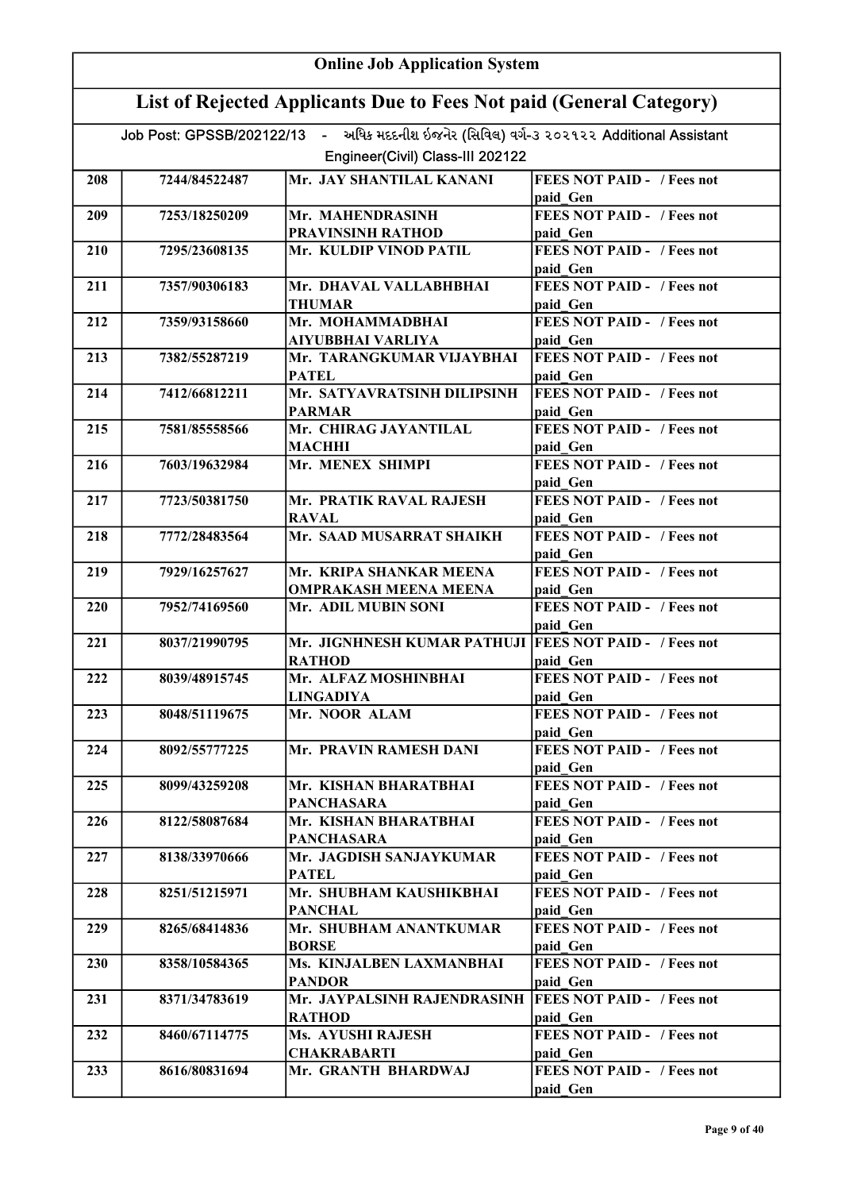| <b>Online Job Application System</b> |                                                                     |                                                                                                                              |                                                           |  |
|--------------------------------------|---------------------------------------------------------------------|------------------------------------------------------------------------------------------------------------------------------|-----------------------------------------------------------|--|
|                                      | List of Rejected Applicants Due to Fees Not paid (General Category) |                                                                                                                              |                                                           |  |
|                                      |                                                                     | Job Post: GPSSB/202122/13 - અધિક મદદનીશ ઇજનેર (સિવિલ) વર્ગ-૩ ૨૦૨૧૨૨ Additional Assistant<br>Engineer(Civil) Class-III 202122 |                                                           |  |
|                                      |                                                                     |                                                                                                                              |                                                           |  |
| 208                                  | 7244/84522487                                                       | Mr. JAY SHANTILAL KANANI                                                                                                     | <b>FEES NOT PAID - / Fees not</b><br>paid Gen             |  |
| 209                                  | 7253/18250209                                                       | Mr. MAHENDRASINH<br><b>PRAVINSINH RATHOD</b>                                                                                 | <b>FEES NOT PAID - / Fees not</b><br>paid Gen             |  |
| 210                                  | 7295/23608135                                                       | Mr. KULDIP VINOD PATIL                                                                                                       | <b>FEES NOT PAID - / Fees not</b><br>paid Gen             |  |
| 211                                  | 7357/90306183                                                       | Mr. DHAVAL VALLABHBHAI<br><b>THUMAR</b>                                                                                      | <b>FEES NOT PAID - / Fees not</b><br>paid Gen             |  |
| 212                                  | 7359/93158660                                                       | Mr. MOHAMMADBHAI<br><b>AIYUBBHAI VARLIYA</b>                                                                                 | <b>FEES NOT PAID - / Fees not</b><br>paid Gen             |  |
| 213                                  | 7382/55287219                                                       | Mr. TARANGKUMAR VIJAYBHAI<br><b>PATEL</b>                                                                                    | <b>FEES NOT PAID - / Fees not</b><br>paid Gen             |  |
| 214                                  | 7412/66812211                                                       | Mr. SATYAVRATSINH DILIPSINH<br><b>PARMAR</b>                                                                                 | <b>FEES NOT PAID - / Fees not</b><br>paid Gen             |  |
| 215                                  | 7581/85558566                                                       | Mr. CHIRAG JAYANTILAL<br><b>MACHHI</b>                                                                                       | <b>FEES NOT PAID - / Fees not</b><br>paid Gen             |  |
| 216                                  | 7603/19632984                                                       | Mr. MENEX SHIMPI                                                                                                             | <b>FEES NOT PAID - / Fees not</b>                         |  |
| 217                                  | 7723/50381750                                                       | Mr. PRATIK RAVAL RAJESH                                                                                                      | paid Gen<br><b>FEES NOT PAID - / Fees not</b>             |  |
| 218                                  | 7772/28483564                                                       | <b>RAVAL</b><br>Mr. SAAD MUSARRAT SHAIKH                                                                                     | paid Gen<br><b>FEES NOT PAID - / Fees not</b>             |  |
| 219                                  | 7929/16257627                                                       | Mr. KRIPA SHANKAR MEENA                                                                                                      | paid Gen<br><b>FEES NOT PAID - / Fees not</b>             |  |
| 220                                  | 7952/74169560                                                       | <b>OMPRAKASH MEENA MEENA</b><br>Mr. ADIL MUBIN SONI                                                                          | paid Gen<br><b>FEES NOT PAID - / Fees not</b>             |  |
| 221                                  | 8037/21990795                                                       | Mr. JIGNHNESH KUMAR PATHUJI   FEES NOT PAID - / Fees not                                                                     | paid Gen                                                  |  |
| 222                                  | 8039/48915745                                                       | <b>RATHOD</b><br>Mr. ALFAZ MOSHINBHAI                                                                                        | paid Gen<br><b>FEES NOT PAID - / Fees not</b>             |  |
| 223                                  | 8048/51119675                                                       | <b>LINGADIYA</b><br>Mr. NOOR ALAM                                                                                            | paid Gen<br><b>FEES NOT PAID - / Fees not</b>             |  |
| 224                                  | 8092/55777225                                                       | Mr. PRAVIN RAMESH DANI                                                                                                       | paid Gen<br><b>FEES NOT PAID - / Fees not</b>             |  |
| 225                                  | 8099/43259208                                                       | Mr. KISHAN BHARATBHAI<br><b>PANCHASARA</b>                                                                                   | paid Gen<br>FEES NOT PAID - / Fees not<br>paid Gen        |  |
| 226                                  | 8122/58087684                                                       | Mr. KISHAN BHARATBHAI<br><b>PANCHASARA</b>                                                                                   | FEES NOT PAID - / Fees not<br>paid Gen                    |  |
| 227                                  | 8138/33970666                                                       | Mr. JAGDISH SANJAYKUMAR<br><b>PATEL</b>                                                                                      | <b>FEES NOT PAID - / Fees not</b><br>paid Gen             |  |
| 228                                  | 8251/51215971                                                       | Mr. SHUBHAM KAUSHIKBHAI<br><b>PANCHAL</b>                                                                                    | <b>FEES NOT PAID - / Fees not</b><br>paid Gen             |  |
| 229                                  | 8265/68414836                                                       | Mr. SHUBHAM ANANTKUMAR<br><b>BORSE</b>                                                                                       | <b>FEES NOT PAID - / Fees not</b><br>paid Gen             |  |
| 230                                  | 8358/10584365                                                       | Ms. KINJALBEN LAXMANBHAI<br><b>PANDOR</b>                                                                                    | <b>FEES NOT PAID - / Fees not</b><br>paid Gen             |  |
| 231                                  | 8371/34783619                                                       | Mr. JAYPALSINH RAJENDRASINH<br><b>RATHOD</b>                                                                                 | <b>FEES NOT PAID - / Fees not</b><br>paid Gen             |  |
| 232                                  | 8460/67114775                                                       | Ms. AYUSHI RAJESH<br><b>CHAKRABARTI</b>                                                                                      | <b>FEES NOT PAID - / Fees not</b>                         |  |
| 233                                  | 8616/80831694                                                       | Mr. GRANTH BHARDWAJ                                                                                                          | paid Gen<br><b>FEES NOT PAID - / Fees not</b><br>paid Gen |  |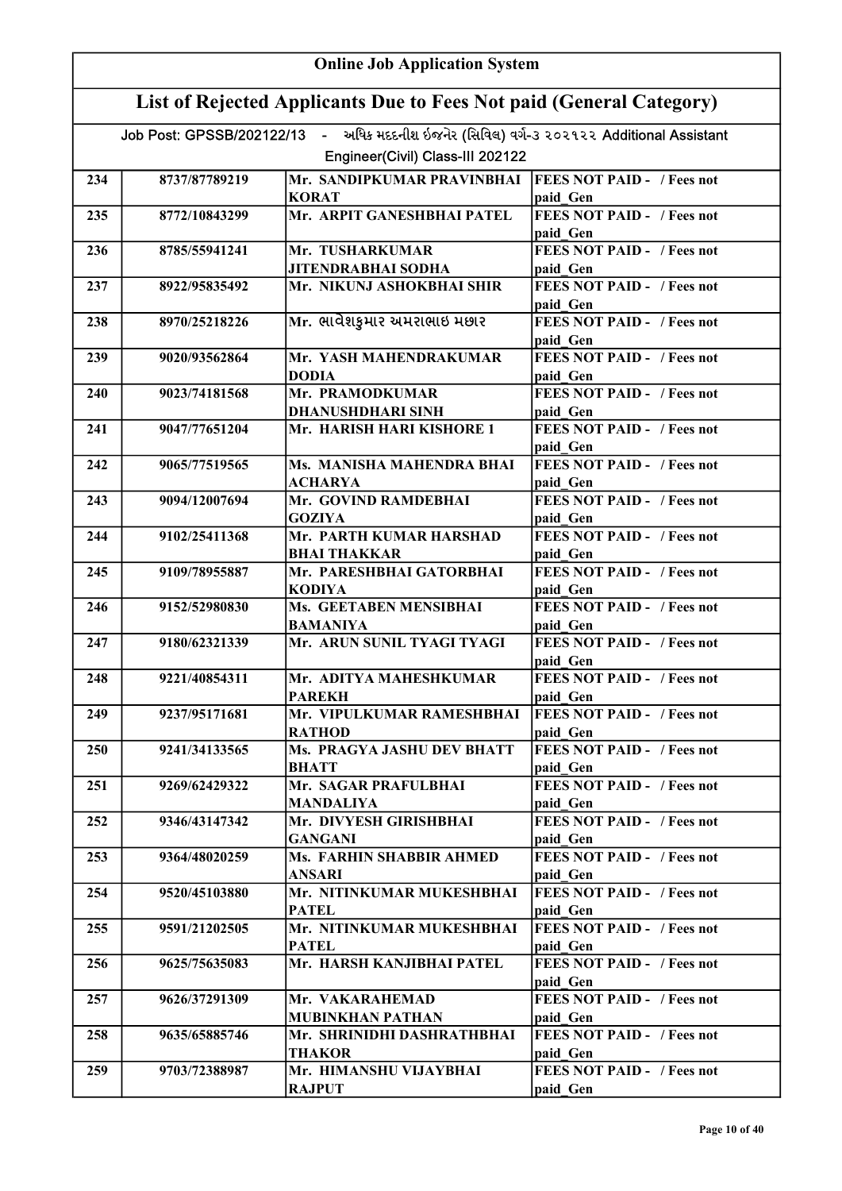|     | <b>Online Job Application System</b>                                |                                                                                          |                                               |  |
|-----|---------------------------------------------------------------------|------------------------------------------------------------------------------------------|-----------------------------------------------|--|
|     | List of Rejected Applicants Due to Fees Not paid (General Category) |                                                                                          |                                               |  |
|     |                                                                     | Job Post: GPSSB/202122/13 - અધિક મદદનીશ ઇજનેર (સિવિલ) વર્ગ-3 ૨૦૨૧૨૨ Additional Assistant |                                               |  |
|     |                                                                     | Engineer(Civil) Class-III 202122                                                         |                                               |  |
| 234 | 8737/87789219                                                       | Mr. SANDIPKUMAR PRAVINBHAI                                                               | <b>FEES NOT PAID - / Fees not</b>             |  |
|     |                                                                     | <b>KORAT</b>                                                                             | paid Gen                                      |  |
| 235 | 8772/10843299                                                       | Mr. ARPIT GANESHBHAI PATEL                                                               | <b>FEES NOT PAID - / Fees not</b>             |  |
|     |                                                                     |                                                                                          | paid Gen                                      |  |
| 236 | 8785/55941241                                                       | Mr. TUSHARKUMAR                                                                          | <b>FEES NOT PAID - / Fees not</b>             |  |
|     |                                                                     | <b>JITENDRABHAI SODHA</b>                                                                | paid Gen                                      |  |
| 237 | 8922/95835492                                                       | Mr. NIKUNJ ASHOKBHAI SHIR                                                                | <b>FEES NOT PAID - / Fees not</b><br>paid Gen |  |
| 238 | 8970/25218226                                                       | Mr. ભાવેશકુમાર અમરાભાઇ મછાર                                                              | FEES NOT PAID - / Fees not<br>paid Gen        |  |
| 239 | 9020/93562864                                                       | Mr. YASH MAHENDRAKUMAR                                                                   | FEES NOT PAID - / Fees not                    |  |
|     |                                                                     | <b>DODIA</b>                                                                             | paid Gen                                      |  |
| 240 | 9023/74181568                                                       | Mr. PRAMODKUMAR                                                                          | <b>FEES NOT PAID - / Fees not</b>             |  |
|     |                                                                     | <b>DHANUSHDHARI SINH</b>                                                                 | paid Gen                                      |  |
| 241 | 9047/77651204                                                       | Mr. HARISH HARI KISHORE 1                                                                | <b>FEES NOT PAID - / Fees not</b>             |  |
| 242 | 9065/77519565                                                       | Ms. MANISHA MAHENDRA BHAI                                                                | paid Gen<br><b>FEES NOT PAID - / Fees not</b> |  |
|     |                                                                     | ACHARYA                                                                                  | paid Gen                                      |  |
| 243 | 9094/12007694                                                       | Mr. GOVIND RAMDEBHAI                                                                     | <b>FEES NOT PAID - / Fees not</b>             |  |
|     |                                                                     | <b>GOZIYA</b>                                                                            | paid Gen                                      |  |
| 244 | 9102/25411368                                                       | Mr. PARTH KUMAR HARSHAD                                                                  | <b>FEES NOT PAID - / Fees not</b>             |  |
|     |                                                                     | <b>BHAI THAKKAR</b>                                                                      | paid Gen                                      |  |
| 245 | 9109/78955887                                                       | Mr. PARESHBHAI GATORBHAI                                                                 | <b>FEES NOT PAID - / Fees not</b>             |  |
|     |                                                                     | <b>KODIYA</b>                                                                            | paid Gen                                      |  |
| 246 | 9152/52980830                                                       | Ms. GEETABEN MENSIBHAI                                                                   | <b>FEES NOT PAID - / Fees not</b>             |  |
| 247 | 9180/62321339                                                       | <b>BAMANIYA</b><br>Mr. ARUN SUNIL TYAGI TYAGI                                            | paid Gen<br><b>FEES NOT PAID - / Fees not</b> |  |
|     |                                                                     |                                                                                          | paid Gen                                      |  |
| 248 | 9221/40854311                                                       | Mr. ADITYA MAHESHKUMAR                                                                   | <b>FEES NOT PAID -</b> / Fees not             |  |
|     |                                                                     | <b>PAREKH</b>                                                                            | paid Gen                                      |  |
| 249 | 9237/95171681                                                       | Mr. VIPULKUMAR RAMESHBHAI                                                                | <b>FEES NOT PAID - / Fees not</b>             |  |
|     |                                                                     | <b>RATHOD</b>                                                                            | paid Gen                                      |  |
| 250 | 9241/34133565                                                       | Ms. PRAGYA JASHU DEV BHATT                                                               | <b>FEES NOT PAID - / Fees not</b>             |  |
|     |                                                                     | <b>BHATT</b><br>Mr. SAGAR PRAFULBHAI                                                     | paid Gen<br><b>FEES NOT PAID - / Fees not</b> |  |
| 251 | 9269/62429322                                                       | <b>MANDALIYA</b>                                                                         | paid Gen                                      |  |
| 252 | 9346/43147342                                                       | Mr. DIVYESH GIRISHBHAI                                                                   | <b>FEES NOT PAID - / Fees not</b>             |  |
|     |                                                                     | <b>GANGANI</b>                                                                           | paid Gen                                      |  |
| 253 | 9364/48020259                                                       | Ms. FARHIN SHABBIR AHMED                                                                 | <b>FEES NOT PAID - / Fees not</b>             |  |
|     |                                                                     | <b>ANSARI</b>                                                                            | paid Gen                                      |  |
| 254 | 9520/45103880                                                       | Mr. NITINKUMAR MUKESHBHAI<br><b>PATEL</b>                                                | <b>FEES NOT PAID - / Fees not</b><br>paid Gen |  |
| 255 | 9591/21202505                                                       | Mr. NITINKUMAR MUKESHBHAI                                                                | <b>FEES NOT PAID - / Fees not</b>             |  |
|     |                                                                     | <b>PATEL</b>                                                                             | paid Gen                                      |  |
| 256 | 9625/75635083                                                       | Mr. HARSH KANJIBHAI PATEL                                                                | <b>FEES NOT PAID - / Fees not</b>             |  |
| 257 | 9626/37291309                                                       | Mr. VAKARAHEMAD                                                                          | paid Gen<br><b>FEES NOT PAID - / Fees not</b> |  |
|     |                                                                     | <b>MUBINKHAN PATHAN</b>                                                                  | paid Gen                                      |  |
| 258 | 9635/65885746                                                       | Mr. SHRINIDHI DASHRATHBHAI                                                               | <b>FEES NOT PAID - / Fees not</b>             |  |
|     |                                                                     | <b>THAKOR</b>                                                                            | paid Gen                                      |  |
| 259 | 9703/72388987                                                       | Mr. HIMANSHU VIJAYBHAI                                                                   | <b>FEES NOT PAID - / Fees not</b>             |  |
|     |                                                                     | <b>RAJPUT</b>                                                                            | paid Gen                                      |  |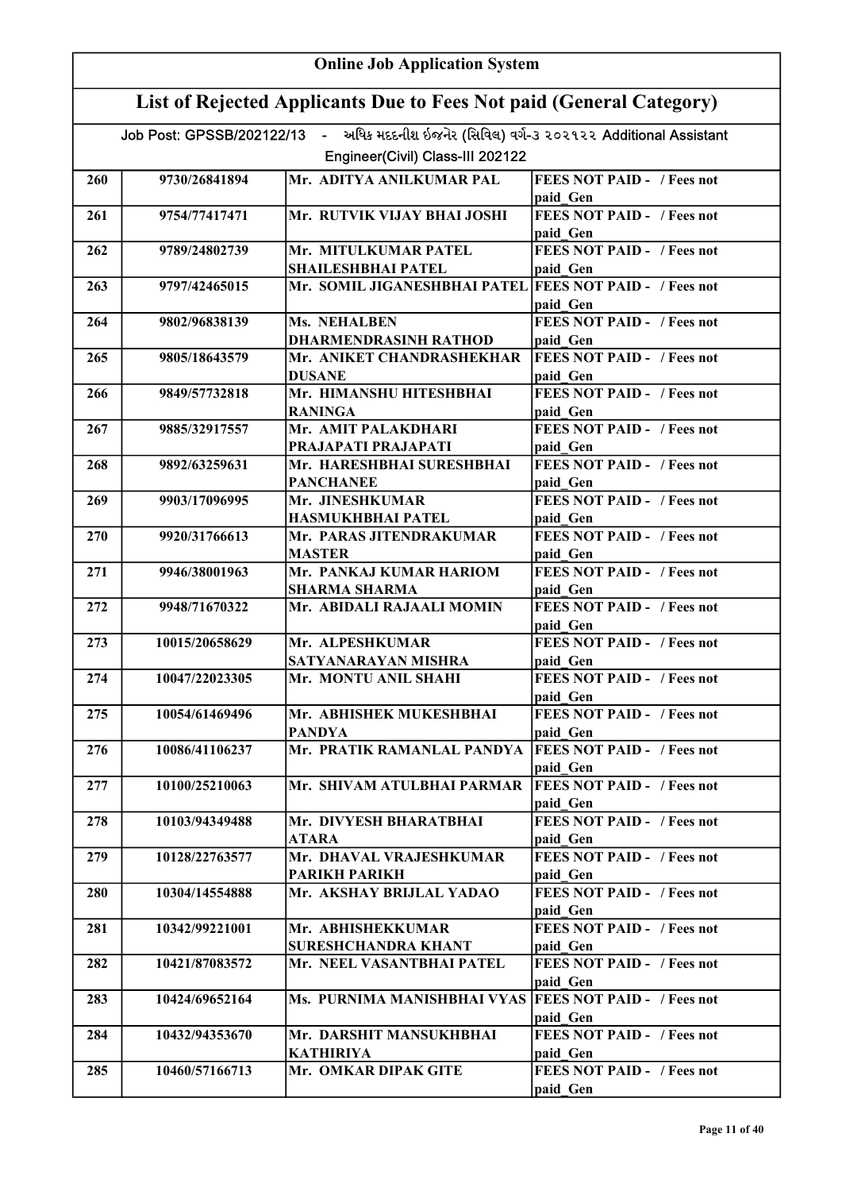| <b>Online Job Application System</b> |                                                                     |                                                                                          |                                               |  |
|--------------------------------------|---------------------------------------------------------------------|------------------------------------------------------------------------------------------|-----------------------------------------------|--|
|                                      | List of Rejected Applicants Due to Fees Not paid (General Category) |                                                                                          |                                               |  |
|                                      |                                                                     | Job Post: GPSSB/202122/13 - અધિક મદદનીશ ઇજનેર (સિવિલ) વર્ગ-૩ ૨૦૨૧૨૨ Additional Assistant |                                               |  |
|                                      |                                                                     | Engineer(Civil) Class-III 202122                                                         |                                               |  |
| 260                                  | 9730/26841894                                                       | Mr. ADITYA ANILKUMAR PAL                                                                 | <b>FEES NOT PAID - / Fees not</b>             |  |
|                                      |                                                                     |                                                                                          | paid Gen                                      |  |
| 261                                  | 9754/77417471                                                       | Mr. RUTVIK VIJAY BHAI JOSHI                                                              | <b>FEES NOT PAID - / Fees not</b>             |  |
|                                      |                                                                     |                                                                                          | paid Gen                                      |  |
| 262                                  | 9789/24802739                                                       | Mr. MITULKUMAR PATEL                                                                     | <b>FEES NOT PAID - / Fees not</b>             |  |
|                                      |                                                                     | SHAILESHBHAI PATEL                                                                       | paid Gen                                      |  |
| 263                                  | 9797/42465015                                                       | Mr. SOMIL JIGANESHBHAI PATEL FEES NOT PAID - / Fees not                                  | paid Gen                                      |  |
| 264                                  | 9802/96838139                                                       | Ms. NEHALBEN                                                                             | <b>FEES NOT PAID - / Fees not</b>             |  |
|                                      |                                                                     | <b>DHARMENDRASINH RATHOD</b>                                                             | paid Gen                                      |  |
| 265                                  | 9805/18643579                                                       | Mr. ANIKET CHANDRASHEKHAR                                                                | <b>FEES NOT PAID - / Fees not</b>             |  |
|                                      |                                                                     | <b>DUSANE</b>                                                                            | paid Gen                                      |  |
| 266                                  | 9849/57732818                                                       | Mr. HIMANSHU HITESHBHAI                                                                  | <b>FEES NOT PAID - / Fees not</b>             |  |
|                                      |                                                                     | <b>RANINGA</b>                                                                           | paid Gen                                      |  |
| 267                                  | 9885/32917557                                                       | Mr. AMIT PALAKDHARI<br>PRAJAPATI PRAJAPATI                                               | <b>FEES NOT PAID - / Fees not</b><br>paid Gen |  |
| 268                                  | 9892/63259631                                                       | Mr. HARESHBHAI SURESHBHAI                                                                | <b>FEES NOT PAID - / Fees not</b>             |  |
|                                      |                                                                     | <b>PANCHANEE</b>                                                                         | paid Gen                                      |  |
| 269                                  | 9903/17096995                                                       | Mr. JINESHKUMAR                                                                          | <b>FEES NOT PAID - / Fees not</b>             |  |
|                                      |                                                                     | <b>HASMUKHBHAI PATEL</b>                                                                 | paid Gen                                      |  |
| 270                                  | 9920/31766613                                                       | Mr. PARAS JITENDRAKUMAR                                                                  | <b>FEES NOT PAID - / Fees not</b>             |  |
|                                      |                                                                     | <b>MASTER</b>                                                                            | paid Gen                                      |  |
| 271                                  | 9946/38001963                                                       | Mr. PANKAJ KUMAR HARIOM                                                                  | <b>FEES NOT PAID - / Fees not</b>             |  |
|                                      |                                                                     | <b>SHARMA SHARMA</b>                                                                     | paid Gen                                      |  |
| 272                                  | 9948/71670322                                                       | Mr. ABIDALI RAJAALI MOMIN                                                                | <b>FEES NOT PAID - / Fees not</b>             |  |
| 273                                  | 10015/20658629                                                      | Mr. ALPESHKUMAR                                                                          | paid Gen<br><b>FEES NOT PAID - / Fees not</b> |  |
|                                      |                                                                     | SATYANARAYAN MISHRA                                                                      | paid Gen                                      |  |
| 274                                  | 10047/22023305                                                      | Mr. MONTU ANIL SHAHI                                                                     | <b>FEES NOT PAID - / Fees not</b>             |  |
|                                      |                                                                     |                                                                                          | paid Gen                                      |  |
| 275                                  | 10054/61469496                                                      | Mr. ABHISHEK MUKESHBHAI                                                                  | <b>FEES NOT PAID - / Fees not</b>             |  |
|                                      |                                                                     | <b>PANDYA</b>                                                                            | paid Gen                                      |  |
| 276                                  | 10086/41106237                                                      | Mr. PRATIK RAMANLAL PANDYA                                                               | <b>FEES NOT PAID - / Fees not</b>             |  |
|                                      |                                                                     |                                                                                          | paid Gen                                      |  |
| 277                                  | 10100/25210063                                                      | Mr. SHIVAM ATULBHAI PARMAR                                                               | <b>FEES NOT PAID - / Fees not</b>             |  |
| 278                                  | 10103/94349488                                                      | Mr. DIVYESH BHARATBHAI                                                                   | paid Gen<br><b>FEES NOT PAID - / Fees not</b> |  |
|                                      |                                                                     | <b>ATARA</b>                                                                             | paid Gen                                      |  |
| 279                                  | 10128/22763577                                                      | Mr. DHAVAL VRAJESHKUMAR                                                                  | <b>FEES NOT PAID - / Fees not</b>             |  |
|                                      |                                                                     | <b>PARIKH PARIKH</b>                                                                     | paid Gen                                      |  |
| 280                                  | 10304/14554888                                                      | Mr. AKSHAY BRIJLAL YADAO                                                                 | FEES NOT PAID - / Fees not                    |  |
|                                      |                                                                     |                                                                                          | paid Gen                                      |  |
| 281                                  | 10342/99221001                                                      | Mr. ABHISHEKKUMAR                                                                        | <b>FEES NOT PAID - / Fees not</b>             |  |
|                                      |                                                                     | <b>SURESHCHANDRA KHANT</b>                                                               | paid Gen                                      |  |
| 282                                  | 10421/87083572                                                      | Mr. NEEL VASANTBHAI PATEL                                                                | FEES NOT PAID - / Fees not<br>paid Gen        |  |
| 283                                  | 10424/69652164                                                      | Ms. PURNIMA MANISHBHAI VYAS                                                              | <b>FEES NOT PAID - / Fees not</b>             |  |
|                                      |                                                                     |                                                                                          | paid Gen                                      |  |
| 284                                  | 10432/94353670                                                      | Mr. DARSHIT MANSUKHBHAI                                                                  | <b>FEES NOT PAID - / Fees not</b>             |  |
|                                      |                                                                     | <b>KATHIRIYA</b>                                                                         | paid Gen                                      |  |
| 285                                  | 10460/57166713                                                      | Mr. OMKAR DIPAK GITE                                                                     | FEES NOT PAID - / Fees not                    |  |
|                                      |                                                                     |                                                                                          | paid Gen                                      |  |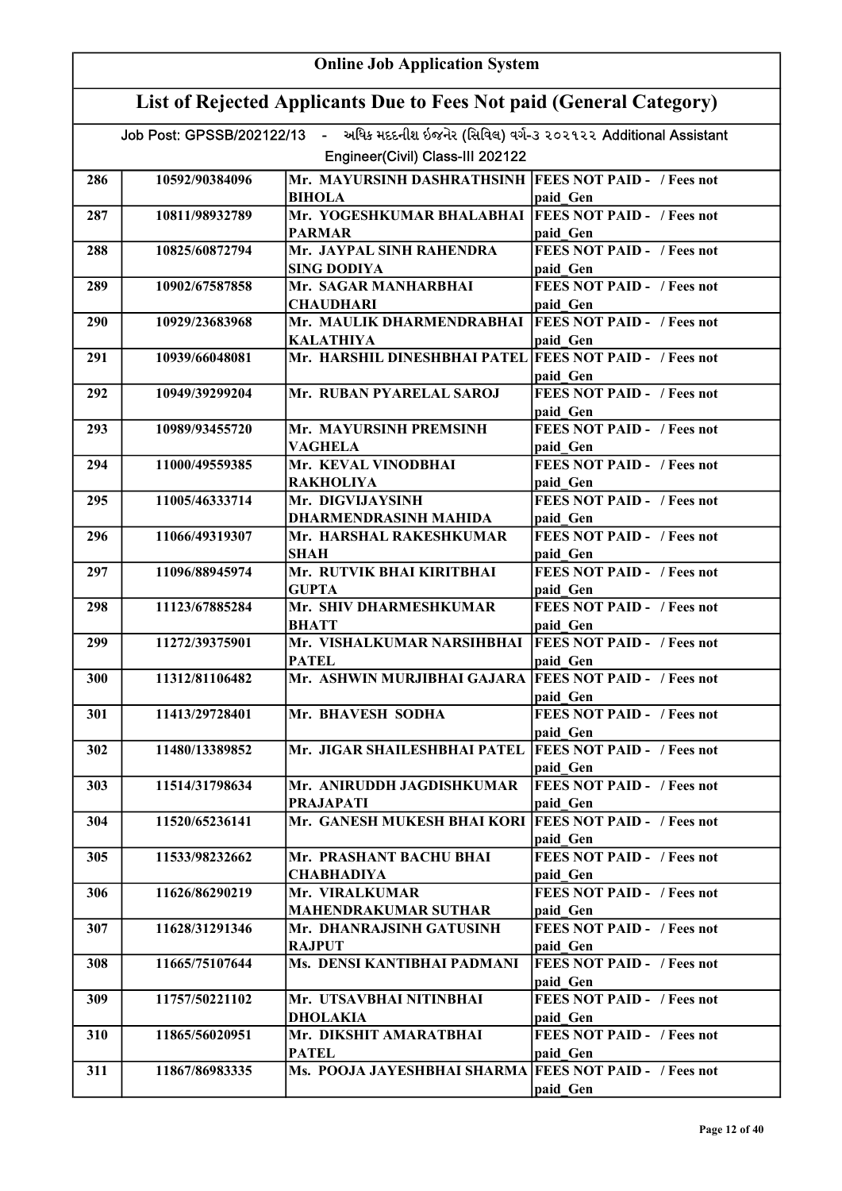|     | <b>Online Job Application System</b>                                |                                                                                          |                                               |  |
|-----|---------------------------------------------------------------------|------------------------------------------------------------------------------------------|-----------------------------------------------|--|
|     | List of Rejected Applicants Due to Fees Not paid (General Category) |                                                                                          |                                               |  |
|     |                                                                     | Job Post: GPSSB/202122/13 - અધિક મદદનીશ ઇજનેર (સિવિલ) વર્ગ-3 ૨૦૨૧૨૨ Additional Assistant |                                               |  |
|     |                                                                     | Engineer(Civil) Class-III 202122                                                         |                                               |  |
| 286 | 10592/90384096                                                      | Mr. MAYURSINH DASHRATHSINH  FEES NOT PAID - / Fees not                                   |                                               |  |
|     |                                                                     | <b>BIHOLA</b>                                                                            | paid Gen                                      |  |
| 287 | 10811/98932789                                                      | Mr. YOGESHKUMAR BHALABHAI   FEES NOT PAID - / Fees not                                   |                                               |  |
|     |                                                                     | <b>PARMAR</b>                                                                            | paid Gen                                      |  |
| 288 | 10825/60872794                                                      | Mr. JAYPAL SINH RAHENDRA<br><b>SING DODIYA</b>                                           | <b>FEES NOT PAID - / Fees not</b><br>paid Gen |  |
| 289 | 10902/67587858                                                      | Mr. SAGAR MANHARBHAI                                                                     | <b>FEES NOT PAID - / Fees not</b>             |  |
|     |                                                                     | <b>CHAUDHARI</b>                                                                         | paid Gen                                      |  |
| 290 | 10929/23683968                                                      | Mr. MAULIK DHARMENDRABHAI                                                                | <b>FEES NOT PAID - / Fees not</b>             |  |
| 291 | 10939/66048081                                                      | <b>KALATHIYA</b><br>Mr. HARSHIL DINESHBHAI PATEL FEES NOT PAID - / Fees not              | paid Gen                                      |  |
|     |                                                                     |                                                                                          | paid Gen                                      |  |
| 292 | 10949/39299204                                                      | Mr. RUBAN PYARELAL SAROJ                                                                 | <b>FEES NOT PAID - / Fees not</b>             |  |
|     |                                                                     |                                                                                          | paid Gen                                      |  |
| 293 | 10989/93455720                                                      | Mr. MAYURSINH PREMSINH                                                                   | <b>FEES NOT PAID - / Fees not</b>             |  |
|     |                                                                     | VAGHELA                                                                                  | paid Gen                                      |  |
| 294 | 11000/49559385                                                      | Mr. KEVAL VINODBHAI<br><b>RAKHOLIYA</b>                                                  | <b>FEES NOT PAID - / Fees not</b><br>paid Gen |  |
| 295 | 11005/46333714                                                      | Mr. DIGVIJAYSINH                                                                         | <b>FEES NOT PAID - / Fees not</b>             |  |
|     |                                                                     | <b>DHARMENDRASINH MAHIDA</b>                                                             | paid Gen                                      |  |
| 296 | 11066/49319307                                                      | Mr. HARSHAL RAKESHKUMAR                                                                  | <b>FEES NOT PAID - / Fees not</b>             |  |
|     |                                                                     | <b>SHAH</b>                                                                              | paid Gen                                      |  |
| 297 | 11096/88945974                                                      | Mr. RUTVIK BHAI KIRITBHAI                                                                | <b>FEES NOT PAID - / Fees not</b>             |  |
| 298 | 11123/67885284                                                      | <b>GUPTA</b><br>Mr. SHIV DHARMESHKUMAR                                                   | paid Gen<br><b>FEES NOT PAID - / Fees not</b> |  |
|     |                                                                     | <b>BHATT</b>                                                                             | paid Gen                                      |  |
| 299 | 11272/39375901                                                      | Mr. VISHALKUMAR NARSIHBHAI                                                               | <b>FEES NOT PAID - / Fees not</b>             |  |
|     |                                                                     | <b>PATEL</b>                                                                             | paid Gen                                      |  |
| 300 | 11312/81106482                                                      | Mr. ASHWIN MURJIBHAI GAJARA FEES NOT PAID - / Fees not                                   |                                               |  |
| 301 | 11413/29728401                                                      | Mr. BHAVESH SODHA                                                                        | paid Gen<br><b>FEES NOT PAID - / Fees not</b> |  |
|     |                                                                     |                                                                                          | paid Gen                                      |  |
| 302 | 11480/13389852                                                      | Mr. JIGAR SHAILESHBHAI PATEL   FEES NOT PAID - / Fees not                                |                                               |  |
|     |                                                                     |                                                                                          | paid Gen                                      |  |
| 303 | 11514/31798634                                                      | Mr. ANIRUDDH JAGDISHKUMAR                                                                | <b>FEES NOT PAID - / Fees not</b>             |  |
| 304 | 11520/65236141                                                      | <b>PRAJAPATI</b><br>Mr. GANESH MUKESH BHAI KORI   FEES NOT PAID - / Fees not             | paid Gen                                      |  |
|     |                                                                     |                                                                                          | paid Gen                                      |  |
| 305 | 11533/98232662                                                      | Mr. PRASHANT BACHU BHAI                                                                  | <b>FEES NOT PAID - / Fees not</b>             |  |
|     |                                                                     | <b>CHABHADIYA</b>                                                                        | paid Gen                                      |  |
| 306 | 11626/86290219                                                      | Mr. VIRALKUMAR                                                                           | <b>FEES NOT PAID - / Fees not</b>             |  |
| 307 | 11628/31291346                                                      | <b>MAHENDRAKUMAR SUTHAR</b><br>Mr. DHANRAJSINH GATUSINH                                  | paid Gen<br><b>FEES NOT PAID - / Fees not</b> |  |
|     |                                                                     | <b>RAJPUT</b>                                                                            | paid Gen                                      |  |
| 308 | 11665/75107644                                                      | Ms. DENSI KANTIBHAI PADMANI                                                              | <b>FEES NOT PAID - / Fees not</b>             |  |
|     |                                                                     |                                                                                          | paid Gen                                      |  |
| 309 | 11757/50221102                                                      | Mr. UTSAVBHAI NITINBHAI                                                                  | <b>FEES NOT PAID - / Fees not</b>             |  |
|     |                                                                     | <b>DHOLAKIA</b>                                                                          | paid Gen                                      |  |
| 310 | 11865/56020951                                                      | Mr. DIKSHIT AMARATBHAI<br><b>PATEL</b>                                                   | <b>FEES NOT PAID - / Fees not</b><br>paid Gen |  |
| 311 | 11867/86983335                                                      | Ms. POOJA JAYESHBHAI SHARMA FEES NOT PAID - / Fees not                                   |                                               |  |
|     |                                                                     |                                                                                          | paid Gen                                      |  |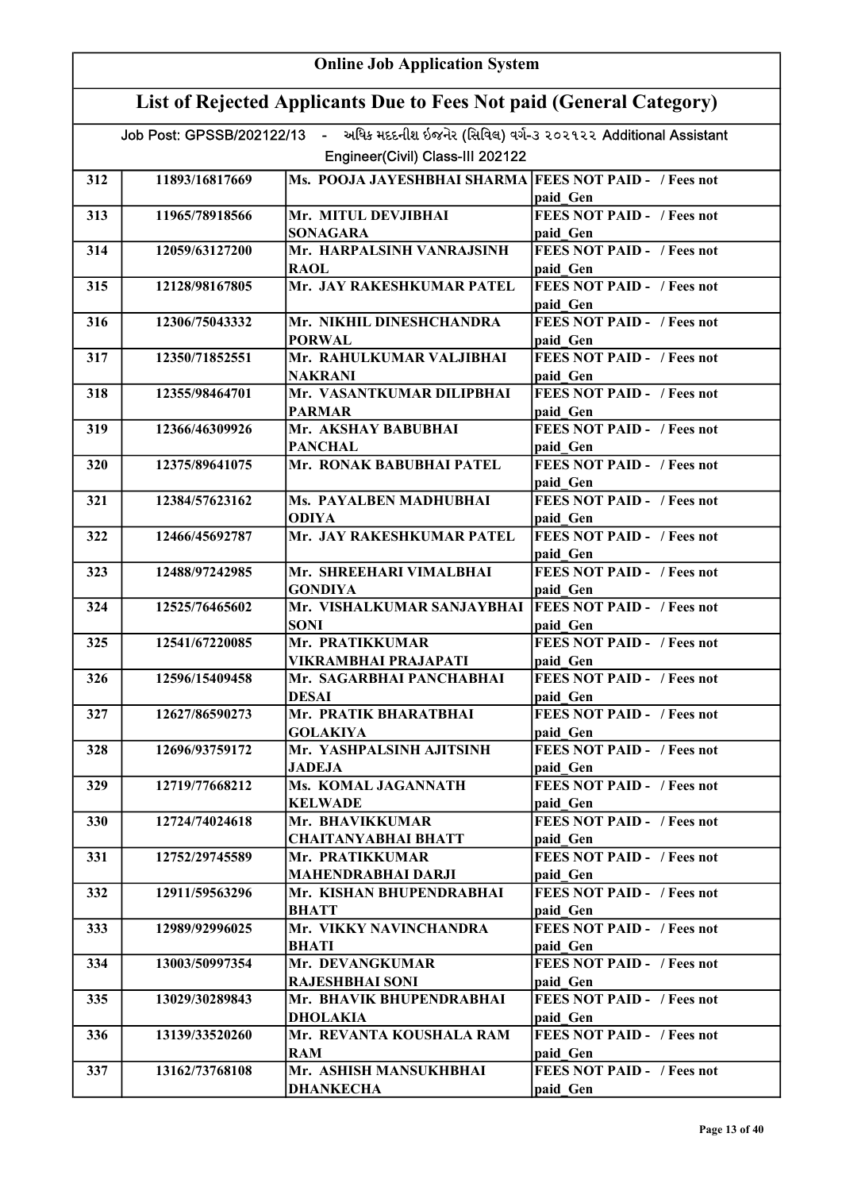| <b>Online Job Application System</b> |                                                                     |                                                                                          |                                                           |  |
|--------------------------------------|---------------------------------------------------------------------|------------------------------------------------------------------------------------------|-----------------------------------------------------------|--|
|                                      | List of Rejected Applicants Due to Fees Not paid (General Category) |                                                                                          |                                                           |  |
|                                      |                                                                     | Job Post: GPSSB/202122/13 - અધિક મદદનીશ ઇજનેર (સિવિલ) વર્ગ-૩ ૨૦૨૧૨૨ Additional Assistant |                                                           |  |
|                                      |                                                                     | Engineer(Civil) Class-III 202122                                                         |                                                           |  |
| 312                                  | 11893/16817669                                                      | Ms. POOJA JAYESHBHAI SHARMA FEES NOT PAID - / Fees not                                   | paid Gen                                                  |  |
| 313                                  | 11965/78918566                                                      | Mr. MITUL DEVJIBHAI<br><b>SONAGARA</b>                                                   | <b>FEES NOT PAID - / Fees not</b><br>paid Gen             |  |
| 314                                  | 12059/63127200                                                      | Mr. HARPALSINH VANRAJSINH<br><b>RAOL</b>                                                 | <b>FEES NOT PAID - / Fees not</b><br>paid Gen             |  |
| 315                                  | 12128/98167805                                                      | Mr. JAY RAKESHKUMAR PATEL                                                                | <b>FEES NOT PAID - / Fees not</b><br>paid Gen             |  |
| 316                                  | 12306/75043332                                                      | Mr. NIKHIL DINESHCHANDRA<br><b>PORWAL</b>                                                | <b>FEES NOT PAID - / Fees not</b><br>paid Gen             |  |
| 317                                  | 12350/71852551                                                      | Mr. RAHULKUMAR VALJIBHAI<br><b>NAKRANI</b>                                               | <b>FEES NOT PAID - / Fees not</b><br>paid Gen             |  |
| 318                                  | 12355/98464701                                                      | Mr. VASANTKUMAR DILIPBHAI<br><b>PARMAR</b>                                               | FEES NOT PAID - / Fees not<br>paid Gen                    |  |
| 319                                  | 12366/46309926                                                      | Mr. AKSHAY BABUBHAI<br><b>PANCHAL</b>                                                    | <b>FEES NOT PAID - / Fees not</b>                         |  |
| 320                                  | 12375/89641075                                                      | Mr. RONAK BABUBHAI PATEL                                                                 | paid Gen<br><b>FEES NOT PAID - / Fees not</b>             |  |
| 321                                  | 12384/57623162                                                      | Ms. PAYALBEN MADHUBHAI<br><b>ODIYA</b>                                                   | paid Gen<br><b>FEES NOT PAID - / Fees not</b>             |  |
| 322                                  | 12466/45692787                                                      | Mr. JAY RAKESHKUMAR PATEL                                                                | paid Gen<br><b>FEES NOT PAID - / Fees not</b>             |  |
| 323                                  | 12488/97242985                                                      | Mr. SHREEHARI VIMALBHAI<br><b>GONDIYA</b>                                                | paid Gen<br><b>FEES NOT PAID - / Fees not</b><br>paid Gen |  |
| 324                                  | 12525/76465602                                                      | Mr. VISHALKUMAR SANJAYBHAI<br><b>SONI</b>                                                | <b>FEES NOT PAID - / Fees not</b><br>paid Gen             |  |
| 325                                  | 12541/67220085                                                      | Mr. PRATIKKUMAR<br>VIKRAMBHAI PRAJAPATI                                                  | <b>FEES NOT PAID - / Fees not</b><br>paid Gen             |  |
| 326                                  | 12596/15409458                                                      | Mr. SAGARBHAI PANCHABHAI<br><b>DESAI</b>                                                 | <b>FEES NOT PAID - / Fees not</b><br>paid Gen             |  |
| 327                                  | 12627/86590273                                                      | Mr. PRATIK BHARATBHAI<br><b>GOLAKIYA</b>                                                 | <b>FEES NOT PAID - / Fees not</b><br>paid Gen             |  |
| 328                                  | 12696/93759172                                                      | Mr. YASHPALSINH AJITSINH<br><b>JADEJA</b>                                                | <b>FEES NOT PAID - / Fees not</b><br>paid Gen             |  |
| 329                                  | 12719/77668212                                                      | Ms. KOMAL JAGANNATH<br><b>KELWADE</b>                                                    | <b>FEES NOT PAID - / Fees not</b><br>paid Gen             |  |
| 330                                  | 12724/74024618                                                      | Mr. BHAVIKKUMAR<br><b>CHAITANYABHAI BHATT</b>                                            | <b>FEES NOT PAID - / Fees not</b><br>paid Gen             |  |
| 331                                  | 12752/29745589                                                      | Mr. PRATIKKUMAR<br>MAHENDRABHAI DARJI                                                    | FEES NOT PAID - / Fees not<br>paid Gen                    |  |
| 332                                  | 12911/59563296                                                      | Mr. KISHAN BHUPENDRABHAI<br><b>BHATT</b>                                                 | <b>FEES NOT PAID - / Fees not</b><br>paid Gen             |  |
| 333                                  | 12989/92996025                                                      | Mr. VIKKY NAVINCHANDRA<br><b>BHATI</b>                                                   | <b>FEES NOT PAID - / Fees not</b><br>paid Gen             |  |
| 334                                  | 13003/50997354                                                      | Mr. DEVANGKUMAR<br><b>RAJESHBHAI SONI</b>                                                | FEES NOT PAID - / Fees not                                |  |
| 335                                  | 13029/30289843                                                      | Mr. BHAVIK BHUPENDRABHAI                                                                 | paid Gen<br><b>FEES NOT PAID - / Fees not</b>             |  |
| 336                                  | 13139/33520260                                                      | <b>DHOLAKIA</b><br>Mr. REVANTA KOUSHALA RAM                                              | paid Gen<br>FEES NOT PAID - / Fees not                    |  |
| 337                                  | 13162/73768108                                                      | <b>RAM</b><br>Mr. ASHISH MANSUKHBHAI<br><b>DHANKECHA</b>                                 | paid Gen<br>FEES NOT PAID - / Fees not<br>paid Gen        |  |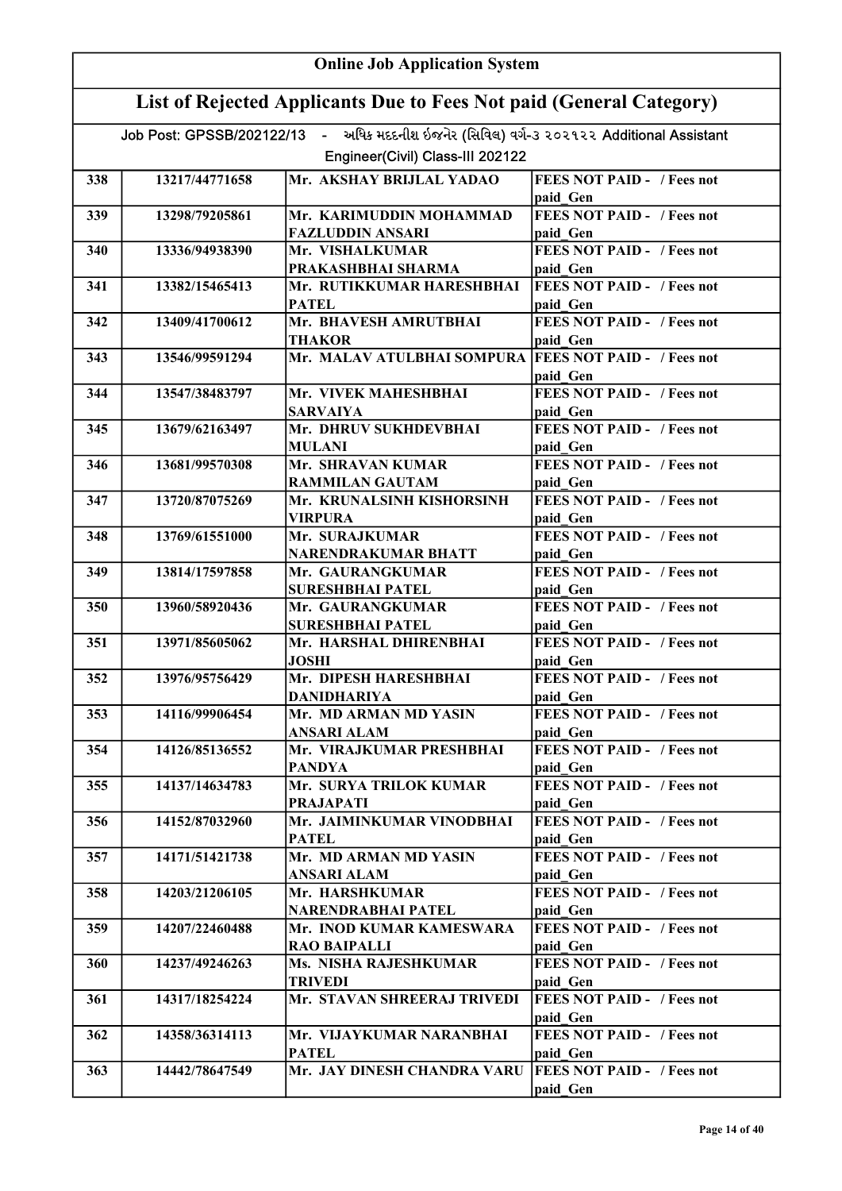|     | <b>Online Job Application System</b>                                |                                                                                          |                                               |  |
|-----|---------------------------------------------------------------------|------------------------------------------------------------------------------------------|-----------------------------------------------|--|
|     | List of Rejected Applicants Due to Fees Not paid (General Category) |                                                                                          |                                               |  |
|     |                                                                     | Job Post: GPSSB/202122/13 - અધિક મદદનીશ ઇજનેર (સિવિલ) વર્ગ-૩ ૨૦૨૧૨૨ Additional Assistant |                                               |  |
|     |                                                                     | Engineer(Civil) Class-III 202122                                                         |                                               |  |
| 338 | 13217/44771658                                                      | Mr. AKSHAY BRIJLAL YADAO                                                                 | <b>FEES NOT PAID - / Fees not</b><br>paid Gen |  |
| 339 | 13298/79205861                                                      | Mr. KARIMUDDIN MOHAMMAD<br><b>FAZLUDDIN ANSARI</b>                                       | <b>FEES NOT PAID - / Fees not</b><br>paid Gen |  |
| 340 | 13336/94938390                                                      | Mr. VISHALKUMAR                                                                          | <b>FEES NOT PAID - / Fees not</b>             |  |
| 341 | 13382/15465413                                                      | PRAKASHBHAI SHARMA<br>Mr. RUTIKKUMAR HARESHBHAI                                          | paid Gen<br><b>FEES NOT PAID - / Fees not</b> |  |
| 342 | 13409/41700612                                                      | <b>PATEL</b><br>Mr. BHAVESH AMRUTBHAI                                                    | paid Gen<br><b>FEES NOT PAID - / Fees not</b> |  |
|     |                                                                     | <b>THAKOR</b>                                                                            | paid Gen                                      |  |
| 343 | 13546/99591294                                                      | Mr. MALAV ATULBHAI SOMPURA FEES NOT PAID - / Fees not                                    | paid Gen                                      |  |
| 344 | 13547/38483797                                                      | Mr. VIVEK MAHESHBHAI<br><b>SARVAIYA</b>                                                  | <b>FEES NOT PAID - / Fees not</b><br>paid Gen |  |
| 345 | 13679/62163497                                                      | Mr. DHRUV SUKHDEVBHAI                                                                    | <b>FEES NOT PAID - / Fees not</b>             |  |
| 346 | 13681/99570308                                                      | <b>MULANI</b><br>Mr. SHRAVAN KUMAR                                                       | paid Gen<br><b>FEES NOT PAID - / Fees not</b> |  |
| 347 | 13720/87075269                                                      | <b>RAMMILAN GAUTAM</b><br>Mr. KRUNALSINH KISHORSINH                                      | paid Gen<br><b>FEES NOT PAID - / Fees not</b> |  |
| 348 | 13769/61551000                                                      | <b>VIRPURA</b><br>Mr. SURAJKUMAR                                                         | paid Gen<br><b>FEES NOT PAID - / Fees not</b> |  |
|     |                                                                     | <b>NARENDRAKUMAR BHATT</b>                                                               | paid Gen                                      |  |
| 349 | 13814/17597858                                                      | Mr. GAURANGKUMAR<br><b>SURESHBHAI PATEL</b>                                              | <b>FEES NOT PAID - / Fees not</b><br>paid Gen |  |
| 350 | 13960/58920436                                                      | Mr. GAURANGKUMAR<br><b>SURESHBHAI PATEL</b>                                              | <b>FEES NOT PAID - / Fees not</b><br>paid Gen |  |
| 351 | 13971/85605062                                                      | Mr. HARSHAL DHIRENBHAI<br><b>JOSHI</b>                                                   | <b>FEES NOT PAID - / Fees not</b>             |  |
| 352 | 13976/95756429                                                      | Mr. DIPESH HARESHBHAI                                                                    | paid Gen<br><b>FEES NOT PAID - / Fees not</b> |  |
| 353 | 14116/99906454                                                      | DANIDHARIYA<br>Mr. MD ARMAN MD YASIN                                                     | paid Gen<br><b>FEES NOT PAID - / Fees not</b> |  |
| 354 | 14126/85136552                                                      | <b>ANSARI ALAM</b><br>Mr. VIRAJKUMAR PRESHBHAI                                           | paid Gen<br><b>FEES NOT PAID - / Fees not</b> |  |
|     |                                                                     | PANDYA                                                                                   | paid Gen                                      |  |
| 355 | 14137/14634783                                                      | Mr. SURYA TRILOK KUMAR<br><b>PRAJAPATI</b>                                               | <b>FEES NOT PAID - / Fees not</b><br>paid Gen |  |
| 356 | 14152/87032960                                                      | Mr. JAIMINKUMAR VINODBHAI<br><b>PATEL</b>                                                | <b>FEES NOT PAID - / Fees not</b><br>paid Gen |  |
| 357 | 14171/51421738                                                      | Mr. MD ARMAN MD YASIN<br><b>ANSARI ALAM</b>                                              | <b>FEES NOT PAID - / Fees not</b><br>paid Gen |  |
| 358 | 14203/21206105                                                      | Mr. HARSHKUMAR                                                                           | <b>FEES NOT PAID - / Fees not</b>             |  |
| 359 | 14207/22460488                                                      | NARENDRABHAI PATEL<br>Mr. INOD KUMAR KAMESWARA                                           | paid Gen<br><b>FEES NOT PAID - / Fees not</b> |  |
| 360 | 14237/49246263                                                      | <b>RAO BAIPALLI</b><br>Ms. NISHA RAJESHKUMAR                                             | paid Gen<br><b>FEES NOT PAID - / Fees not</b> |  |
| 361 | 14317/18254224                                                      | <b>TRIVEDI</b><br>Mr. STAVAN SHREERAJ TRIVEDI                                            | paid Gen<br><b>FEES NOT PAID - / Fees not</b> |  |
|     |                                                                     |                                                                                          | paid Gen                                      |  |
| 362 | 14358/36314113                                                      | Mr. VIJAYKUMAR NARANBHAI<br><b>PATEL</b>                                                 | <b>FEES NOT PAID - / Fees not</b><br>paid Gen |  |
| 363 | 14442/78647549                                                      | Mr. JAY DINESH CHANDRA VARU                                                              | <b>FEES NOT PAID - / Fees not</b><br>paid Gen |  |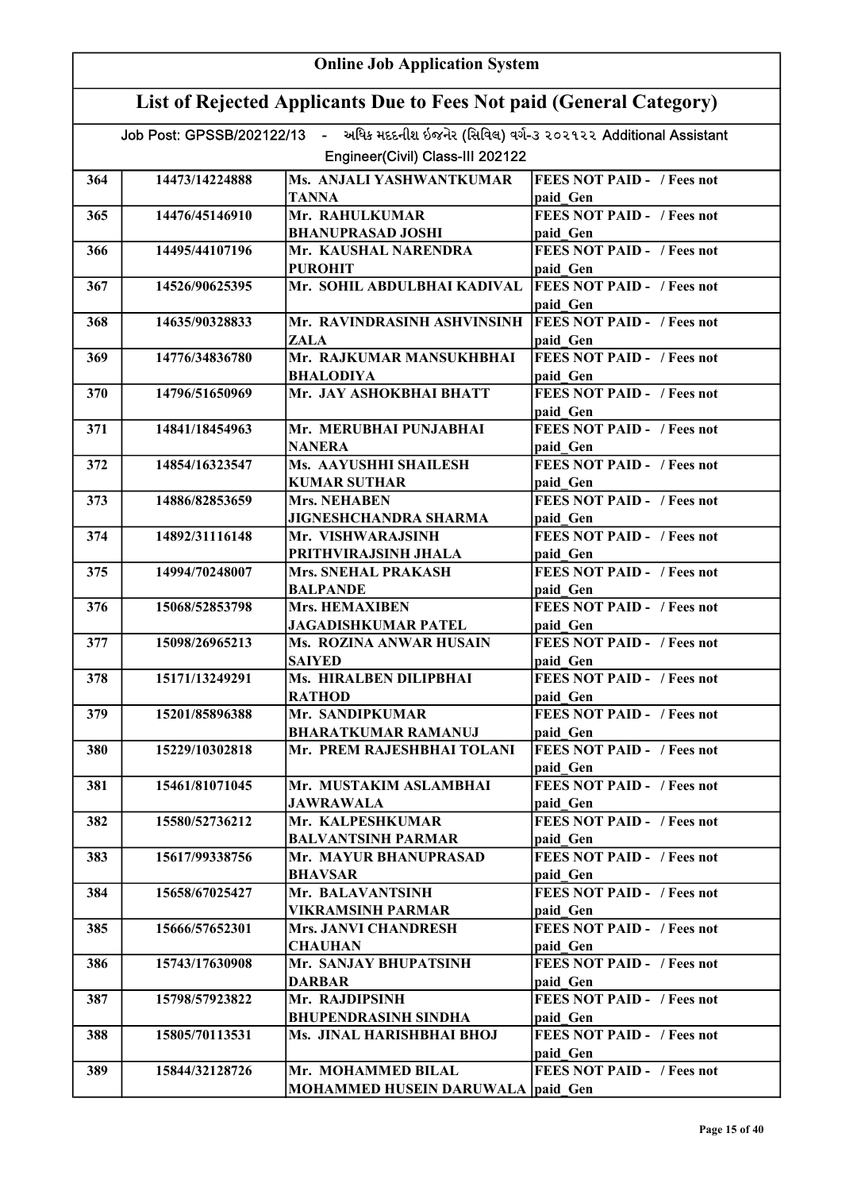|     | <b>Online Job Application System</b>                                |                                                                                                                              |                                                           |  |
|-----|---------------------------------------------------------------------|------------------------------------------------------------------------------------------------------------------------------|-----------------------------------------------------------|--|
|     | List of Rejected Applicants Due to Fees Not paid (General Category) |                                                                                                                              |                                                           |  |
|     |                                                                     | Job Post: GPSSB/202122/13 - અધિક મદદનીશ ઇજનેર (સિવિલ) વર્ગ-૩ ૨૦૨૧૨૨ Additional Assistant<br>Engineer(Civil) Class-III 202122 |                                                           |  |
|     |                                                                     |                                                                                                                              |                                                           |  |
| 364 | 14473/14224888                                                      | Ms. ANJALI YASHWANTKUMAR<br><b>TANNA</b>                                                                                     | <b>FEES NOT PAID - / Fees not</b><br>paid Gen             |  |
| 365 | 14476/45146910                                                      | Mr. RAHULKUMAR<br><b>BHANUPRASAD JOSHI</b>                                                                                   | <b>FEES NOT PAID - / Fees not</b><br>paid Gen             |  |
| 366 | 14495/44107196                                                      | Mr. KAUSHAL NARENDRA<br><b>PUROHIT</b>                                                                                       | <b>FEES NOT PAID - / Fees not</b><br>paid Gen             |  |
| 367 | 14526/90625395                                                      | Mr. SOHIL ABDULBHAI KADIVAL                                                                                                  | <b>FEES NOT PAID - / Fees not</b><br>paid Gen             |  |
| 368 | 14635/90328833                                                      | Mr. RAVINDRASINH ASHVINSINH<br><b>ZALA</b>                                                                                   | <b>FEES NOT PAID - / Fees not</b><br>paid Gen             |  |
| 369 | 14776/34836780                                                      | Mr. RAJKUMAR MANSUKHBHAI<br><b>BHALODIYA</b>                                                                                 | <b>FEES NOT PAID - / Fees not</b><br>paid Gen             |  |
| 370 | 14796/51650969                                                      | Mr. JAY ASHOKBHAI BHATT                                                                                                      | <b>FEES NOT PAID - / Fees not</b><br>paid Gen             |  |
| 371 | 14841/18454963                                                      | Mr. MERUBHAI PUNJABHAI<br><b>NANERA</b>                                                                                      | <b>FEES NOT PAID - / Fees not</b>                         |  |
| 372 | 14854/16323547                                                      | Ms. AAYUSHHI SHAILESH                                                                                                        | paid Gen<br><b>FEES NOT PAID - / Fees not</b>             |  |
| 373 | 14886/82853659                                                      | <b>KUMAR SUTHAR</b><br><b>Mrs. NEHABEN</b>                                                                                   | paid Gen<br><b>FEES NOT PAID - / Fees not</b>             |  |
| 374 | 14892/31116148                                                      | <b>JIGNESHCHANDRA SHARMA</b><br>Mr. VISHWARAJSINH                                                                            | paid Gen<br><b>FEES NOT PAID - / Fees not</b>             |  |
| 375 | 14994/70248007                                                      | PRITHVIRAJSINH JHALA<br><b>Mrs. SNEHAL PRAKASH</b><br><b>BALPANDE</b>                                                        | paid Gen<br><b>FEES NOT PAID - / Fees not</b><br>paid Gen |  |
| 376 | 15068/52853798                                                      | <b>Mrs. HEMAXIBEN</b><br><b>JAGADISHKUMAR PATEL</b>                                                                          | <b>FEES NOT PAID - / Fees not</b><br>paid Gen             |  |
| 377 | 15098/26965213                                                      | Ms. ROZINA ANWAR HUSAIN<br><b>SAIYED</b>                                                                                     | <b>FEES NOT PAID - / Fees not</b><br>paid Gen             |  |
| 378 | 15171/13249291                                                      | Ms. HIRALBEN DILIPBHAI<br><b>RATHOD</b>                                                                                      | <b>FEES NOT PAID - / Fees not</b><br>paid Gen             |  |
| 379 | 15201/85896388                                                      | Mr. SANDIPKUMAR<br><b>BHARATKUMAR RAMANUJ</b>                                                                                | <b>FEES NOT PAID - / Fees not</b><br>paid Gen             |  |
| 380 | 15229/10302818                                                      | Mr. PREM RAJESHBHAI TOLANI                                                                                                   | <b>FEES NOT PAID - / Fees not</b><br>paid Gen             |  |
| 381 | 15461/81071045                                                      | Mr. MUSTAKIM ASLAMBHAI<br><b>JAWRAWALA</b>                                                                                   | <b>FEES NOT PAID - / Fees not</b><br>paid Gen             |  |
| 382 | 15580/52736212                                                      | Mr. KALPESHKUMAR<br><b>BALVANTSINH PARMAR</b>                                                                                | <b>FEES NOT PAID - / Fees not</b><br>paid Gen             |  |
| 383 | 15617/99338756                                                      | Mr. MAYUR BHANUPRASAD<br><b>BHAVSAR</b>                                                                                      | <b>FEES NOT PAID - / Fees not</b><br>paid Gen             |  |
| 384 | 15658/67025427                                                      | Mr. BALAVANTSINH<br><b>VIKRAMSINH PARMAR</b>                                                                                 | <b>FEES NOT PAID - / Fees not</b><br>paid Gen             |  |
| 385 | 15666/57652301                                                      | <b>Mrs. JANVI CHANDRESH</b><br><b>CHAUHAN</b>                                                                                | <b>FEES NOT PAID - / Fees not</b><br>paid Gen             |  |
| 386 | 15743/17630908                                                      | Mr. SANJAY BHUPATSINH<br><b>DARBAR</b>                                                                                       | <b>FEES NOT PAID - / Fees not</b><br>paid Gen             |  |
| 387 | 15798/57923822                                                      | Mr. RAJDIPSINH                                                                                                               | <b>FEES NOT PAID - / Fees not</b>                         |  |
| 388 | 15805/70113531                                                      | <b>BHUPENDRASINH SINDHA</b><br>Ms. JINAL HARISHBHAI BHOJ                                                                     | paid Gen<br><b>FEES NOT PAID - / Fees not</b>             |  |
| 389 | 15844/32128726                                                      | Mr. MOHAMMED BILAL<br><b>MOHAMMED HUSEIN DARUWALA paid Gen</b>                                                               | paid Gen<br><b>FEES NOT PAID - / Fees not</b>             |  |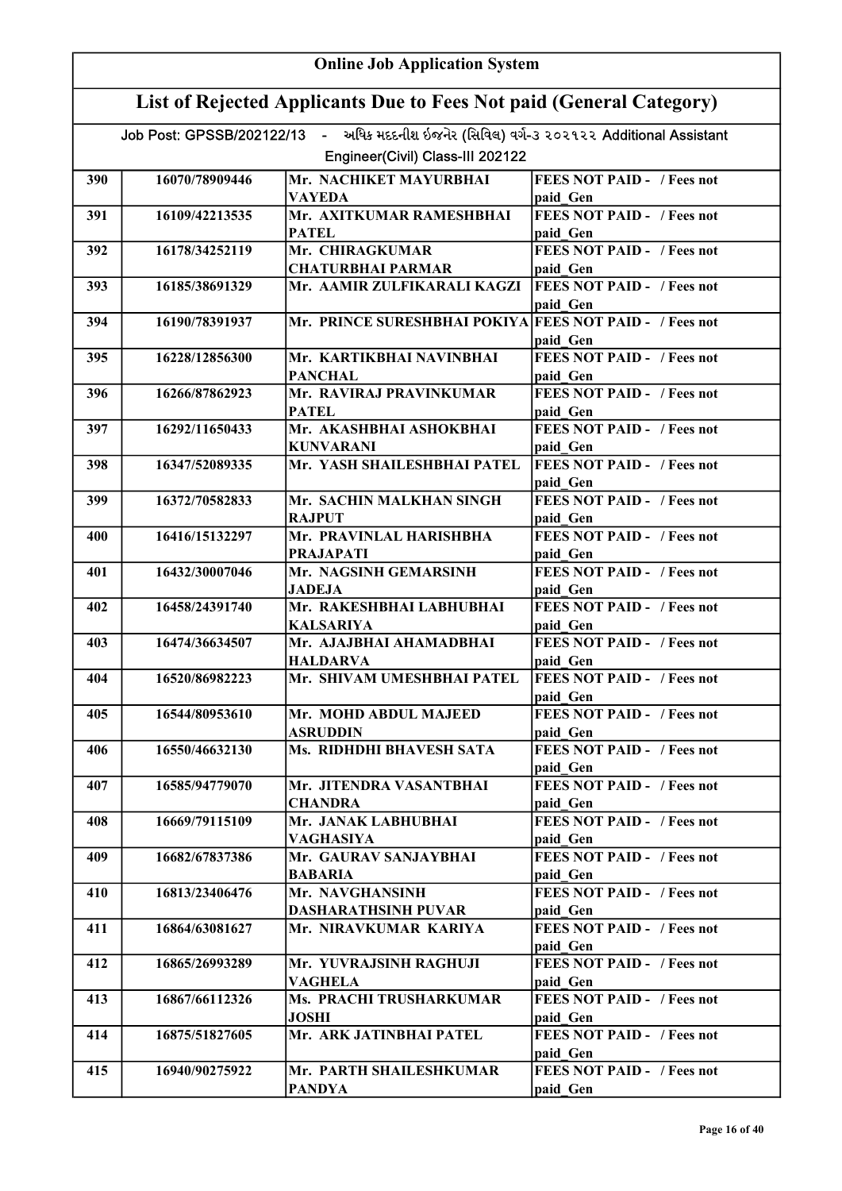|     | <b>Online Job Application System</b>                                                                                         |                                                         |                                                |  |  |
|-----|------------------------------------------------------------------------------------------------------------------------------|---------------------------------------------------------|------------------------------------------------|--|--|
|     | List of Rejected Applicants Due to Fees Not paid (General Category)                                                          |                                                         |                                                |  |  |
|     | Job Post: GPSSB/202122/13 - અધિક મદદનીશ ઇજનેર (સિવિલ) વર્ગ-૩ ૨૦૨૧૨૨ Additional Assistant<br>Engineer(Civil) Class-III 202122 |                                                         |                                                |  |  |
| 390 | 16070/78909446                                                                                                               | Mr. NACHIKET MAYURBHAI                                  | <b>FEES NOT PAID - / Fees not</b>              |  |  |
|     |                                                                                                                              | <b>VAYEDA</b>                                           | paid Gen                                       |  |  |
| 391 | 16109/42213535                                                                                                               | Mr. AXITKUMAR RAMESHBHAI<br><b>PATEL</b>                | <b>FEES NOT PAID - / Fees not</b><br>paid Gen  |  |  |
| 392 | 16178/34252119                                                                                                               | Mr. CHIRAGKUMAR                                         | <b>FEES NOT PAID - / Fees not</b>              |  |  |
|     |                                                                                                                              | <b>CHATURBHAI PARMAR</b>                                | paid Gen                                       |  |  |
| 393 | 16185/38691329                                                                                                               | Mr. AAMIR ZULFIKARALI KAGZI                             | <b>FEES NOT PAID - / Fees not</b><br>paid Gen  |  |  |
| 394 | 16190/78391937                                                                                                               | Mr. PRINCE SURESHBHAI POKIYA FEES NOT PAID - / Fees not | paid Gen                                       |  |  |
| 395 | 16228/12856300                                                                                                               | Mr. KARTIKBHAI NAVINBHAI<br><b>PANCHAL</b>              | <b>FEES NOT PAID - / Fees not</b><br>paid Gen  |  |  |
| 396 | 16266/87862923                                                                                                               | Mr. RAVIRAJ PRAVINKUMAR<br><b>PATEL</b>                 | <b>FEES NOT PAID - / Fees not</b><br>paid Gen  |  |  |
| 397 | 16292/11650433                                                                                                               | Mr. AKASHBHAI ASHOKBHAI                                 | <b>FEES NOT PAID - / Fees not</b>              |  |  |
| 398 | 16347/52089335                                                                                                               | <b>KUNVARANI</b><br>Mr. YASH SHAILESHBHAI PATEL         | paid Gen<br><b>FEES NOT PAID - / Fees not</b>  |  |  |
|     |                                                                                                                              |                                                         | paid Gen                                       |  |  |
| 399 | 16372/70582833                                                                                                               | Mr. SACHIN MALKHAN SINGH<br><b>RAJPUT</b>               | <b>FEES NOT PAID - / Fees not</b><br>paid Gen  |  |  |
| 400 | 16416/15132297                                                                                                               | Mr. PRAVINLAL HARISHBHA<br><b>PRAJAPATI</b>             | <b>FEES NOT PAID - / Fees not</b><br>paid Gen  |  |  |
| 401 | 16432/30007046                                                                                                               | Mr. NAGSINH GEMARSINH<br><b>JADEJA</b>                  | <b>FEES NOT PAID - / Fees not</b><br>paid Gen  |  |  |
| 402 | 16458/24391740                                                                                                               | Mr. RAKESHBHAI LABHUBHAI<br><b>KALSARIYA</b>            | FEES NOT PAID - / Fees not<br>paid Gen         |  |  |
| 403 | 16474/36634507                                                                                                               | Mr. AJAJBHAI AHAMADBHAI                                 | <b>FEES NOT PAID - / Fees not</b>              |  |  |
| 404 | 16520/86982223                                                                                                               | <b>HALDARVA</b><br>Mr. SHIVAM UMESHBHAI PATEL           | paid Gen<br><b>IFEES NOT PAID - / Fees not</b> |  |  |
| 405 | 16544/80953610                                                                                                               | Mr. MOHD ABDUL MAJEED                                   | paid Gen<br><b>FEES NOT PAID - / Fees not</b>  |  |  |
| 406 | 16550/46632130                                                                                                               | <b>ASRUDDIN</b><br>Ms. RIDHDHI BHAVESH SATA             | paid Gen<br><b>FEES NOT PAID - / Fees not</b>  |  |  |
|     |                                                                                                                              |                                                         | paid Gen                                       |  |  |
| 407 | 16585/94779070                                                                                                               | Mr. JITENDRA VASANTBHAI<br><b>CHANDRA</b>               | FEES NOT PAID - / Fees not<br>paid Gen         |  |  |
| 408 | 16669/79115109                                                                                                               | Mr. JANAK LABHUBHAI<br>VAGHASIYA                        | FEES NOT PAID - / Fees not<br>paid Gen         |  |  |
| 409 | 16682/67837386                                                                                                               | Mr. GAURAV SANJAYBHAI<br><b>BABARIA</b>                 | <b>FEES NOT PAID - / Fees not</b><br>paid Gen  |  |  |
| 410 | 16813/23406476                                                                                                               | Mr. NAVGHANSINH                                         | <b>FEES NOT PAID - / Fees not</b>              |  |  |
| 411 | 16864/63081627                                                                                                               | <b>DASHARATHSINH PUVAR</b><br>Mr. NIRAVKUMAR KARIYA     | paid Gen<br><b>FEES NOT PAID - / Fees not</b>  |  |  |
| 412 | 16865/26993289                                                                                                               | Mr. YUVRAJSINH RAGHUJI                                  | paid Gen<br><b>FEES NOT PAID - / Fees not</b>  |  |  |
|     |                                                                                                                              | <b>VAGHELA</b>                                          | paid Gen                                       |  |  |
| 413 | 16867/66112326                                                                                                               | Ms. PRACHI TRUSHARKUMAR<br><b>JOSHI</b>                 | FEES NOT PAID - / Fees not<br>paid Gen         |  |  |
| 414 | 16875/51827605                                                                                                               | Mr. ARK JATINBHAI PATEL                                 | <b>FEES NOT PAID - / Fees not</b><br>paid Gen  |  |  |
| 415 | 16940/90275922                                                                                                               | Mr. PARTH SHAILESHKUMAR<br><b>PANDYA</b>                | <b>FEES NOT PAID - / Fees not</b><br>paid Gen  |  |  |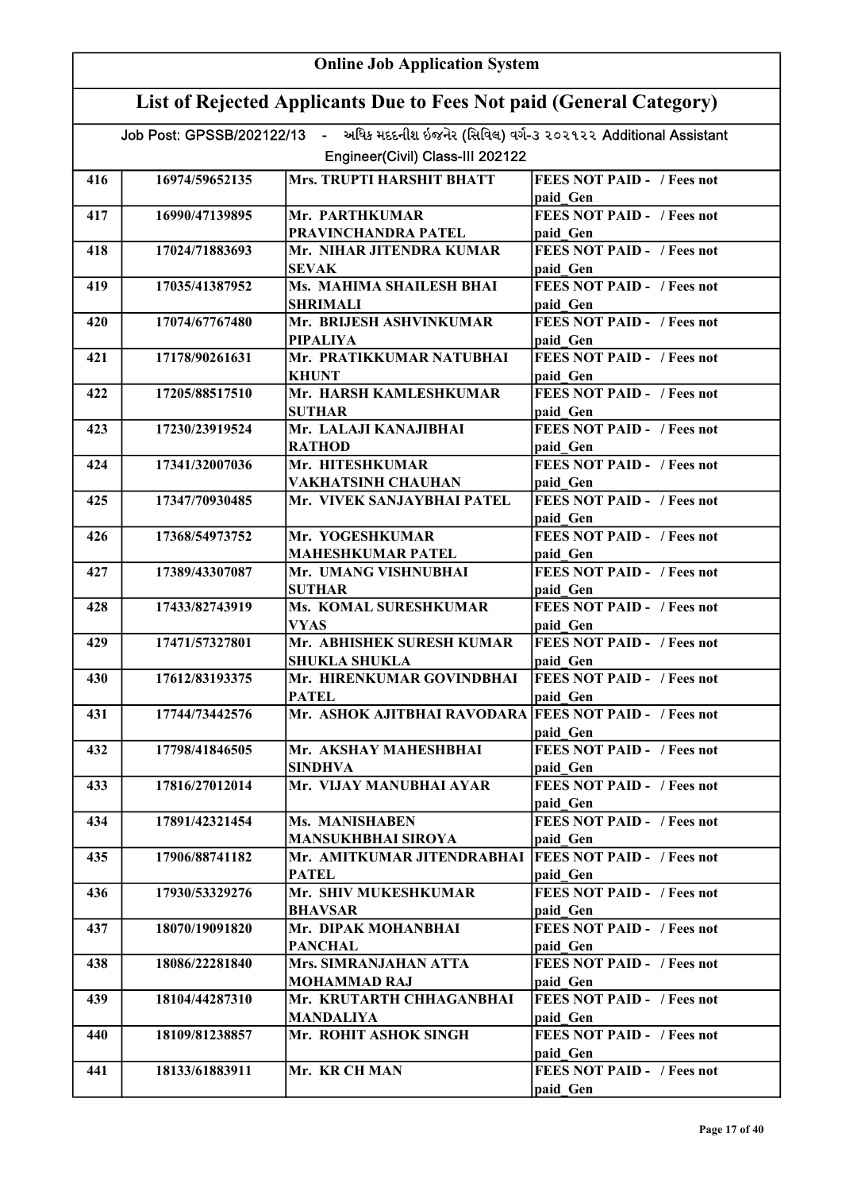|     | <b>Online Job Application System</b>                                |                                                                                          |                                               |  |
|-----|---------------------------------------------------------------------|------------------------------------------------------------------------------------------|-----------------------------------------------|--|
|     | List of Rejected Applicants Due to Fees Not paid (General Category) |                                                                                          |                                               |  |
|     |                                                                     | Job Post: GPSSB/202122/13 - અધિક મદદનીશ ઇજનેર (સિવિલ) વર્ગ-૩ ૨૦૨૧૨૨ Additional Assistant |                                               |  |
|     |                                                                     | Engineer(Civil) Class-III 202122                                                         |                                               |  |
| 416 | 16974/59652135                                                      | Mrs. TRUPTI HARSHIT BHATT                                                                | <b>FEES NOT PAID - / Fees not</b>             |  |
|     |                                                                     |                                                                                          | paid Gen                                      |  |
| 417 | 16990/47139895                                                      | Mr. PARTHKUMAR                                                                           | <b>FEES NOT PAID - / Fees not</b>             |  |
|     |                                                                     | PRAVINCHANDRA PATEL                                                                      | paid Gen                                      |  |
| 418 | 17024/71883693                                                      | Mr. NIHAR JITENDRA KUMAR<br><b>SEVAK</b>                                                 | <b>FEES NOT PAID - / Fees not</b><br>paid Gen |  |
| 419 | 17035/41387952                                                      | Ms. MAHIMA SHAILESH BHAI                                                                 | <b>FEES NOT PAID - / Fees not</b>             |  |
|     |                                                                     | <b>SHRIMALI</b>                                                                          | paid Gen                                      |  |
| 420 | 17074/67767480                                                      | Mr. BRIJESH ASHVINKUMAR                                                                  | <b>FEES NOT PAID - / Fees not</b>             |  |
|     |                                                                     | <b>PIPALIYA</b>                                                                          | paid Gen                                      |  |
| 421 | 17178/90261631                                                      | Mr. PRATIKKUMAR NATUBHAI<br><b>KHUNT</b>                                                 | <b>FEES NOT PAID - / Fees not</b><br>paid Gen |  |
| 422 | 17205/88517510                                                      | Mr. HARSH KAMLESHKUMAR                                                                   | <b>FEES NOT PAID - / Fees not</b>             |  |
|     |                                                                     | <b>SUTHAR</b>                                                                            | paid Gen                                      |  |
| 423 | 17230/23919524                                                      | Mr. LALAJI KANAJIBHAI                                                                    | FEES NOT PAID - / Fees not                    |  |
|     |                                                                     | <b>RATHOD</b>                                                                            | paid Gen                                      |  |
| 424 | 17341/32007036                                                      | Mr. HITESHKUMAR                                                                          | <b>FEES NOT PAID - / Fees not</b>             |  |
| 425 | 17347/70930485                                                      | <b>VAKHATSINH CHAUHAN</b><br>Mr. VIVEK SANJAYBHAI PATEL                                  | paid Gen<br><b>FEES NOT PAID - / Fees not</b> |  |
|     |                                                                     |                                                                                          | paid Gen                                      |  |
| 426 | 17368/54973752                                                      | Mr. YOGESHKUMAR                                                                          | <b>FEES NOT PAID - / Fees not</b>             |  |
|     |                                                                     | <b>MAHESHKUMAR PATEL</b>                                                                 | paid Gen                                      |  |
| 427 | 17389/43307087                                                      | Mr. UMANG VISHNUBHAI                                                                     | <b>FEES NOT PAID - / Fees not</b>             |  |
| 428 | 17433/82743919                                                      | <b>SUTHAR</b><br>Ms. KOMAL SURESHKUMAR                                                   | paid Gen<br><b>FEES NOT PAID - / Fees not</b> |  |
|     |                                                                     | <b>VYAS</b>                                                                              | paid Gen                                      |  |
| 429 | 17471/57327801                                                      | Mr. ABHISHEK SURESH KUMAR                                                                | <b>FEES NOT PAID - / Fees not</b>             |  |
|     |                                                                     | <b>SHUKLA SHUKLA</b>                                                                     | paid Gen                                      |  |
| 430 | 17612/83193375                                                      | Mr. HIRENKUMAR GOVINDBHAI                                                                | <b>FEES NOT PAID -</b> / Fees not             |  |
|     |                                                                     | <b>PATEL</b>                                                                             | paid Gen                                      |  |
| 431 | 17744/73442576                                                      | Mr. ASHOK AJITBHAI RAVODARA FEES NOT PAID - / Fees not                                   | paid Gen                                      |  |
| 432 | 17798/41846505                                                      | Mr. AKSHAY MAHESHBHAI                                                                    | <b>FEES NOT PAID - / Fees not</b>             |  |
|     |                                                                     | <b>SINDHVA</b>                                                                           | paid Gen                                      |  |
| 433 | 17816/27012014                                                      | Mr. VIJAY MANUBHAI AYAR                                                                  | FEES NOT PAID - / Fees not                    |  |
|     |                                                                     |                                                                                          | paid Gen                                      |  |
| 434 | 17891/42321454                                                      | Ms. MANISHABEN<br><b>MANSUKHBHAI SIROYA</b>                                              | FEES NOT PAID - / Fees not                    |  |
| 435 | 17906/88741182                                                      | Mr. AMITKUMAR JITENDRABHAI                                                               | paid Gen<br><b>FEES NOT PAID - / Fees not</b> |  |
|     |                                                                     | <b>PATEL</b>                                                                             | paid Gen                                      |  |
| 436 | 17930/53329276                                                      | Mr. SHIV MUKESHKUMAR                                                                     | <b>FEES NOT PAID - / Fees not</b>             |  |
|     |                                                                     | <b>BHAVSAR</b>                                                                           | paid Gen                                      |  |
| 437 | 18070/19091820                                                      | Mr. DIPAK MOHANBHAI                                                                      | <b>FEES NOT PAID - / Fees not</b>             |  |
| 438 | 18086/22281840                                                      | <b>PANCHAL</b><br>Mrs. SIMRANJAHAN ATTA                                                  | paid Gen<br><b>FEES NOT PAID - / Fees not</b> |  |
|     |                                                                     | <b>MOHAMMAD RAJ</b>                                                                      | paid Gen                                      |  |
| 439 | 18104/44287310                                                      | Mr. KRUTARTH CHHAGANBHAI                                                                 | <b>FEES NOT PAID - / Fees not</b>             |  |
|     |                                                                     | <b>MANDALIYA</b>                                                                         | paid Gen                                      |  |
| 440 | 18109/81238857                                                      | Mr. ROHIT ASHOK SINGH                                                                    | <b>FEES NOT PAID - / Fees not</b>             |  |
| 441 | 18133/61883911                                                      | Mr. KR CH MAN                                                                            | paid Gen<br><b>FEES NOT PAID - / Fees not</b> |  |
|     |                                                                     |                                                                                          | paid Gen                                      |  |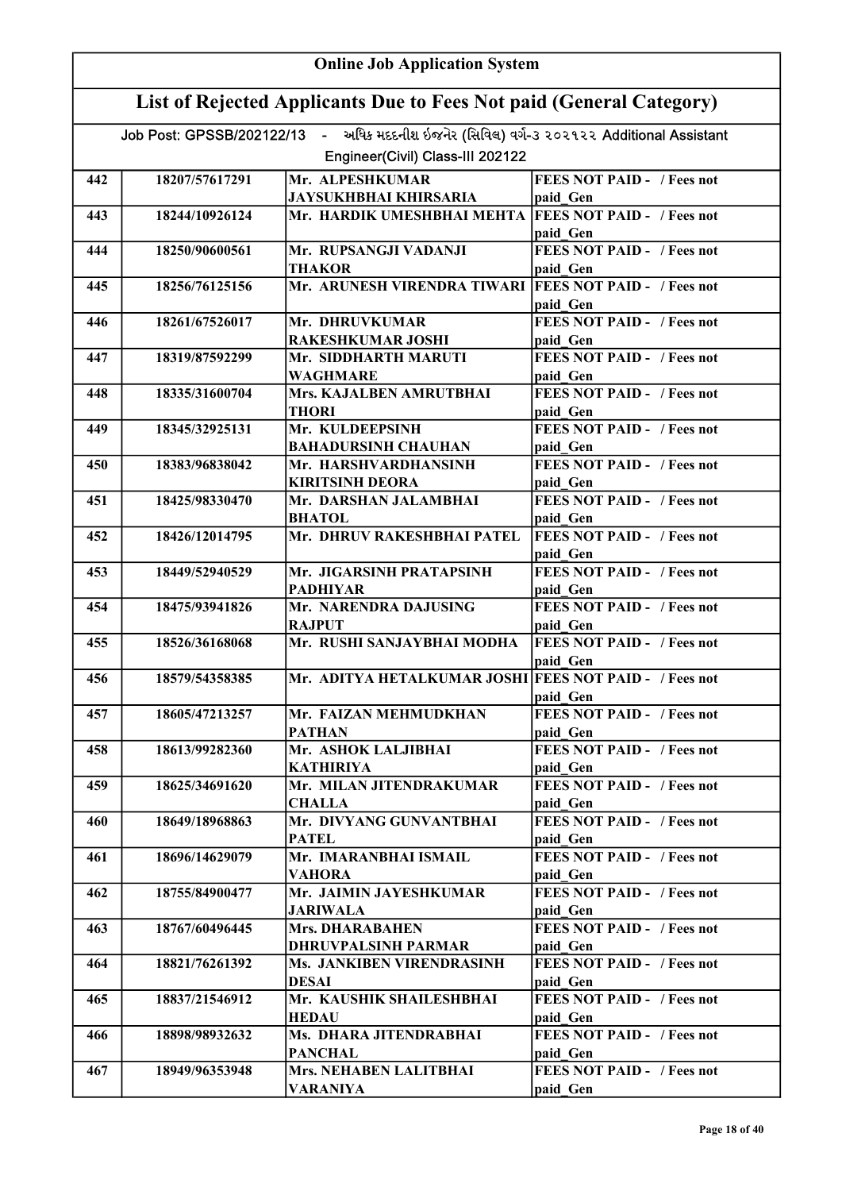| <b>Online Job Application System</b> |                                                                     |                                                                                          |                                               |  |
|--------------------------------------|---------------------------------------------------------------------|------------------------------------------------------------------------------------------|-----------------------------------------------|--|
|                                      | List of Rejected Applicants Due to Fees Not paid (General Category) |                                                                                          |                                               |  |
|                                      |                                                                     | Job Post: GPSSB/202122/13 - અધિક મદદનીશ ઇજનેર (સિવિલ) વર્ગ-૩ ૨૦૨૧૨૨ Additional Assistant |                                               |  |
|                                      |                                                                     | Engineer(Civil) Class-III 202122                                                         |                                               |  |
| 442                                  | 18207/57617291                                                      | Mr. ALPESHKUMAR                                                                          | <b>FEES NOT PAID - / Fees not</b>             |  |
|                                      |                                                                     | <b>JAYSUKHBHAI KHIRSARIA</b>                                                             | paid Gen                                      |  |
| 443                                  | 18244/10926124                                                      | Mr. HARDIK UMESHBHAI MEHTA  FEES NOT PAID - / Fees not                                   |                                               |  |
|                                      |                                                                     |                                                                                          | paid Gen                                      |  |
| 444                                  | 18250/90600561                                                      | Mr. RUPSANGJI VADANJI                                                                    | <b>FEES NOT PAID - / Fees not</b>             |  |
|                                      |                                                                     | <b>THAKOR</b>                                                                            | paid Gen                                      |  |
| 445                                  | 18256/76125156                                                      | Mr. ARUNESH VIRENDRA TIWARI                                                              | <b>FEES NOT PAID - / Fees not</b><br>paid Gen |  |
| 446                                  | 18261/67526017                                                      | Mr. DHRUVKUMAR<br><b>RAKESHKUMAR JOSHI</b>                                               | <b>FEES NOT PAID - / Fees not</b><br>paid Gen |  |
| 447                                  | 18319/87592299                                                      | Mr. SIDDHARTH MARUTI                                                                     | <b>FEES NOT PAID - / Fees not</b>             |  |
|                                      |                                                                     | <b>WAGHMARE</b>                                                                          | paid Gen                                      |  |
| 448                                  | 18335/31600704                                                      | Mrs. KAJALBEN AMRUTBHAI                                                                  | <b>FEES NOT PAID - / Fees not</b>             |  |
|                                      |                                                                     | <b>THORI</b>                                                                             | paid Gen                                      |  |
| 449                                  | 18345/32925131                                                      | Mr. KULDEEPSINH                                                                          | <b>FEES NOT PAID - / Fees not</b>             |  |
| 450                                  | 18383/96838042                                                      | <b>BAHADURSINH CHAUHAN</b><br>Mr. HARSHVARDHANSINH                                       | paid Gen<br><b>FEES NOT PAID - / Fees not</b> |  |
|                                      |                                                                     | <b>KIRITSINH DEORA</b>                                                                   | paid Gen                                      |  |
| 451                                  | 18425/98330470                                                      | Mr. DARSHAN JALAMBHAI                                                                    | <b>FEES NOT PAID - / Fees not</b>             |  |
|                                      |                                                                     | <b>BHATOL</b>                                                                            | paid Gen                                      |  |
| 452                                  | 18426/12014795                                                      | Mr. DHRUV RAKESHBHAI PATEL                                                               | <b>FEES NOT PAID - / Fees not</b>             |  |
|                                      |                                                                     |                                                                                          | paid Gen                                      |  |
| 453                                  | 18449/52940529                                                      | Mr. JIGARSINH PRATAPSINH                                                                 | <b>FEES NOT PAID - / Fees not</b>             |  |
|                                      |                                                                     | <b>PADHIYAR</b>                                                                          | paid Gen                                      |  |
| 454                                  | 18475/93941826                                                      | Mr. NARENDRA DAJUSING                                                                    | <b>FEES NOT PAID - / Fees not</b>             |  |
|                                      |                                                                     | <b>RAJPUT</b>                                                                            | paid Gen                                      |  |
| 455                                  | 18526/36168068                                                      | Mr. RUSHI SANJAYBHAI MODHA                                                               | <b>FEES NOT PAID - / Fees not</b><br>paid Gen |  |
| 456                                  | 18579/54358385                                                      | Mr. ADITYA HETALKUMAR JOSHI FEES NOT PAID - / Fees not                                   | paid Gen                                      |  |
| 457                                  | 18605/47213257                                                      | Mr. FAIZAN MEHMUDKHAN                                                                    | <b>FEES NOT PAID - / Fees not</b>             |  |
|                                      |                                                                     | <b>PATHAN</b>                                                                            | paid Gen                                      |  |
| 458                                  | 18613/99282360                                                      | Mr. ASHOK LALJIBHAI                                                                      | <b>FEES NOT PAID - / Fees not</b>             |  |
|                                      |                                                                     | KATHIRIYA                                                                                | paid Gen                                      |  |
| 459                                  | 18625/34691620                                                      | Mr. MILAN JITENDRAKUMAR<br><b>CHALLA</b>                                                 | <b>FEES NOT PAID - / Fees not</b>             |  |
| 460                                  | 18649/18968863                                                      | Mr. DIVYANG GUNVANTBHAI                                                                  | paid Gen<br><b>FEES NOT PAID - / Fees not</b> |  |
|                                      |                                                                     | <b>PATEL</b>                                                                             | paid Gen                                      |  |
| 461                                  | 18696/14629079                                                      | Mr. IMARANBHAI ISMAIL                                                                    | <b>FEES NOT PAID - / Fees not</b>             |  |
|                                      |                                                                     | VAHORA                                                                                   | paid Gen                                      |  |
| 462                                  | 18755/84900477                                                      | Mr. JAIMIN JAYESHKUMAR<br><b>JARIWALA</b>                                                | <b>FEES NOT PAID - / Fees not</b><br>paid Gen |  |
| 463                                  | 18767/60496445                                                      | <b>Mrs. DHARABAHEN</b>                                                                   | <b>FEES NOT PAID - / Fees not</b>             |  |
|                                      |                                                                     | DHRUVPALSINH PARMAR                                                                      | paid Gen                                      |  |
| 464                                  | 18821/76261392                                                      | Ms. JANKIBEN VIRENDRASINH                                                                | <b>FEES NOT PAID - / Fees not</b>             |  |
|                                      |                                                                     | <b>DESAI</b>                                                                             | paid Gen                                      |  |
| 465                                  | 18837/21546912                                                      | Mr. KAUSHIK SHAILESHBHAI                                                                 | <b>FEES NOT PAID - / Fees not</b>             |  |
|                                      |                                                                     | HEDAU                                                                                    | paid Gen                                      |  |
| 466                                  | 18898/98932632                                                      | Ms. DHARA JITENDRABHAI<br><b>PANCHAL</b>                                                 | <b>FEES NOT PAID - / Fees not</b><br>paid Gen |  |
| 467                                  | 18949/96353948                                                      | Mrs. NEHABEN LALITBHAI                                                                   | <b>FEES NOT PAID - / Fees not</b>             |  |
|                                      |                                                                     | <b>VARANIYA</b>                                                                          | paid Gen                                      |  |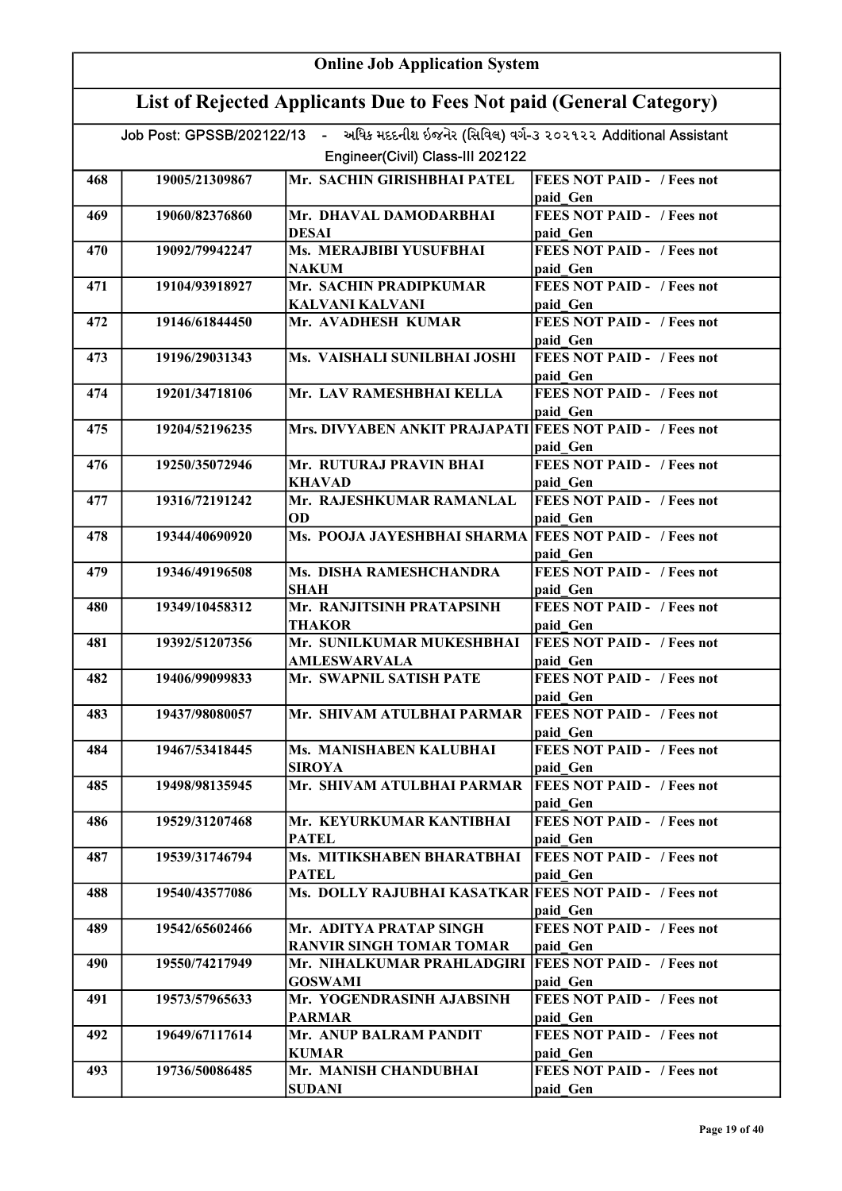|     | <b>Online Job Application System</b>                                |                                                                                          |                                               |  |
|-----|---------------------------------------------------------------------|------------------------------------------------------------------------------------------|-----------------------------------------------|--|
|     | List of Rejected Applicants Due to Fees Not paid (General Category) |                                                                                          |                                               |  |
|     |                                                                     | Job Post: GPSSB/202122/13 - અધિક મદદનીશ ઇજનેર (સિવિલ) વર્ગ-3 ૨૦૨૧૨૨ Additional Assistant |                                               |  |
|     |                                                                     | Engineer(Civil) Class-III 202122                                                         |                                               |  |
|     |                                                                     |                                                                                          |                                               |  |
| 468 | 19005/21309867                                                      | Mr. SACHIN GIRISHBHAI PATEL                                                              | <b>FEES NOT PAID - / Fees not</b><br>paid Gen |  |
| 469 | 19060/82376860                                                      | Mr. DHAVAL DAMODARBHAI                                                                   | <b>FEES NOT PAID - / Fees not</b>             |  |
|     |                                                                     | <b>DESAI</b>                                                                             | paid Gen                                      |  |
| 470 | 19092/79942247                                                      | Ms. MERAJBIBI YUSUFBHAI                                                                  | <b>FEES NOT PAID - / Fees not</b>             |  |
|     |                                                                     | <b>NAKUM</b>                                                                             | paid Gen                                      |  |
| 471 | 19104/93918927                                                      | Mr. SACHIN PRADIPKUMAR                                                                   | <b>FEES NOT PAID - / Fees not</b>             |  |
|     |                                                                     | <b>KALVANI KALVANI</b>                                                                   | paid Gen                                      |  |
| 472 | 19146/61844450                                                      | Mr. AVADHESH KUMAR                                                                       | <b>FEES NOT PAID - / Fees not</b>             |  |
|     |                                                                     |                                                                                          | paid Gen                                      |  |
| 473 | 19196/29031343                                                      | Ms. VAISHALI SUNILBHAI JOSHI                                                             | <b>FEES NOT PAID - / Fees not</b>             |  |
|     |                                                                     |                                                                                          | paid Gen                                      |  |
| 474 | 19201/34718106                                                      | Mr. LAV RAMESHBHAI KELLA                                                                 | <b>FEES NOT PAID - / Fees not</b>             |  |
| 475 | 19204/52196235                                                      | Mrs. DIVYABEN ANKIT PRAJAPATI FEES NOT PAID - / Fees not                                 | paid Gen                                      |  |
|     |                                                                     |                                                                                          | paid Gen                                      |  |
| 476 | 19250/35072946                                                      | Mr. RUTURAJ PRAVIN BHAI                                                                  | <b>FEES NOT PAID - / Fees not</b>             |  |
|     |                                                                     | <b>KHAVAD</b>                                                                            | paid Gen                                      |  |
| 477 | 19316/72191242                                                      | Mr. RAJESHKUMAR RAMANLAL                                                                 | <b>FEES NOT PAID - / Fees not</b>             |  |
|     |                                                                     | <b>OD</b>                                                                                | paid Gen                                      |  |
| 478 | 19344/40690920                                                      | Ms. POOJA JAYESHBHAI SHARMA FEES NOT PAID - / Fees not                                   |                                               |  |
|     |                                                                     |                                                                                          | paid Gen                                      |  |
| 479 | 19346/49196508                                                      | Ms. DISHA RAMESHCHANDRA                                                                  | <b>FEES NOT PAID - / Fees not</b>             |  |
|     |                                                                     | <b>SHAH</b>                                                                              | paid Gen                                      |  |
| 480 | 19349/10458312                                                      | Mr. RANJITSINH PRATAPSINH                                                                | <b>FEES NOT PAID - / Fees not</b>             |  |
|     |                                                                     | <b>THAKOR</b>                                                                            | paid Gen                                      |  |
| 481 | 19392/51207356                                                      | Mr. SUNILKUMAR MUKESHBHAI                                                                | <b>FEES NOT PAID - / Fees not</b>             |  |
| 482 | 19406/99099833                                                      | <b>AMLESWARVALA</b><br>Mr. SWAPNIL SATISH PATE                                           | paid Gen<br><b>FEES NOT PAID - / Fees not</b> |  |
|     |                                                                     |                                                                                          | paid Gen                                      |  |
| 483 | 19437/98080057                                                      | Mr. SHIVAM ATULBHAI PARMAR                                                               | <b>FEES NOT PAID - / Fees not</b>             |  |
|     |                                                                     |                                                                                          | paid Gen                                      |  |
| 484 | 19467/53418445                                                      | Ms. MANISHABEN KALUBHAI                                                                  | <b>FEES NOT PAID - / Fees not</b>             |  |
|     |                                                                     | <b>SIROYA</b>                                                                            | paid Gen                                      |  |
| 485 | 19498/98135945                                                      | Mr. SHIVAM ATULBHAI PARMAR                                                               | <b>FEES NOT PAID - / Fees not</b>             |  |
|     |                                                                     |                                                                                          | paid Gen                                      |  |
| 486 | 19529/31207468                                                      | Mr. KEYURKUMAR KANTIBHAI                                                                 | <b>FEES NOT PAID - / Fees not</b>             |  |
|     |                                                                     | <b>PATEL</b>                                                                             | paid Gen                                      |  |
| 487 | 19539/31746794                                                      | Ms. MITIKSHABEN BHARATBHAI                                                               | <b>FEES NOT PAID - / Fees not</b>             |  |
| 488 | 19540/43577086                                                      | <b>PATEL</b><br>Ms. DOLLY RAJUBHAI KASATKAR FEES NOT PAID - / Fees not                   | paid Gen                                      |  |
|     |                                                                     |                                                                                          | paid Gen                                      |  |
| 489 | 19542/65602466                                                      | Mr. ADITYA PRATAP SINGH                                                                  | <b>FEES NOT PAID - / Fees not</b>             |  |
|     |                                                                     | <b>RANVIR SINGH TOMAR TOMAR</b>                                                          | paid Gen                                      |  |
| 490 | 19550/74217949                                                      | Mr. NIHALKUMAR PRAHLADGIRI   FEES NOT PAID - / Fees not                                  |                                               |  |
|     |                                                                     | <b>GOSWAMI</b>                                                                           | paid Gen                                      |  |
| 491 | 19573/57965633                                                      | Mr. YOGENDRASINH AJABSINH                                                                | <b>FEES NOT PAID - / Fees not</b>             |  |
|     |                                                                     | <b>PARMAR</b>                                                                            | paid Gen                                      |  |
| 492 | 19649/67117614                                                      | Mr. ANUP BALRAM PANDIT                                                                   | <b>FEES NOT PAID - / Fees not</b>             |  |
|     |                                                                     | <b>KUMAR</b>                                                                             | paid Gen                                      |  |
| 493 | 19736/50086485                                                      | Mr. MANISH CHANDUBHAI                                                                    | <b>FEES NOT PAID - / Fees not</b>             |  |
|     |                                                                     | <b>SUDANI</b>                                                                            | paid Gen                                      |  |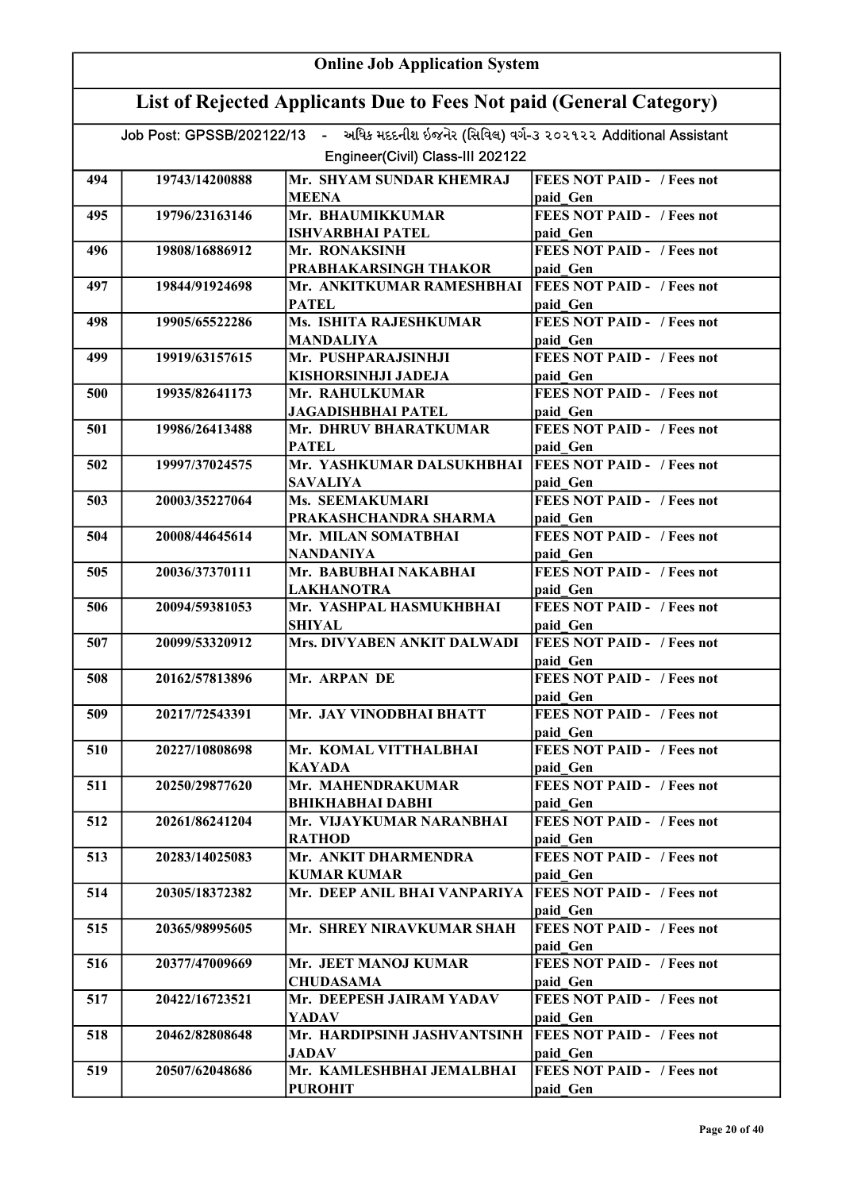|     | <b>Online Job Application System</b>                                |                                                                                          |                                               |  |
|-----|---------------------------------------------------------------------|------------------------------------------------------------------------------------------|-----------------------------------------------|--|
|     | List of Rejected Applicants Due to Fees Not paid (General Category) |                                                                                          |                                               |  |
|     |                                                                     | Job Post: GPSSB/202122/13 - અધિક મદદનીશ ઇજનેર (સિવિલ) વર્ગ-૩ ૨૦૨૧૨૨ Additional Assistant |                                               |  |
|     |                                                                     | Engineer(Civil) Class-III 202122                                                         |                                               |  |
| 494 | 19743/14200888                                                      | Mr. SHYAM SUNDAR KHEMRAJ                                                                 | <b>FEES NOT PAID - / Fees not</b>             |  |
|     |                                                                     | <b>MEENA</b>                                                                             | paid Gen                                      |  |
| 495 | 19796/23163146                                                      | Mr. BHAUMIKKUMAR                                                                         | <b>FEES NOT PAID - / Fees not</b>             |  |
|     |                                                                     | <b>ISHVARBHAI PATEL</b>                                                                  | paid Gen                                      |  |
| 496 | 19808/16886912                                                      | Mr. RONAKSINH<br>PRABHAKARSINGH THAKOR                                                   | <b>FEES NOT PAID - / Fees not</b>             |  |
| 497 | 19844/91924698                                                      | Mr. ANKITKUMAR RAMESHBHAI                                                                | paid Gen<br><b>FEES NOT PAID - / Fees not</b> |  |
|     |                                                                     | <b>PATEL</b>                                                                             | paid Gen                                      |  |
| 498 | 19905/65522286                                                      | Ms. ISHITA RAJESHKUMAR                                                                   | <b>FEES NOT PAID - / Fees not</b>             |  |
|     |                                                                     | <b>MANDALIYA</b>                                                                         | paid Gen                                      |  |
| 499 | 19919/63157615                                                      | Mr. PUSHPARAJSINHJI                                                                      | <b>FEES NOT PAID - / Fees not</b>             |  |
| 500 | 19935/82641173                                                      | KISHORSINHJI JADEJA<br>Mr. RAHULKUMAR                                                    | paid Gen<br><b>FEES NOT PAID - / Fees not</b> |  |
|     |                                                                     | <b>JAGADISHBHAI PATEL</b>                                                                | paid Gen                                      |  |
| 501 | 19986/26413488                                                      | Mr. DHRUV BHARATKUMAR                                                                    | <b>FEES NOT PAID - / Fees not</b>             |  |
|     |                                                                     | <b>PATEL</b>                                                                             | paid Gen                                      |  |
| 502 | 19997/37024575                                                      | Mr. YASHKUMAR DALSUKHBHAI                                                                | <b>FEES NOT PAID - / Fees not</b>             |  |
|     |                                                                     | SAVALIYA                                                                                 | paid Gen                                      |  |
| 503 | 20003/35227064                                                      | Ms. SEEMAKUMARI                                                                          | <b>FEES NOT PAID - / Fees not</b>             |  |
| 504 | 20008/44645614                                                      | PRAKASHCHANDRA SHARMA<br>Mr. MILAN SOMATBHAI                                             | paid Gen<br><b>FEES NOT PAID - / Fees not</b> |  |
|     |                                                                     | NANDANIYA                                                                                | paid Gen                                      |  |
| 505 | 20036/37370111                                                      | Mr. BABUBHAI NAKABHAI                                                                    | <b>FEES NOT PAID - / Fees not</b>             |  |
|     |                                                                     | <b>LAKHANOTRA</b>                                                                        | paid Gen                                      |  |
| 506 | 20094/59381053                                                      | Mr. YASHPAL HASMUKHBHAI                                                                  | <b>FEES NOT PAID - / Fees not</b>             |  |
|     |                                                                     | <b>SHIYAL</b>                                                                            | paid Gen                                      |  |
| 507 | 20099/53320912                                                      | Mrs. DIVYABEN ANKIT DALWADI                                                              | <b>FEES NOT PAID - / Fees not</b><br>paid Gen |  |
| 508 | 20162/57813896                                                      | Mr. ARPAN DE                                                                             | <b>FEES NOT PAID - / Fees not</b>             |  |
|     |                                                                     |                                                                                          | paid Gen                                      |  |
| 509 | 20217/72543391                                                      | Mr. JAY VINODBHAI BHATT                                                                  | <b>FEES NOT PAID - / Fees not</b>             |  |
|     |                                                                     |                                                                                          | paid Gen                                      |  |
| 510 | 20227/10808698                                                      | Mr. KOMAL VITTHALBHAI                                                                    | <b>FEES NOT PAID - / Fees not</b>             |  |
| 511 | 20250/29877620                                                      | <b>KAYADA</b><br>Mr. MAHENDRAKUMAR                                                       | paid Gen<br><b>FEES NOT PAID - / Fees not</b> |  |
|     |                                                                     | <b>BHIKHABHAI DABHI</b>                                                                  | paid Gen                                      |  |
| 512 | 20261/86241204                                                      | Mr. VIJAYKUMAR NARANBHAI                                                                 | FEES NOT PAID - / Fees not                    |  |
|     |                                                                     | <b>RATHOD</b>                                                                            | paid Gen                                      |  |
| 513 | 20283/14025083                                                      | Mr. ANKIT DHARMENDRA                                                                     | <b>FEES NOT PAID - / Fees not</b>             |  |
|     |                                                                     | <b>KUMAR KUMAR</b>                                                                       | paid Gen                                      |  |
| 514 | 20305/18372382                                                      | Mr. DEEP ANIL BHAI VANPARIYA                                                             | <b>FEES NOT PAID - / Fees not</b><br>paid Gen |  |
| 515 | 20365/98995605                                                      | Mr. SHREY NIRAVKUMAR SHAH                                                                | <b>FEES NOT PAID - / Fees not</b>             |  |
|     |                                                                     |                                                                                          | paid Gen                                      |  |
| 516 | 20377/47009669                                                      | Mr. JEET MANOJ KUMAR                                                                     | <b>FEES NOT PAID - / Fees not</b>             |  |
|     |                                                                     | <b>CHUDASAMA</b>                                                                         | paid Gen                                      |  |
| 517 | 20422/16723521                                                      | Mr. DEEPESH JAIRAM YADAV                                                                 | <b>FEES NOT PAID - / Fees not</b>             |  |
|     |                                                                     | YADAV<br>Mr. HARDIPSINH JASHVANTSINH                                                     | paid Gen<br><b>FEES NOT PAID - / Fees not</b> |  |
| 518 | 20462/82808648                                                      | <b>JADAV</b>                                                                             | paid Gen                                      |  |
| 519 | 20507/62048686                                                      | Mr. KAMLESHBHAI JEMALBHAI                                                                | <b>FEES NOT PAID - / Fees not</b>             |  |
|     |                                                                     | <b>PUROHIT</b>                                                                           | paid Gen                                      |  |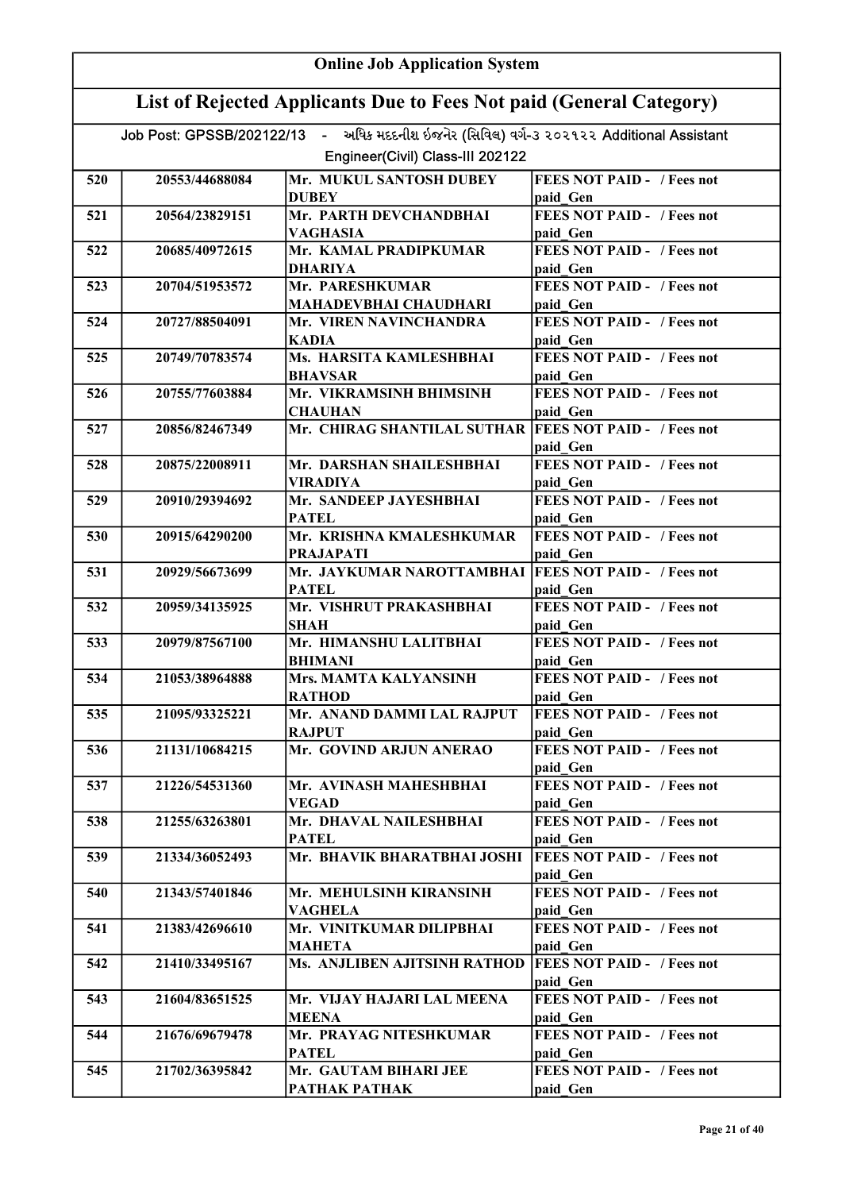|     | <b>Online Job Application System</b>                                |                                                                                          |                                               |  |
|-----|---------------------------------------------------------------------|------------------------------------------------------------------------------------------|-----------------------------------------------|--|
|     | List of Rejected Applicants Due to Fees Not paid (General Category) |                                                                                          |                                               |  |
|     |                                                                     | Job Post: GPSSB/202122/13 - અધિક મદદનીશ ઇજનેર (સિવિલ) વર્ગ-૩ ૨૦૨૧૨૨ Additional Assistant |                                               |  |
|     |                                                                     | Engineer(Civil) Class-III 202122                                                         |                                               |  |
| 520 | 20553/44688084                                                      | Mr. MUKUL SANTOSH DUBEY                                                                  | <b>FEES NOT PAID - / Fees not</b>             |  |
|     |                                                                     | <b>DUBEY</b>                                                                             | paid Gen                                      |  |
| 521 | 20564/23829151                                                      | Mr. PARTH DEVCHANDBHAI                                                                   | <b>FEES NOT PAID - / Fees not</b>             |  |
| 522 | 20685/40972615                                                      | VAGHASIA<br>Mr. KAMAL PRADIPKUMAR                                                        | paid Gen<br><b>FEES NOT PAID - / Fees not</b> |  |
|     |                                                                     | <b>DHARIYA</b>                                                                           | paid Gen                                      |  |
| 523 | 20704/51953572                                                      | Mr. PARESHKUMAR                                                                          | <b>FEES NOT PAID - / Fees not</b>             |  |
|     |                                                                     | MAHADEVBHAI CHAUDHARI                                                                    | paid Gen                                      |  |
| 524 | 20727/88504091                                                      | Mr. VIREN NAVINCHANDRA                                                                   | FEES NOT PAID - / Fees not                    |  |
| 525 | 20749/70783574                                                      | <b>KADIA</b><br>Ms. HARSITA KAMLESHBHAI                                                  | paid Gen<br><b>FEES NOT PAID - / Fees not</b> |  |
|     |                                                                     | <b>BHAVSAR</b>                                                                           | paid Gen                                      |  |
| 526 | 20755/77603884                                                      | Mr. VIKRAMSINH BHIMSINH                                                                  | <b>FEES NOT PAID - / Fees not</b>             |  |
|     |                                                                     | <b>CHAUHAN</b>                                                                           | paid Gen                                      |  |
| 527 | 20856/82467349                                                      | Mr. CHIRAG SHANTILAL SUTHAR  FEES NOT PAID - / Fees not                                  |                                               |  |
|     |                                                                     |                                                                                          | paid Gen<br><b>FEES NOT PAID - / Fees not</b> |  |
| 528 | 20875/22008911                                                      | Mr. DARSHAN SHAILESHBHAI<br>VIRADIYA                                                     | paid Gen                                      |  |
| 529 | 20910/29394692                                                      | Mr. SANDEEP JAYESHBHAI                                                                   | <b>FEES NOT PAID - / Fees not</b>             |  |
|     |                                                                     | <b>PATEL</b>                                                                             | paid Gen                                      |  |
| 530 | 20915/64290200                                                      | Mr. KRISHNA KMALESHKUMAR                                                                 | <b>FEES NOT PAID - / Fees not</b>             |  |
|     |                                                                     | <b>PRAJAPATI</b>                                                                         | paid Gen                                      |  |
| 531 | 20929/56673699                                                      | Mr. JAYKUMAR NAROTTAMBHAI   FEES NOT PAID - / Fees not<br><b>PATEL</b>                   | paid Gen                                      |  |
| 532 | 20959/34135925                                                      | Mr. VISHRUT PRAKASHBHAI                                                                  | <b>FEES NOT PAID - / Fees not</b>             |  |
|     |                                                                     | <b>SHAH</b>                                                                              | paid Gen                                      |  |
| 533 | 20979/87567100                                                      | Mr. HIMANSHU LALITBHAI                                                                   | <b>FEES NOT PAID - / Fees not</b>             |  |
|     |                                                                     | <b>BHIMANI</b>                                                                           | paid Gen                                      |  |
| 534 | 21053/38964888                                                      | Mrs. MAMTA KALYANSINH<br><b>RATHOD</b>                                                   | <b>FEES NOT PAID -</b> / Fees not<br>paid Gen |  |
| 535 | 21095/93325221                                                      | Mr. ANAND DAMMI LAL RAJPUT                                                               | <b>FEES NOT PAID - / Fees not</b>             |  |
|     |                                                                     | <b>RAJPUT</b>                                                                            | paid Gen                                      |  |
| 536 | 21131/10684215                                                      | Mr. GOVIND ARJUN ANERAO                                                                  | <b>FEES NOT PAID - / Fees not</b>             |  |
| 537 | 21226/54531360                                                      | Mr. AVINASH MAHESHBHAI                                                                   | paid Gen<br>FEES NOT PAID - / Fees not        |  |
|     |                                                                     | <b>VEGAD</b>                                                                             | paid Gen                                      |  |
| 538 | 21255/63263801                                                      | Mr. DHAVAL NAILESHBHAI                                                                   | <b>FEES NOT PAID - / Fees not</b>             |  |
|     |                                                                     | <b>PATEL</b>                                                                             | paid Gen                                      |  |
| 539 | 21334/36052493                                                      | Mr. BHAVIK BHARATBHAI JOSHI                                                              | <b>FEES NOT PAID - / Fees not</b><br>paid Gen |  |
| 540 | 21343/57401846                                                      | Mr. MEHULSINH KIRANSINH                                                                  | <b>FEES NOT PAID - / Fees not</b>             |  |
|     |                                                                     | <b>VAGHELA</b>                                                                           | paid Gen                                      |  |
| 541 | 21383/42696610                                                      | Mr. VINITKUMAR DILIPBHAI                                                                 | <b>FEES NOT PAID - / Fees not</b>             |  |
|     |                                                                     | <b>MAHETA</b>                                                                            | paid Gen                                      |  |
| 542 | 21410/33495167                                                      | Ms. ANJLIBEN AJITSINH RATHOD                                                             | <b>FEES NOT PAID - / Fees not</b><br>paid Gen |  |
| 543 | 21604/83651525                                                      | Mr. VIJAY HAJARI LAL MEENA                                                               | <b>FEES NOT PAID - / Fees not</b>             |  |
|     |                                                                     | <b>MEENA</b>                                                                             | paid Gen                                      |  |
| 544 | 21676/69679478                                                      | Mr. PRAYAG NITESHKUMAR                                                                   | <b>FEES NOT PAID - / Fees not</b>             |  |
| 545 | 21702/36395842                                                      | <b>PATEL</b><br>Mr. GAUTAM BIHARI JEE                                                    | paid Gen<br><b>FEES NOT PAID - / Fees not</b> |  |
|     |                                                                     | РАТНАК РАТНАК                                                                            | paid Gen                                      |  |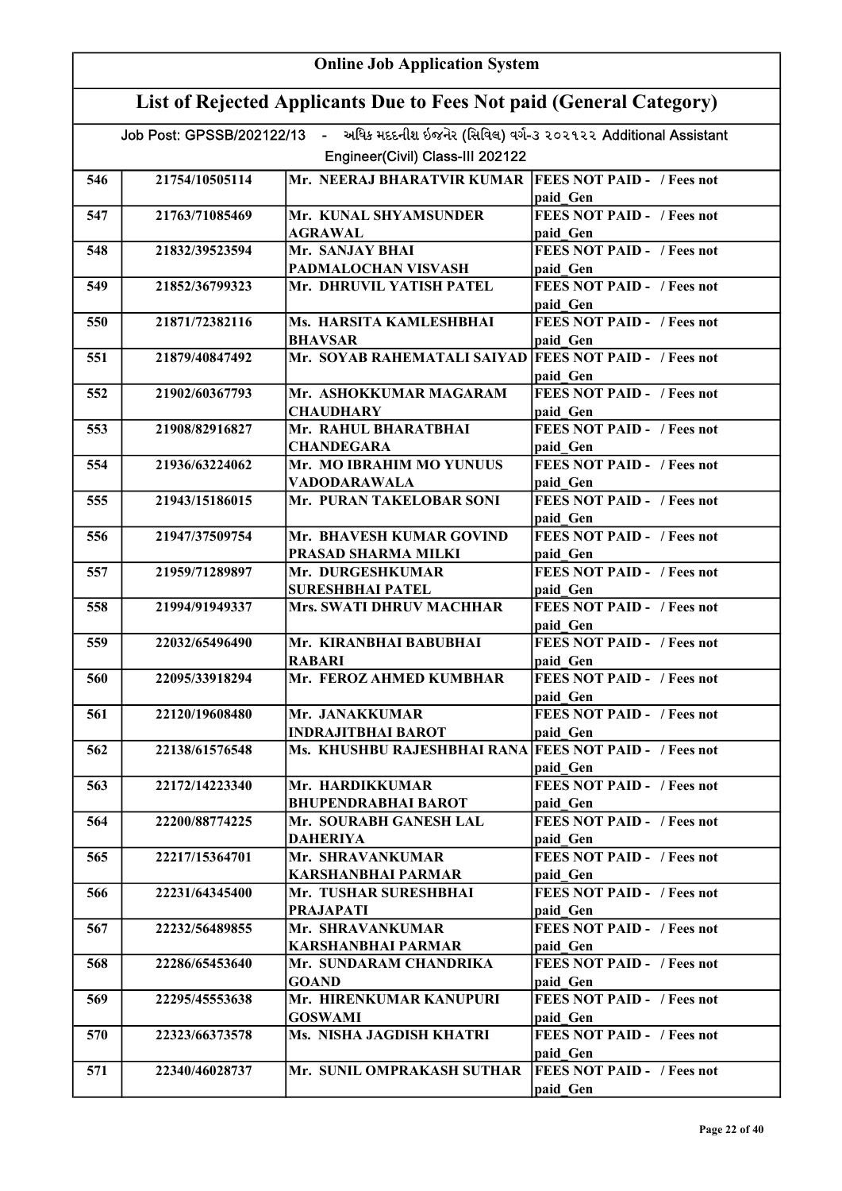| <b>Online Job Application System</b> |                                                                     |                                                                                          |                                               |  |
|--------------------------------------|---------------------------------------------------------------------|------------------------------------------------------------------------------------------|-----------------------------------------------|--|
|                                      | List of Rejected Applicants Due to Fees Not paid (General Category) |                                                                                          |                                               |  |
|                                      |                                                                     | Job Post: GPSSB/202122/13 - અધિક મદદનીશ ઇજનેર (સિવિલ) વર્ગ-૩ ૨૦૨૧૨૨ Additional Assistant |                                               |  |
|                                      |                                                                     | Engineer(Civil) Class-III 202122                                                         |                                               |  |
| 546                                  | 21754/10505114                                                      | Mr. NEERAJ BHARATVIR KUMAR   FEES NOT PAID - / Fees not                                  |                                               |  |
|                                      |                                                                     |                                                                                          | paid Gen                                      |  |
| 547                                  | 21763/71085469                                                      | Mr. KUNAL SHYAMSUNDER                                                                    | FEES NOT PAID - / Fees not                    |  |
|                                      |                                                                     | <b>AGRAWAL</b>                                                                           | paid Gen                                      |  |
| 548                                  | 21832/39523594                                                      | Mr. SANJAY BHAI                                                                          | <b>FEES NOT PAID - / Fees not</b>             |  |
|                                      |                                                                     | PADMALOCHAN VISVASH                                                                      | paid Gen                                      |  |
| 549                                  | 21852/36799323                                                      | Mr. DHRUVIL YATISH PATEL                                                                 | <b>FEES NOT PAID - / Fees not</b><br>paid Gen |  |
| 550                                  | 21871/72382116                                                      | Ms. HARSITA KAMLESHBHAI<br><b>BHAVSAR</b>                                                | <b>FEES NOT PAID - / Fees not</b><br>paid Gen |  |
| 551                                  | 21879/40847492                                                      | Mr. SOYAB RAHEMATALI SAIYAD FEES NOT PAID - / Fees not                                   | paid Gen                                      |  |
| 552                                  | 21902/60367793                                                      | Mr. ASHOKKUMAR MAGARAM                                                                   | FEES NOT PAID - / Fees not                    |  |
|                                      |                                                                     | <b>CHAUDHARY</b>                                                                         | paid Gen                                      |  |
| 553                                  | 21908/82916827                                                      | Mr. RAHUL BHARATBHAI                                                                     | <b>FEES NOT PAID - / Fees not</b>             |  |
|                                      |                                                                     | <b>CHANDEGARA</b>                                                                        | paid Gen                                      |  |
| 554                                  | 21936/63224062                                                      | Mr. MO IBRAHIM MO YUNUUS                                                                 | <b>FEES NOT PAID - / Fees not</b>             |  |
|                                      |                                                                     | VADODARAWALA<br>Mr. PURAN TAKELOBAR SONI                                                 | paid Gen<br><b>FEES NOT PAID - / Fees not</b> |  |
| 555                                  | 21943/15186015                                                      |                                                                                          | paid Gen                                      |  |
| 556                                  | 21947/37509754                                                      | Mr. BHAVESH KUMAR GOVIND<br>PRASAD SHARMA MILKI                                          | <b>FEES NOT PAID - / Fees not</b><br>paid Gen |  |
| 557                                  | 21959/71289897                                                      | Mr. DURGESHKUMAR                                                                         | <b>FEES NOT PAID - / Fees not</b>             |  |
|                                      |                                                                     | <b>SURESHBHAI PATEL</b>                                                                  | paid Gen                                      |  |
| 558                                  | 21994/91949337                                                      | <b>Mrs. SWATI DHRUV MACHHAR</b>                                                          | <b>FEES NOT PAID - / Fees not</b>             |  |
| 559                                  | 22032/65496490                                                      | Mr. KIRANBHAI BABUBHAI                                                                   | paid Gen<br><b>FEES NOT PAID - / Fees not</b> |  |
|                                      |                                                                     | RABARI                                                                                   | paid Gen                                      |  |
| 560                                  | 22095/33918294                                                      | Mr. FEROZ AHMED KUMBHAR                                                                  | <b>FEES NOT PAID - / Fees not</b><br>paid Gen |  |
| 561                                  | 22120/19608480                                                      | Mr. JANAKKUMAR                                                                           | <b>FEES NOT PAID - / Fees not</b>             |  |
|                                      |                                                                     | <b>INDRAJITBHAI BAROT</b>                                                                | paid Gen                                      |  |
| 562                                  | 22138/61576548                                                      | Ms. KHUSHBU RAJESHBHAI RANA FEES NOT PAID - / Fees not                                   |                                               |  |
|                                      |                                                                     |                                                                                          | paid Gen                                      |  |
| 563                                  | 22172/14223340                                                      | Mr. HARDIKKUMAR                                                                          | <b>FEES NOT PAID - / Fees not</b>             |  |
| 564                                  | 22200/88774225                                                      | <b>BHUPENDRABHAI BAROT</b><br>Mr. SOURABH GANESH LAL                                     | paid Gen<br><b>FEES NOT PAID - / Fees not</b> |  |
|                                      |                                                                     | <b>DAHERIYA</b>                                                                          | paid Gen                                      |  |
| 565                                  | 22217/15364701                                                      | Mr. SHRAVANKUMAR                                                                         | <b>FEES NOT PAID - / Fees not</b>             |  |
|                                      |                                                                     | KARSHANBHAI PARMAR                                                                       | paid Gen                                      |  |
| 566                                  | 22231/64345400                                                      | Mr. TUSHAR SURESHBHAI<br><b>PRAJAPATI</b>                                                | FEES NOT PAID - / Fees not                    |  |
| 567                                  | 22232/56489855                                                      | Mr. SHRAVANKUMAR                                                                         | paid Gen<br>FEES NOT PAID - / Fees not        |  |
|                                      |                                                                     | <b>KARSHANBHAI PARMAR</b>                                                                | paid Gen                                      |  |
| 568                                  | 22286/65453640                                                      | Mr. SUNDARAM CHANDRIKA                                                                   | FEES NOT PAID - / Fees not                    |  |
|                                      |                                                                     | <b>GOAND</b>                                                                             | paid Gen                                      |  |
| 569                                  | 22295/45553638                                                      | Mr. HIRENKUMAR KANUPURI<br><b>GOSWAMI</b>                                                | <b>FEES NOT PAID - / Fees not</b><br>paid Gen |  |
| 570                                  | 22323/66373578                                                      | Ms. NISHA JAGDISH KHATRI                                                                 | <b>FEES NOT PAID - / Fees not</b>             |  |
|                                      |                                                                     |                                                                                          | paid Gen                                      |  |
| 571                                  | 22340/46028737                                                      | Mr. SUNIL OMPRAKASH SUTHAR                                                               | <b>FEES NOT PAID - / Fees not</b><br>paid Gen |  |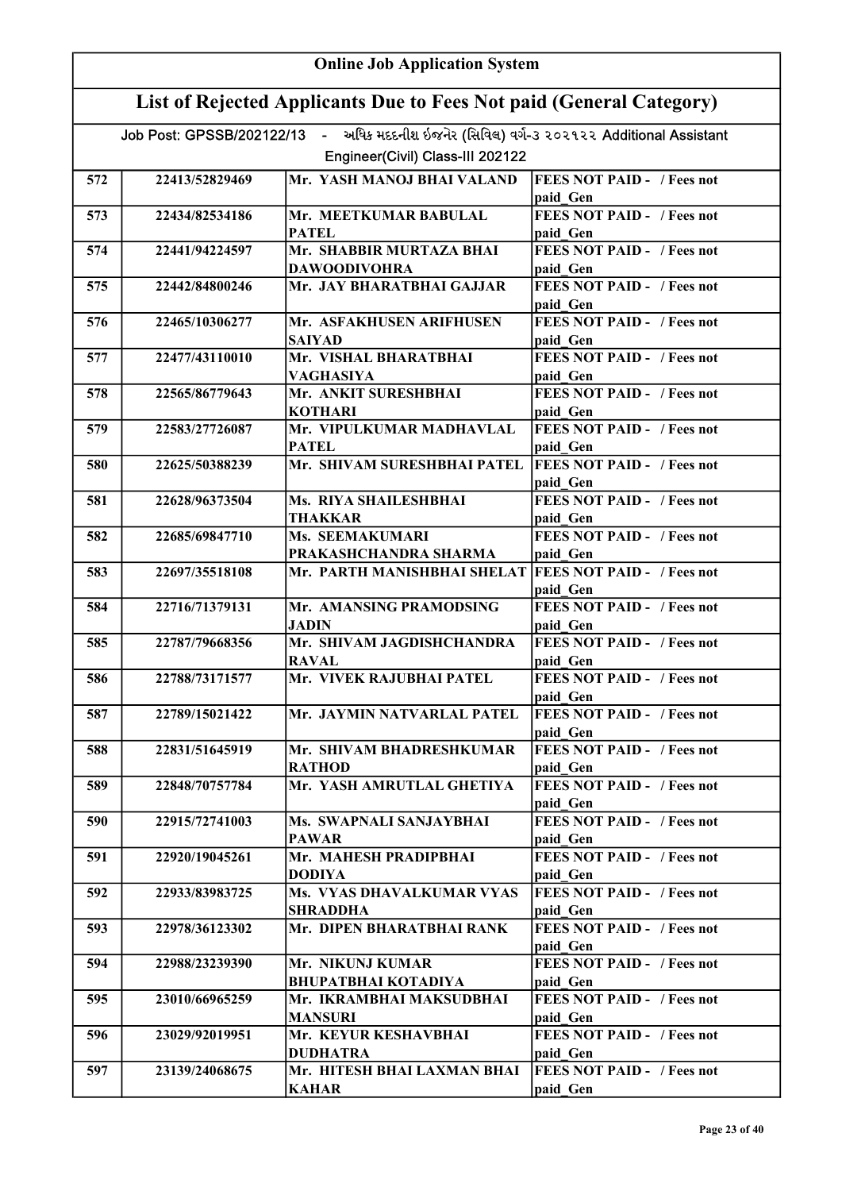|     | <b>Online Job Application System</b>                                |                                                                                                                              |                                               |  |
|-----|---------------------------------------------------------------------|------------------------------------------------------------------------------------------------------------------------------|-----------------------------------------------|--|
|     | List of Rejected Applicants Due to Fees Not paid (General Category) |                                                                                                                              |                                               |  |
|     |                                                                     | Job Post: GPSSB/202122/13 - અધિક મદદનીશ ઇજનેર (સિવિલ) વર્ગ-૩ ૨૦૨૧૨૨ Additional Assistant<br>Engineer(Civil) Class-III 202122 |                                               |  |
|     |                                                                     |                                                                                                                              |                                               |  |
| 572 | 22413/52829469                                                      | Mr. YASH MANOJ BHAI VALAND                                                                                                   | <b>FEES NOT PAID - / Fees not</b><br>paid Gen |  |
| 573 | 22434/82534186                                                      | Mr. MEETKUMAR BABULAL                                                                                                        | <b>FEES NOT PAID - / Fees not</b>             |  |
|     |                                                                     | <b>PATEL</b>                                                                                                                 | paid Gen                                      |  |
| 574 | 22441/94224597                                                      | Mr. SHABBIR MURTAZA BHAI                                                                                                     | <b>FEES NOT PAID - / Fees not</b>             |  |
|     |                                                                     | <b>DAWOODIVOHRA</b>                                                                                                          | paid Gen                                      |  |
| 575 | 22442/84800246                                                      | Mr. JAY BHARATBHAI GAJJAR                                                                                                    | <b>FEES NOT PAID - / Fees not</b><br>paid Gen |  |
| 576 | 22465/10306277                                                      | Mr. ASFAKHUSEN ARIFHUSEN<br><b>SAIYAD</b>                                                                                    | <b>FEES NOT PAID - / Fees not</b><br>paid Gen |  |
| 577 | 22477/43110010                                                      | Mr. VISHAL BHARATBHAI                                                                                                        | <b>FEES NOT PAID - / Fees not</b>             |  |
|     |                                                                     | <b>VAGHASIYA</b>                                                                                                             | paid Gen                                      |  |
| 578 | 22565/86779643                                                      | Mr. ANKIT SURESHBHAI                                                                                                         | <b>FEES NOT PAID - / Fees not</b>             |  |
| 579 | 22583/27726087                                                      | <b>KOTHARI</b><br>Mr. VIPULKUMAR MADHAVLAL                                                                                   | paid Gen<br><b>FEES NOT PAID - / Fees not</b> |  |
|     |                                                                     | <b>PATEL</b>                                                                                                                 | paid Gen                                      |  |
| 580 | 22625/50388239                                                      | Mr. SHIVAM SURESHBHAI PATEL                                                                                                  | <b>FEES NOT PAID - / Fees not</b>             |  |
|     |                                                                     |                                                                                                                              | paid Gen                                      |  |
| 581 | 22628/96373504                                                      | Ms. RIYA SHAILESHBHAI                                                                                                        | <b>FEES NOT PAID - / Fees not</b>             |  |
|     |                                                                     | THAKKAR                                                                                                                      | paid Gen                                      |  |
| 582 | 22685/69847710                                                      | Ms. SEEMAKUMARI<br>PRAKASHCHANDRA SHARMA                                                                                     | <b>FEES NOT PAID - / Fees not</b><br>paid_Gen |  |
| 583 | 22697/35518108                                                      | Mr. PARTH MANISHBHAI SHELAT  FEES NOT PAID - / Fees not                                                                      |                                               |  |
|     |                                                                     |                                                                                                                              | paid Gen                                      |  |
| 584 | 22716/71379131                                                      | Mr. AMANSING PRAMODSING                                                                                                      | <b>FEES NOT PAID - / Fees not</b>             |  |
|     |                                                                     | <b>JADIN</b>                                                                                                                 | paid Gen                                      |  |
| 585 | 22787/79668356                                                      | Mr. SHIVAM JAGDISHCHANDRA<br><b>RAVAL</b>                                                                                    | <b>FEES NOT PAID - / Fees not</b><br>paid Gen |  |
| 586 | 22788/73171577                                                      | Mr. VIVEK RAJUBHAI PATEL                                                                                                     | <b>FEES NOT PAID - / Fees not</b><br>paid Gen |  |
| 587 | 22789/15021422                                                      | Mr. JAYMIN NATVARLAL PATEL                                                                                                   | <b>FEES NOT PAID - / Fees not</b><br>paid Gen |  |
| 588 | 22831/51645919                                                      | Mr. SHIVAM BHADRESHKUMAR                                                                                                     | <b>FEES NOT PAID - / Fees not</b>             |  |
|     |                                                                     | <b>RATHOD</b>                                                                                                                | paid Gen                                      |  |
| 589 | 22848/70757784                                                      | Mr. YASH AMRUTLAL GHETIYA                                                                                                    | <b>FEES NOT PAID -</b> / Fees not<br>paid Gen |  |
| 590 | 22915/72741003                                                      | Ms. SWAPNALI SANJAYBHAI                                                                                                      | <b>FEES NOT PAID - / Fees not</b>             |  |
|     |                                                                     | <b>PAWAR</b>                                                                                                                 | paid Gen                                      |  |
| 591 | 22920/19045261                                                      | Mr. MAHESH PRADIPBHAI                                                                                                        | <b>FEES NOT PAID - / Fees not</b>             |  |
| 592 | 22933/83983725                                                      | <b>DODIYA</b><br>Ms. VYAS DHAVALKUMAR VYAS                                                                                   | paid Gen<br><b>FEES NOT PAID - / Fees not</b> |  |
|     |                                                                     | <b>SHRADDHA</b>                                                                                                              | paid Gen                                      |  |
| 593 | 22978/36123302                                                      | Mr. DIPEN BHARATBHAI RANK                                                                                                    | <b>FEES NOT PAID - / Fees not</b><br>paid Gen |  |
| 594 | 22988/23239390                                                      | Mr. NIKUNJ KUMAR                                                                                                             | <b>FEES NOT PAID - / Fees not</b>             |  |
|     |                                                                     | <b>BHUPATBHAI KOTADIYA</b>                                                                                                   | paid Gen                                      |  |
| 595 | 23010/66965259                                                      | Mr. IKRAMBHAI MAKSUDBHAI                                                                                                     | <b>FEES NOT PAID - / Fees not</b>             |  |
|     |                                                                     | <b>MANSURI</b><br>Mr. KEYUR KESHAVBHAI                                                                                       | paid Gen<br><b>FEES NOT PAID - / Fees not</b> |  |
| 596 | 23029/92019951                                                      | <b>DUDHATRA</b>                                                                                                              | paid Gen                                      |  |
| 597 | 23139/24068675                                                      | Mr. HITESH BHAI LAXMAN BHAI                                                                                                  | <b>FEES NOT PAID - / Fees not</b>             |  |
|     |                                                                     | <b>KAHAR</b>                                                                                                                 | paid Gen                                      |  |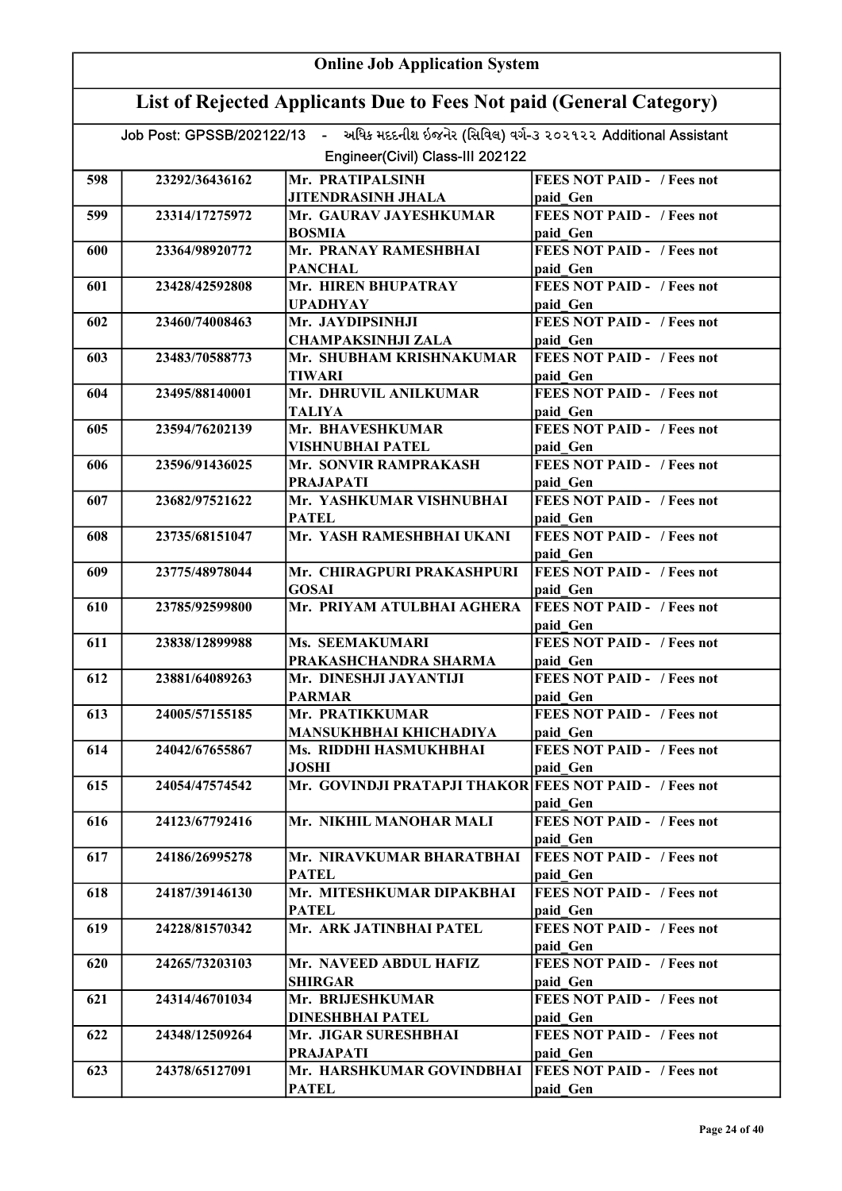|     | <b>Online Job Application System</b>                                |                                                                                          |                                               |  |
|-----|---------------------------------------------------------------------|------------------------------------------------------------------------------------------|-----------------------------------------------|--|
|     | List of Rejected Applicants Due to Fees Not paid (General Category) |                                                                                          |                                               |  |
|     |                                                                     | Job Post: GPSSB/202122/13 - અધિક મદદનીશ ઇજનેર (સિવિલ) વર્ગ-૩ ૨૦૨૧૨૨ Additional Assistant |                                               |  |
|     |                                                                     | Engineer(Civil) Class-III 202122                                                         |                                               |  |
| 598 | 23292/36436162                                                      | Mr. PRATIPALSINH                                                                         | <b>FEES NOT PAID - / Fees not</b>             |  |
|     |                                                                     | <b>JITENDRASINH JHALA</b>                                                                | paid Gen                                      |  |
| 599 | 23314/17275972                                                      | Mr. GAURAV JAYESHKUMAR                                                                   | <b>FEES NOT PAID - / Fees not</b>             |  |
|     |                                                                     | <b>BOSMIA</b>                                                                            | paid Gen                                      |  |
| 600 | 23364/98920772                                                      | Mr. PRANAY RAMESHBHAI<br><b>PANCHAL</b>                                                  | <b>FEES NOT PAID - / Fees not</b><br>paid Gen |  |
| 601 | 23428/42592808                                                      | Mr. HIREN BHUPATRAY                                                                      | <b>FEES NOT PAID - / Fees not</b>             |  |
|     |                                                                     | <b>UPADHYAY</b><br>Mr. JAYDIPSINHJI                                                      | paid Gen<br><b>FEES NOT PAID - / Fees not</b> |  |
| 602 | 23460/74008463                                                      | <b>CHAMPAKSINHJI ZALA</b>                                                                | paid Gen                                      |  |
| 603 | 23483/70588773                                                      | Mr. SHUBHAM KRISHNAKUMAR<br><b>TIWARI</b>                                                | <b>FEES NOT PAID - / Fees not</b><br>paid Gen |  |
| 604 | 23495/88140001                                                      | Mr. DHRUVIL ANILKUMAR                                                                    | FEES NOT PAID - / Fees not                    |  |
|     |                                                                     | <b>TALIYA</b>                                                                            | paid Gen                                      |  |
| 605 | 23594/76202139                                                      | Mr. BHAVESHKUMAR                                                                         | <b>FEES NOT PAID - / Fees not</b>             |  |
|     |                                                                     | VISHNUBHAI PATEL                                                                         | paid Gen                                      |  |
| 606 | 23596/91436025                                                      | Mr. SONVIR RAMPRAKASH<br><b>PRAJAPATI</b>                                                | <b>FEES NOT PAID - / Fees not</b><br>paid Gen |  |
| 607 | 23682/97521622                                                      | Mr. YASHKUMAR VISHNUBHAI                                                                 | <b>FEES NOT PAID - / Fees not</b>             |  |
|     |                                                                     | <b>PATEL</b>                                                                             | paid Gen                                      |  |
| 608 | 23735/68151047                                                      | Mr. YASH RAMESHBHAI UKANI                                                                | <b>FEES NOT PAID - / Fees not</b><br>paid Gen |  |
| 609 | 23775/48978044                                                      | Mr. CHIRAGPURI PRAKASHPURI                                                               | <b>FEES NOT PAID - / Fees not</b>             |  |
|     |                                                                     | <b>GOSAI</b>                                                                             | paid Gen                                      |  |
| 610 | 23785/92599800                                                      | Mr. PRIYAM ATULBHAI AGHERA                                                               | <b>FEES NOT PAID - / Fees not</b>             |  |
| 611 | 23838/12899988                                                      | <b>Ms. SEEMAKUMARI</b>                                                                   | paid Gen<br>FEES NOT PAID - / Fees not        |  |
|     |                                                                     | PRAKASHCHANDRA SHARMA                                                                    | paid Gen                                      |  |
| 612 | 23881/64089263                                                      | Mr. DINESHJI JAYANTIJI<br><b>PARMAR</b>                                                  | <b>FEES NOT PAID - / Fees not</b>             |  |
| 613 | 24005/57155185                                                      | Mr. PRATIKKUMAR                                                                          | paid Gen<br><b>FEES NOT PAID - / Fees not</b> |  |
|     |                                                                     | <b>MANSUKHBHAI KHICHADIYA</b>                                                            | paid Gen                                      |  |
| 614 | 24042/67655867                                                      | Ms. RIDDHI HASMUKHBHAI                                                                   | <b>FEES NOT PAID - / Fees not</b>             |  |
|     |                                                                     | <b>JOSHI</b>                                                                             | paid Gen                                      |  |
| 615 | 24054/47574542                                                      | Mr. GOVINDJI PRATAPJI THAKOR FEES NOT PAID - / Fees not                                  | paid Gen                                      |  |
| 616 | 24123/67792416                                                      | Mr. NIKHIL MANOHAR MALI                                                                  | <b>FEES NOT PAID - / Fees not</b>             |  |
|     |                                                                     |                                                                                          | paid Gen                                      |  |
| 617 | 24186/26995278                                                      | Mr. NIRAVKUMAR BHARATBHAI<br><b>PATEL</b>                                                | <b>FEES NOT PAID - / Fees not</b><br>paid Gen |  |
| 618 | 24187/39146130                                                      | Mr. MITESHKUMAR DIPAKBHAI                                                                | <b>FEES NOT PAID - / Fees not</b>             |  |
|     |                                                                     | <b>PATEL</b>                                                                             | paid Gen                                      |  |
| 619 | 24228/81570342                                                      | Mr. ARK JATINBHAI PATEL                                                                  | <b>FEES NOT PAID - / Fees not</b><br>paid Gen |  |
| 620 | 24265/73203103                                                      | Mr. NAVEED ABDUL HAFIZ                                                                   | <b>FEES NOT PAID - / Fees not</b>             |  |
|     |                                                                     | <b>SHIRGAR</b>                                                                           | paid Gen                                      |  |
| 621 | 24314/46701034                                                      | Mr. BRIJESHKUMAR<br><b>DINESHBHAI PATEL</b>                                              | <b>FEES NOT PAID - / Fees not</b>             |  |
| 622 | 24348/12509264                                                      | Mr. JIGAR SURESHBHAI                                                                     | paid Gen<br><b>FEES NOT PAID - / Fees not</b> |  |
|     |                                                                     | <b>PRAJAPATI</b>                                                                         | paid Gen                                      |  |
| 623 | 24378/65127091                                                      | Mr. HARSHKUMAR GOVINDBHAI                                                                | <b>FEES NOT PAID - / Fees not</b>             |  |
|     |                                                                     | <b>PATEL</b>                                                                             | paid Gen                                      |  |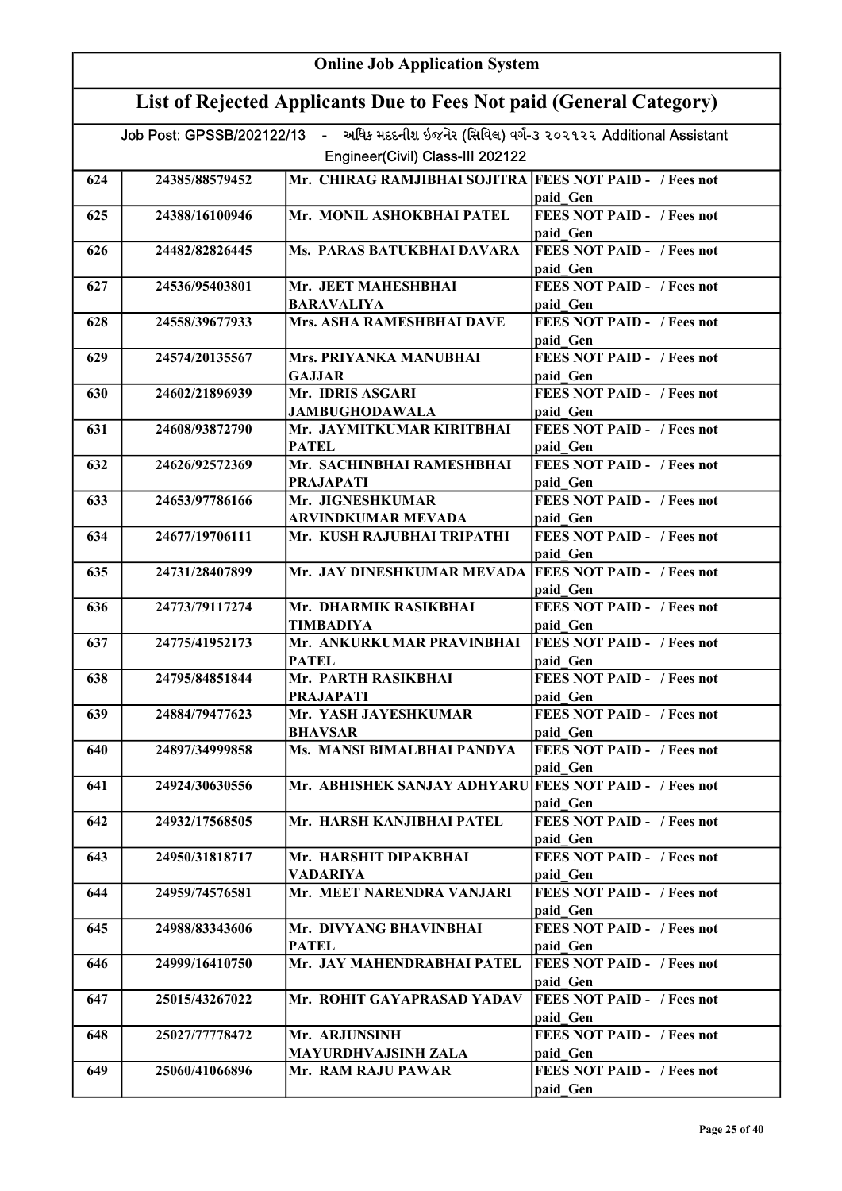| <b>Online Job Application System</b> |                                                                     |                                                                                          |                                               |  |
|--------------------------------------|---------------------------------------------------------------------|------------------------------------------------------------------------------------------|-----------------------------------------------|--|
|                                      | List of Rejected Applicants Due to Fees Not paid (General Category) |                                                                                          |                                               |  |
|                                      |                                                                     | Job Post: GPSSB/202122/13 - અધિક મદદનીશ ઇજનેર (સિવિલ) વર્ગ-૩ ૨૦૨૧૨૨ Additional Assistant |                                               |  |
|                                      |                                                                     | Engineer(Civil) Class-III 202122                                                         |                                               |  |
| 624                                  | 24385/88579452                                                      | Mr. CHIRAG RAMJIBHAI SOJITRA FEES NOT PAID - / Fees not                                  | paid Gen                                      |  |
| 625                                  | 24388/16100946                                                      | Mr. MONIL ASHOKBHAI PATEL                                                                | <b>FEES NOT PAID - / Fees not</b>             |  |
|                                      |                                                                     |                                                                                          | paid Gen                                      |  |
| 626                                  | 24482/82826445                                                      | Ms. PARAS BATUKBHAI DAVARA                                                               | <b>FEES NOT PAID - / Fees not</b><br>paid Gen |  |
| 627                                  | 24536/95403801                                                      | Mr. JEET MAHESHBHAI                                                                      | <b>FEES NOT PAID - / Fees not</b>             |  |
|                                      |                                                                     | <b>BARAVALIYA</b>                                                                        | paid Gen                                      |  |
| 628                                  | 24558/39677933                                                      | Mrs. ASHA RAMESHBHAI DAVE                                                                | <b>FEES NOT PAID - / Fees not</b><br>paid Gen |  |
| 629                                  | 24574/20135567                                                      | Mrs. PRIYANKA MANUBHAI                                                                   | <b>FEES NOT PAID - / Fees not</b>             |  |
|                                      |                                                                     | <b>GAJJAR</b>                                                                            | paid Gen                                      |  |
| 630                                  | 24602/21896939                                                      | Mr. IDRIS ASGARI                                                                         | <b>FEES NOT PAID - / Fees not</b>             |  |
|                                      |                                                                     | <b>JAMBUGHODAWALA</b>                                                                    | paid Gen                                      |  |
| 631                                  | 24608/93872790                                                      | Mr. JAYMITKUMAR KIRITBHAI<br><b>PATEL</b>                                                | <b>FEES NOT PAID - / Fees not</b>             |  |
| 632                                  | 24626/92572369                                                      | Mr. SACHINBHAI RAMESHBHAI                                                                | paid Gen<br><b>FEES NOT PAID - / Fees not</b> |  |
|                                      |                                                                     | <b>PRAJAPATI</b>                                                                         | paid Gen                                      |  |
| 633                                  | 24653/97786166                                                      | Mr. JIGNESHKUMAR                                                                         | <b>FEES NOT PAID - / Fees not</b>             |  |
|                                      |                                                                     | <b>ARVINDKUMAR MEVADA</b>                                                                | paid_Gen                                      |  |
| 634                                  | 24677/19706111                                                      | Mr. KUSH RAJUBHAI TRIPATHI                                                               | <b>FEES NOT PAID - / Fees not</b><br>paid Gen |  |
| 635                                  | 24731/28407899                                                      | Mr. JAY DINESHKUMAR MEVADA   FEES NOT PAID - / Fees not                                  |                                               |  |
|                                      |                                                                     |                                                                                          | paid Gen                                      |  |
| 636                                  | 24773/79117274                                                      | Mr. DHARMIK RASIKBHAI                                                                    | <b>FEES NOT PAID - / Fees not</b>             |  |
|                                      |                                                                     | TIMBADIYA                                                                                | paid Gen                                      |  |
| 637                                  | 24775/41952173                                                      | Mr. ANKURKUMAR PRAVINBHAI<br><b>PATEL</b>                                                | <b>FEES NOT PAID - / Fees not</b><br>paid Gen |  |
| 638                                  | 24795/84851844                                                      | Mr. PARTH RASIKBHAI                                                                      | <b>FEES NOT PAID -</b> / Fees not             |  |
|                                      |                                                                     | <b>PRAJAPATI</b>                                                                         | paid Gen                                      |  |
| 639                                  | 24884/79477623                                                      | Mr. YASH JAYESHKUMAR<br><b>BHAVSAR</b>                                                   | <b>FEES NOT PAID - / Fees not</b><br>paid Gen |  |
| 640                                  | 24897/34999858                                                      | Ms. MANSI BIMALBHAI PANDYA                                                               | <b>FEES NOT PAID - / Fees not</b>             |  |
|                                      |                                                                     |                                                                                          | paid Gen                                      |  |
| 641                                  | 24924/30630556                                                      | Mr. ABHISHEK SANJAY ADHYARU FEES NOT PAID - / Fees not                                   |                                               |  |
|                                      |                                                                     |                                                                                          | paid Gen                                      |  |
| 642                                  | 24932/17568505                                                      | Mr. HARSH KANJIBHAI PATEL                                                                | <b>FEES NOT PAID - / Fees not</b><br>paid Gen |  |
| 643                                  | 24950/31818717                                                      | Mr. HARSHIT DIPAKBHAI                                                                    | <b>FEES NOT PAID - / Fees not</b>             |  |
|                                      |                                                                     | <b>VADARIYA</b>                                                                          | paid Gen                                      |  |
| 644                                  | 24959/74576581                                                      | Mr. MEET NARENDRA VANJARI                                                                | <b>FEES NOT PAID - / Fees not</b><br>paid Gen |  |
| 645                                  | 24988/83343606                                                      | Mr. DIVYANG BHAVINBHAI                                                                   | <b>FEES NOT PAID - / Fees not</b>             |  |
| 646                                  | 24999/16410750                                                      | <b>PATEL</b><br>Mr. JAY MAHENDRABHAI PATEL                                               | paid Gen<br><b>FEES NOT PAID - / Fees not</b> |  |
|                                      |                                                                     |                                                                                          | paid Gen                                      |  |
| 647                                  | 25015/43267022                                                      | Mr. ROHIT GAYAPRASAD YADAV                                                               | <b>FEES NOT PAID - / Fees not</b>             |  |
|                                      |                                                                     |                                                                                          | paid Gen                                      |  |
| 648                                  | 25027/77778472                                                      | Mr. ARJUNSINH                                                                            | <b>FEES NOT PAID - / Fees not</b>             |  |
|                                      |                                                                     | <b>MAYURDHVAJSINH ZALA</b>                                                               | paid Gen                                      |  |
| 649                                  | 25060/41066896                                                      | Mr. RAM RAJU PAWAR                                                                       | <b>FEES NOT PAID - / Fees not</b>             |  |
|                                      |                                                                     |                                                                                          | paid Gen                                      |  |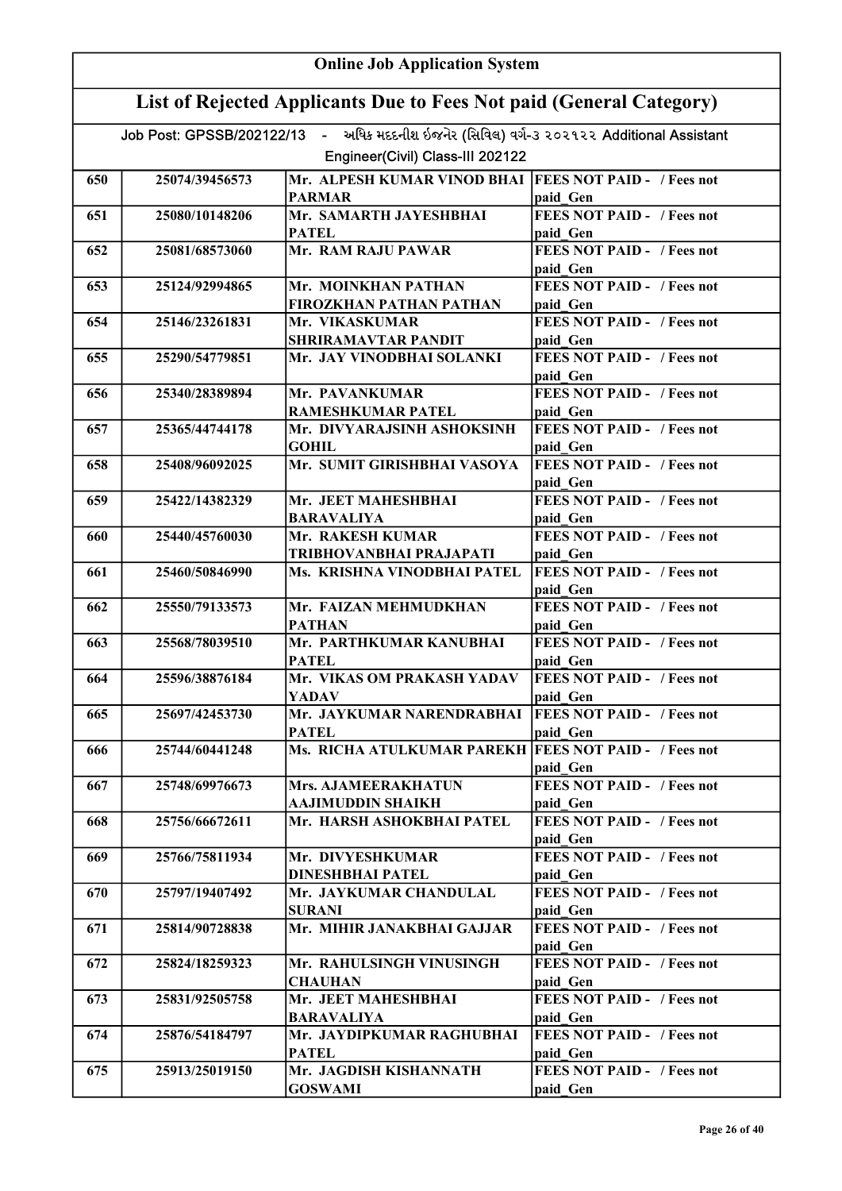| <b>Online Job Application System</b> |                                                                     |                                                                                                                              |                                                |  |
|--------------------------------------|---------------------------------------------------------------------|------------------------------------------------------------------------------------------------------------------------------|------------------------------------------------|--|
|                                      | List of Rejected Applicants Due to Fees Not paid (General Category) |                                                                                                                              |                                                |  |
|                                      |                                                                     | Job Post: GPSSB/202122/13 - અધિક મદદનીશ ઇજનેર (સિવિલ) વર્ગ-૩ ૨૦૨૧૨૨ Additional Assistant<br>Engineer(Civil) Class-III 202122 |                                                |  |
|                                      |                                                                     |                                                                                                                              |                                                |  |
| 650                                  | 25074/39456573                                                      | Mr. ALPESH KUMAR VINOD BHAI<br><b>PARMAR</b>                                                                                 | <b>FEES NOT PAID - / Fees not</b><br>paid Gen  |  |
| 651                                  | 25080/10148206                                                      | Mr. SAMARTH JAYESHBHAI                                                                                                       | <b>FEES NOT PAID - / Fees not</b>              |  |
|                                      |                                                                     | <b>PATEL</b>                                                                                                                 | paid Gen                                       |  |
| 652                                  | 25081/68573060                                                      | Mr. RAM RAJU PAWAR                                                                                                           | <b>FEES NOT PAID - / Fees not</b><br>paid Gen  |  |
| 653                                  | 25124/92994865                                                      | Mr. MOINKHAN PATHAN                                                                                                          | <b>FEES NOT PAID - / Fees not</b>              |  |
|                                      |                                                                     | FIROZKHAN PATHAN PATHAN                                                                                                      | paid Gen                                       |  |
| 654                                  | 25146/23261831                                                      | Mr. VIKASKUMAR<br><b>SHRIRAMAVTAR PANDIT</b>                                                                                 | <b>FEES NOT PAID - / Fees not</b><br>paid Gen  |  |
| 655                                  | 25290/54779851                                                      | Mr. JAY VINODBHAI SOLANKI                                                                                                    | <b>FEES NOT PAID - / Fees not</b>              |  |
|                                      |                                                                     |                                                                                                                              | paid Gen                                       |  |
| 656                                  | 25340/28389894                                                      | Mr. PAVANKUMAR                                                                                                               | <b>FEES NOT PAID - / Fees not</b>              |  |
|                                      |                                                                     | <b>RAMESHKUMAR PATEL</b>                                                                                                     | paid Gen                                       |  |
| 657                                  | 25365/44744178                                                      | Mr. DIVYARAJSINH ASHOKSINH                                                                                                   | <b>FEES NOT PAID - / Fees not</b>              |  |
| 658                                  | 25408/96092025                                                      | GOHIL<br>Mr. SUMIT GIRISHBHAI VASOYA                                                                                         | paid Gen<br><b>FEES NOT PAID - / Fees not</b>  |  |
|                                      |                                                                     |                                                                                                                              | paid Gen                                       |  |
| 659                                  | 25422/14382329                                                      | Mr. JEET MAHESHBHAI                                                                                                          | <b>FEES NOT PAID - / Fees not</b>              |  |
|                                      |                                                                     | <b>BARAVALIYA</b>                                                                                                            | paid Gen                                       |  |
| 660                                  | 25440/45760030                                                      | Mr. RAKESH KUMAR<br><b>TRIBHOVANBHAI PRAJAPATI</b>                                                                           | <b>FEES NOT PAID - / Fees not</b><br>paid Gen  |  |
| 661                                  | 25460/50846990                                                      | Ms. KRISHNA VINODBHAI PATEL                                                                                                  | <b>FEES NOT PAID - / Fees not</b>              |  |
|                                      |                                                                     |                                                                                                                              | paid Gen                                       |  |
| 662                                  | 25550/79133573                                                      | Mr. FAIZAN MEHMUDKHAN                                                                                                        | <b>FEES NOT PAID - / Fees not</b>              |  |
|                                      |                                                                     | <b>PATHAN</b>                                                                                                                | paid Gen                                       |  |
| 663                                  | 25568/78039510                                                      | Mr. PARTHKUMAR KANUBHAI<br><b>PATEL</b>                                                                                      | <b>FEES NOT PAID - / Fees not</b><br>paid Gen  |  |
| 664                                  | 25596/38876184                                                      | Mr. VIKAS OM PRAKASH YADAV<br>YADAV                                                                                          | <b>IFEES NOT PAID -</b> / Fees not<br>paid Gen |  |
| 665                                  | 25697/42453730                                                      | Mr. JAYKUMAR NARENDRABHAI                                                                                                    | <b>FEES NOT PAID - / Fees not</b>              |  |
|                                      |                                                                     | <b>PATEL</b>                                                                                                                 | paid Gen                                       |  |
| 666                                  | 25744/60441248                                                      | Ms. RICHA ATULKUMAR PAREKH   FEES NOT PAID - / Fees not                                                                      |                                                |  |
|                                      |                                                                     |                                                                                                                              | paid Gen                                       |  |
| 667                                  | 25748/69976673                                                      | Mrs. AJAMEERAKHATUN<br>AAJIMUDDIN SHAIKH                                                                                     | FEES NOT PAID - / Fees not<br>paid Gen         |  |
| 668                                  | 25756/66672611                                                      | Mr. HARSH ASHOKBHAI PATEL                                                                                                    | <b>FEES NOT PAID - / Fees not</b>              |  |
|                                      |                                                                     |                                                                                                                              | paid Gen                                       |  |
| 669                                  | 25766/75811934                                                      | Mr. DIVYESHKUMAR                                                                                                             | <b>FEES NOT PAID - / Fees not</b>              |  |
|                                      |                                                                     | <b>DINESHBHAI PATEL</b>                                                                                                      | paid Gen                                       |  |
| 670                                  | 25797/19407492                                                      | Mr. JAYKUMAR CHANDULAL<br><b>SURANI</b>                                                                                      | <b>FEES NOT PAID - / Fees not</b><br>paid Gen  |  |
| 671                                  | 25814/90728838                                                      | Mr. MIHIR JANAKBHAI GAJJAR                                                                                                   | <b>FEES NOT PAID - / Fees not</b>              |  |
|                                      |                                                                     |                                                                                                                              | paid Gen                                       |  |
| 672                                  | 25824/18259323                                                      | Mr. RAHULSINGH VINUSINGH<br><b>CHAUHAN</b>                                                                                   | <b>FEES NOT PAID - / Fees not</b><br>paid Gen  |  |
| 673                                  | 25831/92505758                                                      | Mr. JEET MAHESHBHAI                                                                                                          | <b>FEES NOT PAID - / Fees not</b>              |  |
|                                      |                                                                     | BARAVALIYA                                                                                                                   | paid Gen                                       |  |
| 674                                  | 25876/54184797                                                      | Mr. JAYDIPKUMAR RAGHUBHAI                                                                                                    | <b>FEES NOT PAID - / Fees not</b>              |  |
| 675                                  | 25913/25019150                                                      | <b>PATEL</b><br>Mr. JAGDISH KISHANNATH                                                                                       | paid Gen<br><b>FEES NOT PAID - / Fees not</b>  |  |
|                                      |                                                                     | <b>GOSWAMI</b>                                                                                                               | paid Gen                                       |  |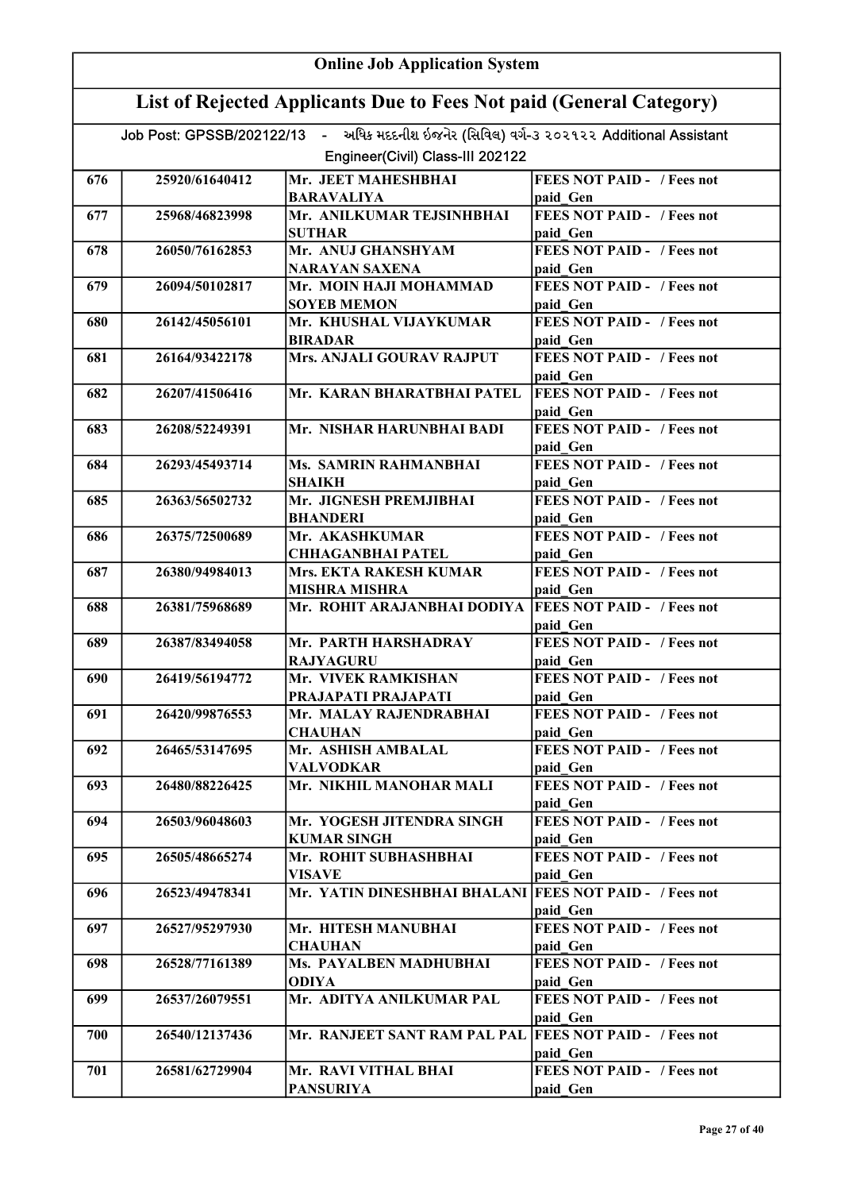| <b>Online Job Application System</b> |                                                                                                                              |                                                         |                                               |  |
|--------------------------------------|------------------------------------------------------------------------------------------------------------------------------|---------------------------------------------------------|-----------------------------------------------|--|
|                                      | List of Rejected Applicants Due to Fees Not paid (General Category)                                                          |                                                         |                                               |  |
|                                      | Job Post: GPSSB/202122/13 - અધિક મદદનીશ ઇજનેર (સિવિલ) વર્ગ-૩ ૨૦૨૧૨૨ Additional Assistant<br>Engineer(Civil) Class-III 202122 |                                                         |                                               |  |
|                                      |                                                                                                                              |                                                         |                                               |  |
| 676                                  | 25920/61640412                                                                                                               | Mr. JEET MAHESHBHAI<br><b>BARAVALIYA</b>                | <b>FEES NOT PAID - / Fees not</b><br>paid Gen |  |
| 677                                  | 25968/46823998                                                                                                               | Mr. ANILKUMAR TEJSINHBHAI                               | <b>FEES NOT PAID - / Fees not</b>             |  |
|                                      |                                                                                                                              | <b>SUTHAR</b>                                           | paid Gen                                      |  |
| 678                                  | 26050/76162853                                                                                                               | Mr. ANUJ GHANSHYAM<br><b>NARAYAN SAXENA</b>             | <b>FEES NOT PAID - / Fees not</b><br>paid Gen |  |
| 679                                  | 26094/50102817                                                                                                               | Mr. MOIN HAJI MOHAMMAD                                  | <b>FEES NOT PAID - / Fees not</b>             |  |
|                                      |                                                                                                                              | <b>SOYEB MEMON</b>                                      | paid Gen                                      |  |
| 680                                  | 26142/45056101                                                                                                               | Mr. KHUSHAL VIJAYKUMAR<br><b>BIRADAR</b>                | <b>FEES NOT PAID - / Fees not</b><br>paid Gen |  |
| 681                                  | 26164/93422178                                                                                                               | <b>Mrs. ANJALI GOURAV RAJPUT</b>                        | <b>FEES NOT PAID - / Fees not</b>             |  |
| 682                                  | 26207/41506416                                                                                                               | Mr. KARAN BHARATBHAI PATEL                              | paid Gen<br><b>FEES NOT PAID - / Fees not</b> |  |
|                                      |                                                                                                                              |                                                         | paid Gen                                      |  |
| 683                                  | 26208/52249391                                                                                                               | Mr. NISHAR HARUNBHAI BADI                               | FEES NOT PAID - / Fees not                    |  |
|                                      |                                                                                                                              |                                                         | paid Gen<br><b>FEES NOT PAID - / Fees not</b> |  |
| 684                                  | 26293/45493714                                                                                                               | Ms. SAMRIN RAHMANBHAI<br>SHAIKH                         | paid Gen                                      |  |
| 685                                  | 26363/56502732                                                                                                               | Mr. JIGNESH PREMJIBHAI<br><b>BHANDERI</b>               | <b>FEES NOT PAID - / Fees not</b><br>paid_Gen |  |
| 686                                  | 26375/72500689                                                                                                               | Mr. AKASHKUMAR                                          | <b>FEES NOT PAID - / Fees not</b>             |  |
|                                      |                                                                                                                              | <b>CHHAGANBHAI PATEL</b>                                | paid Gen                                      |  |
| 687                                  | 26380/94984013                                                                                                               | Mrs. EKTA RAKESH KUMAR                                  | <b>FEES NOT PAID - / Fees not</b>             |  |
| 688                                  | 26381/75968689                                                                                                               | <b>MISHRA MISHRA</b><br>Mr. ROHIT ARAJANBHAI DODIYA     | paid Gen<br><b>FEES NOT PAID - / Fees not</b> |  |
|                                      |                                                                                                                              |                                                         | paid Gen                                      |  |
| 689                                  | 26387/83494058                                                                                                               | Mr. PARTH HARSHADRAY                                    | <b>FEES NOT PAID - / Fees not</b>             |  |
| 690                                  | 26419/56194772                                                                                                               | <b>RAJYAGURU</b><br>Mr. VIVEK RAMKISHAN                 | paid Gen<br><b>FEES NOT PAID - / Fees not</b> |  |
|                                      |                                                                                                                              | PRAJAPATI PRAJAPATI                                     | paid Gen                                      |  |
| 691                                  | 26420/99876553                                                                                                               | Mr. MALAY RAJENDRABHAI                                  | <b>FEES NOT PAID - / Fees not</b>             |  |
|                                      |                                                                                                                              | <b>CHAUHAN</b>                                          | paid Gen                                      |  |
| 692                                  | 26465/53147695                                                                                                               | Mr. ASHISH AMBALAL                                      | <b>FEES NOT PAID - / Fees not</b>             |  |
|                                      | 26480/88226425                                                                                                               | <b>VALVODKAR</b><br>Mr. NIKHIL MANOHAR MALI             | paid Gen<br><b>FEES NOT PAID - / Fees not</b> |  |
| 693                                  |                                                                                                                              |                                                         | paid Gen                                      |  |
| 694                                  | 26503/96048603                                                                                                               | Mr. YOGESH JITENDRA SINGH                               | <b>FEES NOT PAID - / Fees not</b>             |  |
|                                      |                                                                                                                              | <b>KUMAR SINGH</b>                                      | paid Gen                                      |  |
| 695                                  | 26505/48665274                                                                                                               | Mr. ROHIT SUBHASHBHAI<br><b>VISAVE</b>                  | <b>FEES NOT PAID - / Fees not</b><br>paid Gen |  |
| 696                                  | 26523/49478341                                                                                                               | Mr. YATIN DINESHBHAI BHALANI FEES NOT PAID - / Fees not | paid Gen                                      |  |
| 697                                  | 26527/95297930                                                                                                               | Mr. HITESH MANUBHAI                                     | <b>FEES NOT PAID - / Fees not</b>             |  |
|                                      |                                                                                                                              | <b>CHAUHAN</b>                                          | paid Gen                                      |  |
| 698                                  | 26528/77161389                                                                                                               | Ms. PAYALBEN MADHUBHAI<br><b>ODIYA</b>                  | <b>FEES NOT PAID - / Fees not</b><br>paid Gen |  |
| 699                                  | 26537/26079551                                                                                                               | Mr. ADITYA ANILKUMAR PAL                                | <b>FEES NOT PAID - / Fees not</b>             |  |
|                                      |                                                                                                                              |                                                         | paid Gen                                      |  |
| 700                                  | 26540/12137436                                                                                                               | Mr. RANJEET SANT RAM PAL PAL FEES NOT PAID - / Fees not | paid Gen                                      |  |
| 701                                  | 26581/62729904                                                                                                               | Mr. RAVI VITHAL BHAI                                    | <b>FEES NOT PAID - / Fees not</b>             |  |
|                                      |                                                                                                                              | <b>PANSURIYA</b>                                        | paid Gen                                      |  |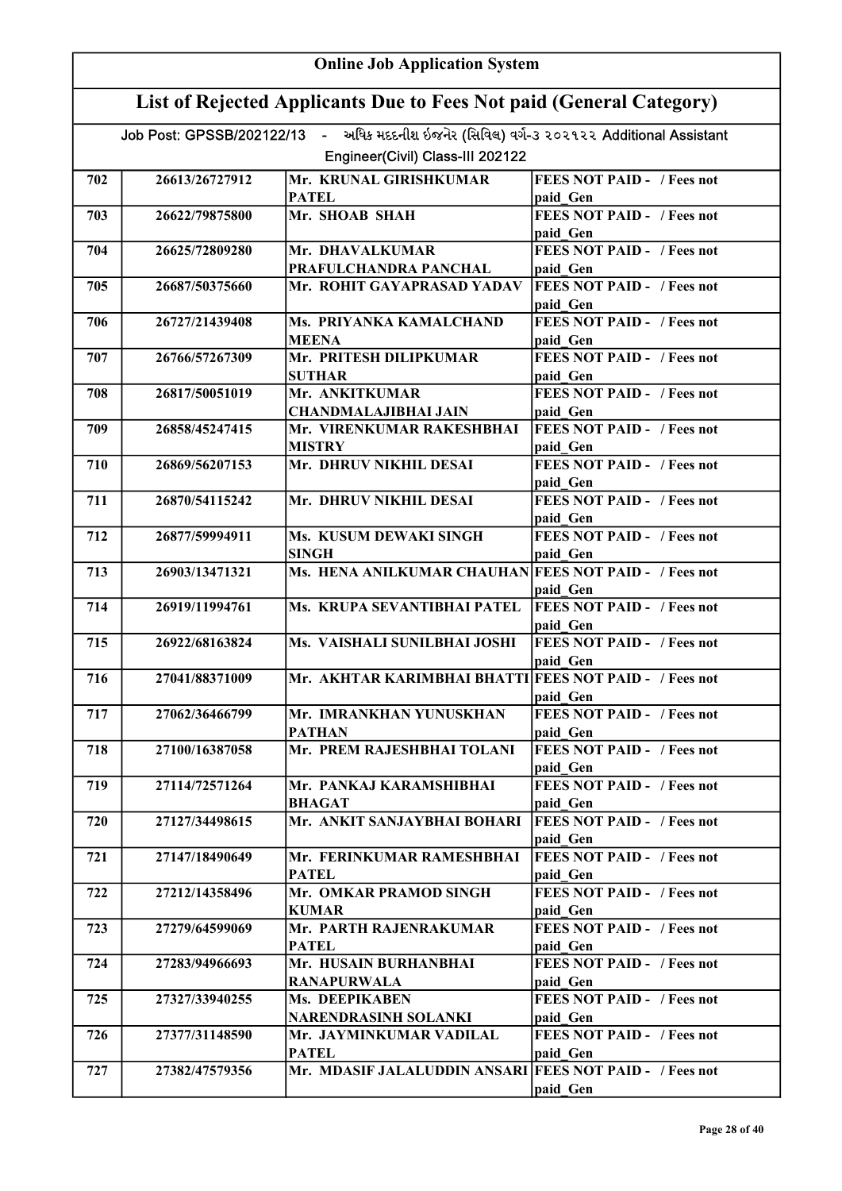| <b>Online Job Application System</b> |                                                                     |                                                                                                                              |                                               |  |
|--------------------------------------|---------------------------------------------------------------------|------------------------------------------------------------------------------------------------------------------------------|-----------------------------------------------|--|
|                                      | List of Rejected Applicants Due to Fees Not paid (General Category) |                                                                                                                              |                                               |  |
|                                      |                                                                     | Job Post: GPSSB/202122/13 - અધિક મદદનીશ ઇજનેર (સિવિલ) વર્ગ-૩ ૨૦૨૧૨૨ Additional Assistant<br>Engineer(Civil) Class-III 202122 |                                               |  |
|                                      |                                                                     |                                                                                                                              |                                               |  |
| 702                                  | 26613/26727912                                                      | Mr. KRUNAL GIRISHKUMAR<br><b>PATEL</b>                                                                                       | <b>FEES NOT PAID - / Fees not</b><br>paid Gen |  |
| 703                                  | 26622/79875800                                                      | Mr. SHOAB SHAH                                                                                                               | <b>FEES NOT PAID - / Fees not</b><br>paid Gen |  |
| 704                                  | 26625/72809280                                                      | Mr. DHAVALKUMAR<br>PRAFULCHANDRA PANCHAL                                                                                     | <b>FEES NOT PAID - / Fees not</b><br>paid Gen |  |
| 705                                  | 26687/50375660                                                      | Mr. ROHIT GAYAPRASAD YADAV                                                                                                   | <b>FEES NOT PAID - / Fees not</b><br>paid Gen |  |
| 706                                  | 26727/21439408                                                      | Ms. PRIYANKA KAMALCHAND                                                                                                      | <b>FEES NOT PAID - / Fees not</b>             |  |
| 707                                  | 26766/57267309                                                      | <b>MEENA</b><br>Mr. PRITESH DILIPKUMAR                                                                                       | paid Gen<br><b>FEES NOT PAID - / Fees not</b> |  |
| 708                                  | 26817/50051019                                                      | <b>SUTHAR</b><br>Mr. ANKITKUMAR                                                                                              | paid Gen<br><b>FEES NOT PAID - / Fees not</b> |  |
|                                      |                                                                     | <b>CHANDMALAJIBHAI JAIN</b>                                                                                                  | paid Gen                                      |  |
| 709                                  | 26858/45247415                                                      | Mr. VIRENKUMAR RAKESHBHAI<br><b>MISTRY</b>                                                                                   | <b>FEES NOT PAID - / Fees not</b><br>paid Gen |  |
| 710                                  | 26869/56207153                                                      | Mr. DHRUV NIKHIL DESAI                                                                                                       | <b>FEES NOT PAID - / Fees not</b><br>paid Gen |  |
| 711                                  | 26870/54115242                                                      | Mr. DHRUV NIKHIL DESAI                                                                                                       | <b>FEES NOT PAID - / Fees not</b><br>paid Gen |  |
| 712                                  | 26877/59994911                                                      | Ms. KUSUM DEWAKI SINGH<br><b>SINGH</b>                                                                                       | <b>FEES NOT PAID - / Fees not</b>             |  |
| 713                                  | 26903/13471321                                                      | Ms. HENA ANILKUMAR CHAUHAN FEES NOT PAID - / Fees not                                                                        | paid Gen                                      |  |
|                                      |                                                                     |                                                                                                                              | paid Gen                                      |  |
| 714                                  | 26919/11994761                                                      | Ms. KRUPA SEVANTIBHAI PATEL                                                                                                  | <b>FEES NOT PAID - / Fees not</b><br>paid Gen |  |
| 715                                  | 26922/68163824                                                      | Ms. VAISHALI SUNILBHAI JOSHI                                                                                                 | <b>FEES NOT PAID - / Fees not</b><br>paid Gen |  |
| 716                                  | 27041/88371009                                                      | Mr. AKHTAR KARIMBHAI BHATTI FEES NOT PAID - / Fees not                                                                       | paid Gen                                      |  |
| 717                                  | 27062/36466799                                                      | Mr. IMRANKHAN YUNUSKHAN<br><b>PATHAN</b>                                                                                     | <b>FEES NOT PAID - / Fees not</b><br>paid Gen |  |
| 718                                  | 27100/16387058                                                      | Mr. PREM RAJESHBHAI TOLANI                                                                                                   | <b>FEES NOT PAID - / Fees not</b><br>paid Gen |  |
| 719                                  | 27114/72571264                                                      | Mr. PANKAJ KARAMSHIBHAI<br><b>BHAGAT</b>                                                                                     | <b>FEES NOT PAID - / Fees not</b><br>paid Gen |  |
| 720                                  | 27127/34498615                                                      | Mr. ANKIT SANJAYBHAI BOHARI                                                                                                  | <b>FEES NOT PAID - / Fees not</b>             |  |
| 721                                  | 27147/18490649                                                      | Mr. FERINKUMAR RAMESHBHAI                                                                                                    | paid Gen<br><b>FEES NOT PAID - / Fees not</b> |  |
| 722                                  | 27212/14358496                                                      | <b>PATEL</b><br>Mr. OMKAR PRAMOD SINGH                                                                                       | paid Gen<br><b>FEES NOT PAID - / Fees not</b> |  |
| 723                                  | 27279/64599069                                                      | <b>KUMAR</b><br>Mr. PARTH RAJENRAKUMAR                                                                                       | paid Gen<br><b>FEES NOT PAID - / Fees not</b> |  |
| 724                                  | 27283/94966693                                                      | <b>PATEL</b><br>Mr. HUSAIN BURHANBHAI                                                                                        | paid Gen<br><b>FEES NOT PAID - / Fees not</b> |  |
|                                      |                                                                     | <b>RANAPURWALA</b>                                                                                                           | paid Gen                                      |  |
| 725                                  | 27327/33940255                                                      | Ms. DEEPIKABEN<br>NARENDRASINH SOLANKI                                                                                       | <b>FEES NOT PAID - / Fees not</b><br>paid Gen |  |
| 726                                  | 27377/31148590                                                      | Mr. JAYMINKUMAR VADILAL<br><b>PATEL</b>                                                                                      | <b>FEES NOT PAID - / Fees not</b><br>paid Gen |  |
| 727                                  | 27382/47579356                                                      | Mr. MDASIF JALALUDDIN ANSARI FEES NOT PAID - / Fees not                                                                      | paid Gen                                      |  |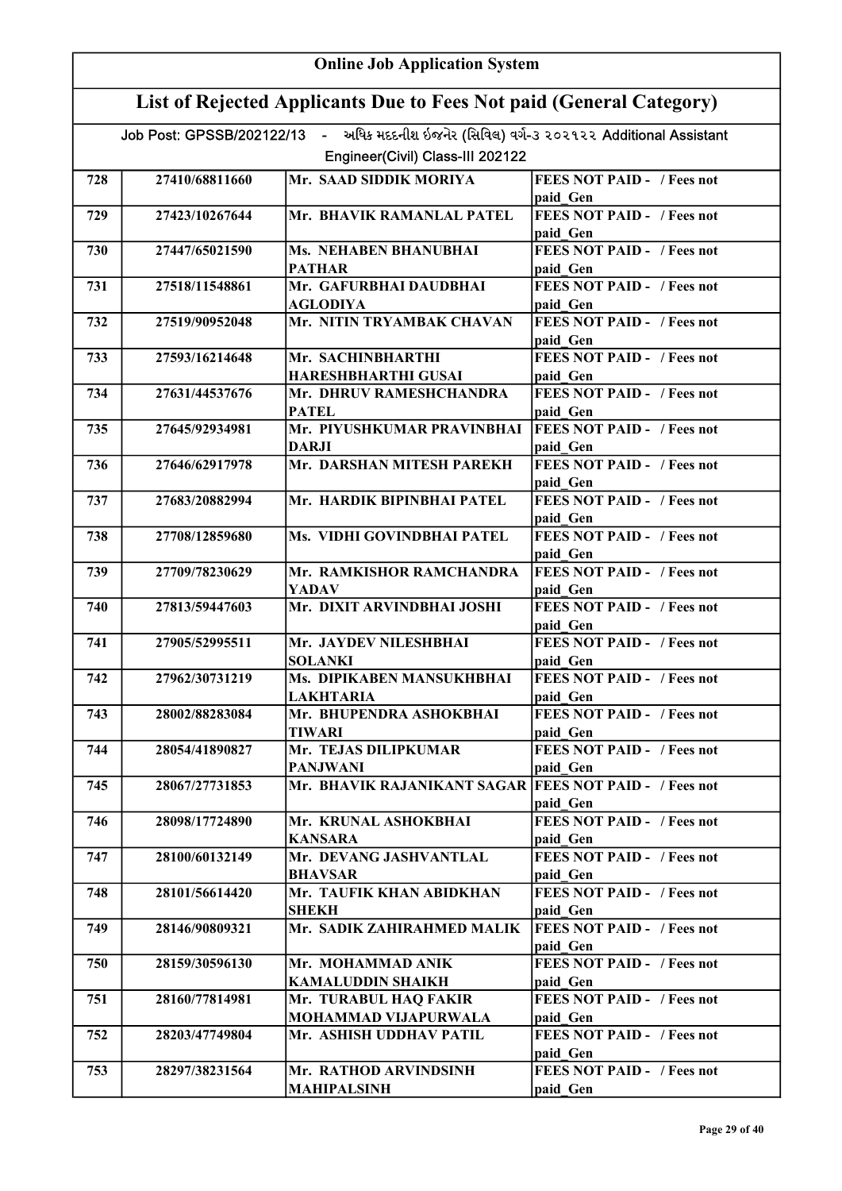|     | <b>Online Job Application System</b>                                                                                         |                                                        |                                               |  |
|-----|------------------------------------------------------------------------------------------------------------------------------|--------------------------------------------------------|-----------------------------------------------|--|
|     | List of Rejected Applicants Due to Fees Not paid (General Category)                                                          |                                                        |                                               |  |
|     | Job Post: GPSSB/202122/13 - અધિક મદદનીશ ઇજનેર (સિવિલ) વર્ગ-૩ ૨૦૨૧૨૨ Additional Assistant<br>Engineer(Civil) Class-III 202122 |                                                        |                                               |  |
|     |                                                                                                                              | Mr. SAAD SIDDIK MORIYA                                 | <b>FEES NOT PAID - / Fees not</b>             |  |
| 728 | 27410/68811660                                                                                                               |                                                        |                                               |  |
| 729 | 27423/10267644                                                                                                               | Mr. BHAVIK RAMANLAL PATEL                              | paid Gen<br><b>FEES NOT PAID - / Fees not</b> |  |
|     |                                                                                                                              |                                                        | paid Gen                                      |  |
| 730 | 27447/65021590                                                                                                               | <b>Ms. NEHABEN BHANUBHAI</b>                           | <b>FEES NOT PAID - / Fees not</b>             |  |
|     |                                                                                                                              | <b>PATHAR</b>                                          | paid Gen                                      |  |
| 731 | 27518/11548861                                                                                                               | Mr. GAFURBHAI DAUDBHAI                                 | <b>FEES NOT PAID - / Fees not</b>             |  |
|     |                                                                                                                              | <b>AGLODIYA</b>                                        | paid Gen                                      |  |
| 732 | 27519/90952048                                                                                                               | Mr. NITIN TRYAMBAK CHAVAN                              | <b>FEES NOT PAID - / Fees not</b>             |  |
|     |                                                                                                                              |                                                        | paid Gen                                      |  |
| 733 | 27593/16214648                                                                                                               | Mr. SACHINBHARTHI                                      | <b>FEES NOT PAID - / Fees not</b>             |  |
|     |                                                                                                                              | HARESHBHARTHI GUSAI                                    | paid Gen                                      |  |
| 734 | 27631/44537676                                                                                                               | Mr. DHRUV RAMESHCHANDRA                                | <b>FEES NOT PAID - / Fees not</b>             |  |
|     |                                                                                                                              | <b>PATEL</b>                                           | paid Gen                                      |  |
| 735 | 27645/92934981                                                                                                               | Mr. PIYUSHKUMAR PRAVINBHAI                             | <b>FEES NOT PAID - / Fees not</b>             |  |
|     |                                                                                                                              | DARJI                                                  | paid Gen                                      |  |
| 736 | 27646/62917978                                                                                                               | Mr. DARSHAN MITESH PAREKH                              | <b>FEES NOT PAID - / Fees not</b>             |  |
|     |                                                                                                                              |                                                        | paid Gen                                      |  |
| 737 | 27683/20882994                                                                                                               | Mr. HARDIK BIPINBHAI PATEL                             | <b>FEES NOT PAID - / Fees not</b>             |  |
|     |                                                                                                                              |                                                        | paid Gen                                      |  |
| 738 | 27708/12859680                                                                                                               | Ms. VIDHI GOVINDBHAI PATEL                             | <b>FEES NOT PAID - / Fees not</b>             |  |
|     |                                                                                                                              |                                                        | paid Gen                                      |  |
| 739 | 27709/78230629                                                                                                               | Mr. RAMKISHOR RAMCHANDRA                               | <b>FEES NOT PAID - / Fees not</b>             |  |
|     |                                                                                                                              | YADAV                                                  | paid Gen                                      |  |
| 740 | 27813/59447603                                                                                                               | Mr. DIXIT ARVINDBHAI JOSHI                             | <b>FEES NOT PAID - / Fees not</b>             |  |
|     |                                                                                                                              |                                                        | paid Gen                                      |  |
| 741 | 27905/52995511                                                                                                               | Mr. JAYDEV NILESHBHAI                                  | <b>FEES NOT PAID - / Fees not</b>             |  |
|     |                                                                                                                              | <b>SOLANKI</b>                                         | paid Gen                                      |  |
| 742 | 27962/30731219                                                                                                               | Ms. DIPIKABEN MANSUKHBHAI                              | <b>FEES NOT PAID -</b> / Fees not             |  |
|     |                                                                                                                              | <b>LAKHTARIA</b>                                       | paid Gen                                      |  |
| 743 | 28002/88283084                                                                                                               | Mr. BHUPENDRA ASHOKBHAI                                | <b>FEES NOT PAID - / Fees not</b>             |  |
|     |                                                                                                                              | TIWARI                                                 | paid Gen                                      |  |
| 744 | 28054/41890827                                                                                                               | Mr. TEJAS DILIPKUMAR                                   | <b>FEES NOT PAID - / Fees not</b>             |  |
|     |                                                                                                                              | PANJWANI                                               | paid Gen                                      |  |
| 745 | 28067/27731853                                                                                                               | Mr. BHAVIK RAJANIKANT SAGAR FEES NOT PAID - / Fees not |                                               |  |
|     |                                                                                                                              |                                                        | paid Gen                                      |  |
| 746 | 28098/17724890                                                                                                               | Mr. KRUNAL ASHOKBHAI                                   | <b>FEES NOT PAID - / Fees not</b>             |  |
|     |                                                                                                                              | <b>KANSARA</b><br>Mr. DEVANG JASHVANTLAL               | paid Gen                                      |  |
| 747 | 28100/60132149                                                                                                               |                                                        | <b>FEES NOT PAID - / Fees not</b>             |  |
| 748 | 28101/56614420                                                                                                               | <b>BHAVSAR</b><br>Mr. TAUFIK KHAN ABIDKHAN             | paid Gen<br><b>FEES NOT PAID - / Fees not</b> |  |
|     |                                                                                                                              | <b>SHEKH</b>                                           | paid Gen                                      |  |
| 749 | 28146/90809321                                                                                                               | Mr. SADIK ZAHIRAHMED MALIK                             | <b>FEES NOT PAID - / Fees not</b>             |  |
|     |                                                                                                                              |                                                        | paid Gen                                      |  |
| 750 | 28159/30596130                                                                                                               | Mr. MOHAMMAD ANIK                                      | <b>FEES NOT PAID - / Fees not</b>             |  |
|     |                                                                                                                              | KAMALUDDIN SHAIKH                                      | paid Gen                                      |  |
| 751 | 28160/77814981                                                                                                               | Mr. TURABUL HAQ FAKIR                                  | FEES NOT PAID - / Fees not                    |  |
|     |                                                                                                                              | MOHAMMAD VIJAPURWALA                                   | paid Gen                                      |  |
| 752 | 28203/47749804                                                                                                               | Mr. ASHISH UDDHAV PATIL                                | <b>FEES NOT PAID - / Fees not</b>             |  |
|     |                                                                                                                              |                                                        | paid Gen                                      |  |
| 753 | 28297/38231564                                                                                                               | Mr. RATHOD ARVINDSINH                                  | <b>FEES NOT PAID - / Fees not</b>             |  |
|     |                                                                                                                              | <b>MAHIPALSINH</b>                                     | paid Gen                                      |  |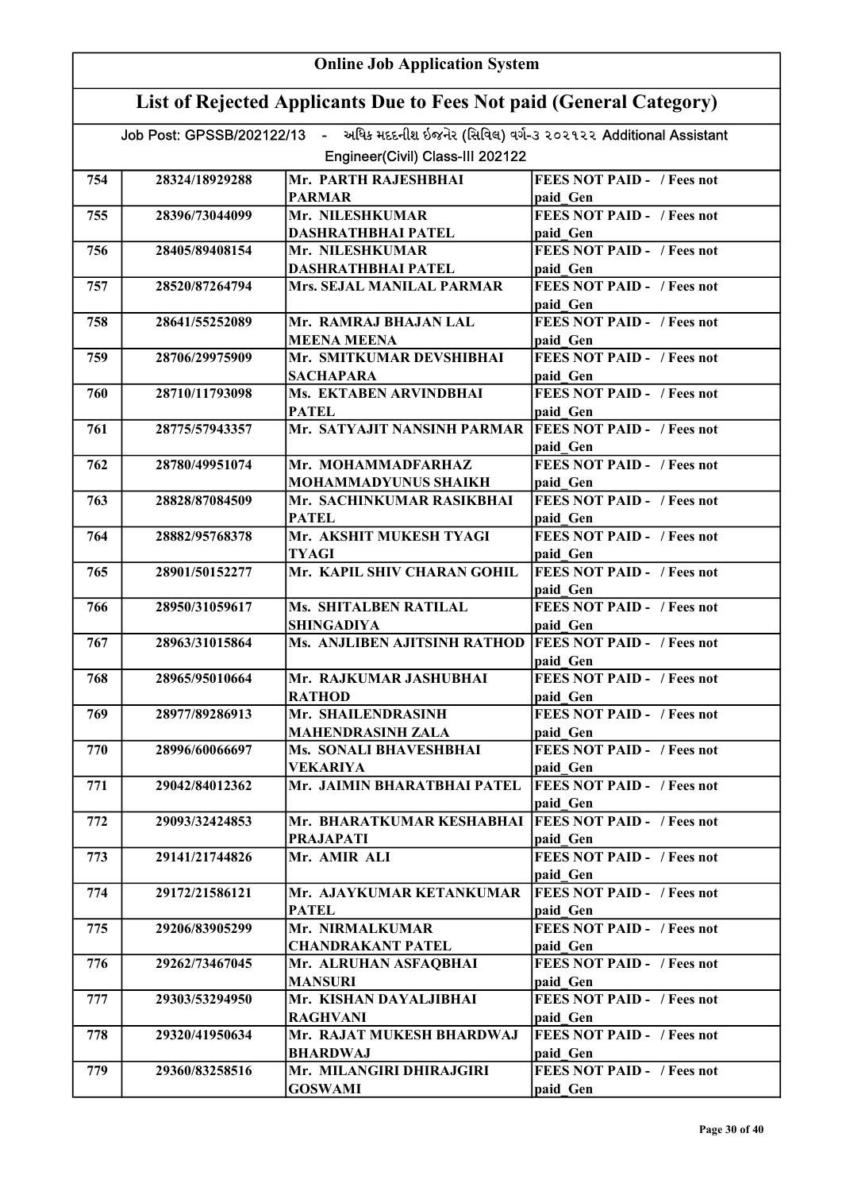| <b>Online Job Application System</b> |                                                                     |                                                                                          |                                               |  |
|--------------------------------------|---------------------------------------------------------------------|------------------------------------------------------------------------------------------|-----------------------------------------------|--|
|                                      | List of Rejected Applicants Due to Fees Not paid (General Category) |                                                                                          |                                               |  |
|                                      |                                                                     | Job Post: GPSSB/202122/13 - અધિક મદદનીશ ઇજનેર (સિવિલ) વર્ગ-૩ ૨૦૨૧૨૨ Additional Assistant |                                               |  |
|                                      |                                                                     | Engineer(Civil) Class-III 202122                                                         |                                               |  |
| 754                                  | 28324/18929288                                                      | Mr. PARTH RAJESHBHAI                                                                     | <b>FEES NOT PAID - / Fees not</b>             |  |
|                                      |                                                                     | <b>PARMAR</b>                                                                            | paid Gen                                      |  |
| 755                                  | 28396/73044099                                                      | Mr. NILESHKUMAR                                                                          | <b>FEES NOT PAID - / Fees not</b>             |  |
|                                      |                                                                     | <b>DASHRATHBHAI PATEL</b>                                                                | paid Gen                                      |  |
| 756                                  | 28405/89408154                                                      | Mr. NILESHKUMAR                                                                          | <b>FEES NOT PAID - / Fees not</b>             |  |
| 757                                  | 28520/87264794                                                      | <b>DASHRATHBHAI PATEL</b><br>Mrs. SEJAL MANILAL PARMAR                                   | paid Gen<br><b>FEES NOT PAID - / Fees not</b> |  |
|                                      |                                                                     |                                                                                          | paid Gen                                      |  |
| 758                                  | 28641/55252089                                                      | Mr. RAMRAJ BHAJAN LAL                                                                    | <b>FEES NOT PAID - / Fees not</b>             |  |
|                                      |                                                                     | <b>MEENA MEENA</b>                                                                       | paid Gen                                      |  |
| 759                                  | 28706/29975909                                                      | Mr. SMITKUMAR DEVSHIBHAI                                                                 | <b>FEES NOT PAID - / Fees not</b>             |  |
| 760                                  | 28710/11793098                                                      | <b>SACHAPARA</b><br>Ms. EKTABEN ARVINDBHAI                                               | paid Gen<br><b>FEES NOT PAID - / Fees not</b> |  |
|                                      |                                                                     | <b>PATEL</b>                                                                             | paid Gen                                      |  |
| 761                                  | 28775/57943357                                                      | Mr. SATYAJIT NANSINH PARMAR                                                              | <b>FEES NOT PAID - / Fees not</b>             |  |
|                                      |                                                                     |                                                                                          | paid Gen                                      |  |
| 762                                  | 28780/49951074                                                      | Mr. MOHAMMADFARHAZ                                                                       | <b>FEES NOT PAID - / Fees not</b>             |  |
|                                      |                                                                     | MOHAMMADYUNUS SHAIKH                                                                     | paid Gen                                      |  |
| 763                                  | 28828/87084509                                                      | Mr. SACHINKUMAR RASIKBHAI                                                                | <b>FEES NOT PAID - / Fees not</b>             |  |
| 764                                  | 28882/95768378                                                      | <b>PATEL</b><br>Mr. AKSHIT MUKESH TYAGI                                                  | paid Gen<br><b>FEES NOT PAID - / Fees not</b> |  |
|                                      |                                                                     | <b>TYAGI</b>                                                                             | paid Gen                                      |  |
| 765                                  | 28901/50152277                                                      | Mr. KAPIL SHIV CHARAN GOHIL                                                              | <b>FEES NOT PAID - / Fees not</b>             |  |
|                                      |                                                                     |                                                                                          | paid Gen                                      |  |
| 766                                  | 28950/31059617                                                      | <b>Ms. SHITALBEN RATILAL</b>                                                             | <b>FEES NOT PAID - / Fees not</b>             |  |
|                                      |                                                                     | <b>SHINGADIYA</b>                                                                        | paid Gen                                      |  |
| 767                                  | 28963/31015864                                                      | Ms. ANJLIBEN AJITSINH RATHOD                                                             | <b>FEES NOT PAID - / Fees not</b><br>paid Gen |  |
| 768                                  | 28965/95010664                                                      | Mr. RAJKUMAR JASHUBHAI                                                                   | <b>FEES NOT PAID - / Fees not</b>             |  |
|                                      |                                                                     | <b>RATHOD</b>                                                                            | paid Gen                                      |  |
| 769                                  | 28977/89286913                                                      | Mr. SHAILENDRASINH                                                                       | <b>FEES NOT PAID - / Fees not</b>             |  |
|                                      |                                                                     | <b>MAHENDRASINH ZALA</b>                                                                 | paid Gen                                      |  |
| 770                                  | 28996/60066697                                                      | Ms. SONALI BHAVESHBHAI                                                                   | <b>FEES NOT PAID - / Fees not</b>             |  |
| 771                                  | 29042/84012362                                                      | <b>VEKARIYA</b><br>Mr. JAIMIN BHARATBHAI PATEL                                           | paid Gen<br><b>FEES NOT PAID - / Fees not</b> |  |
|                                      |                                                                     |                                                                                          | paid Gen                                      |  |
| 772                                  | 29093/32424853                                                      | Mr. BHARATKUMAR KESHABHAI                                                                | <b>FEES NOT PAID - / Fees not</b>             |  |
|                                      |                                                                     | <b>PRAJAPATI</b>                                                                         | paid Gen                                      |  |
| 773                                  | 29141/21744826                                                      | Mr. AMIR ALI                                                                             | <b>FEES NOT PAID - / Fees not</b>             |  |
|                                      |                                                                     |                                                                                          | paid Gen                                      |  |
| 774                                  | 29172/21586121                                                      | Mr. AJAYKUMAR KETANKUMAR<br><b>PATEL</b>                                                 | <b>FEES NOT PAID - / Fees not</b><br>paid Gen |  |
| 775                                  | 29206/83905299                                                      | Mr. NIRMALKUMAR                                                                          | <b>FEES NOT PAID - / Fees not</b>             |  |
|                                      |                                                                     | <b>CHANDRAKANT PATEL</b>                                                                 | paid Gen                                      |  |
| 776                                  | 29262/73467045                                                      | Mr. ALRUHAN ASFAQBHAI                                                                    | <b>FEES NOT PAID - / Fees not</b>             |  |
|                                      |                                                                     | <b>MANSURI</b>                                                                           | paid Gen                                      |  |
| 777                                  | 29303/53294950                                                      | Mr. KISHAN DAYALJIBHAI<br><b>RAGHVANI</b>                                                | <b>FEES NOT PAID - / Fees not</b><br>paid Gen |  |
| 778                                  | 29320/41950634                                                      | Mr. RAJAT MUKESH BHARDWAJ                                                                | <b>FEES NOT PAID - / Fees not</b>             |  |
|                                      |                                                                     | <b>BHARDWAJ</b>                                                                          | paid Gen                                      |  |
| 779                                  | 29360/83258516                                                      | Mr. MILANGIRI DHIRAJGIRI                                                                 | <b>FEES NOT PAID - / Fees not</b>             |  |
|                                      |                                                                     | <b>GOSWAMI</b>                                                                           | paid Gen                                      |  |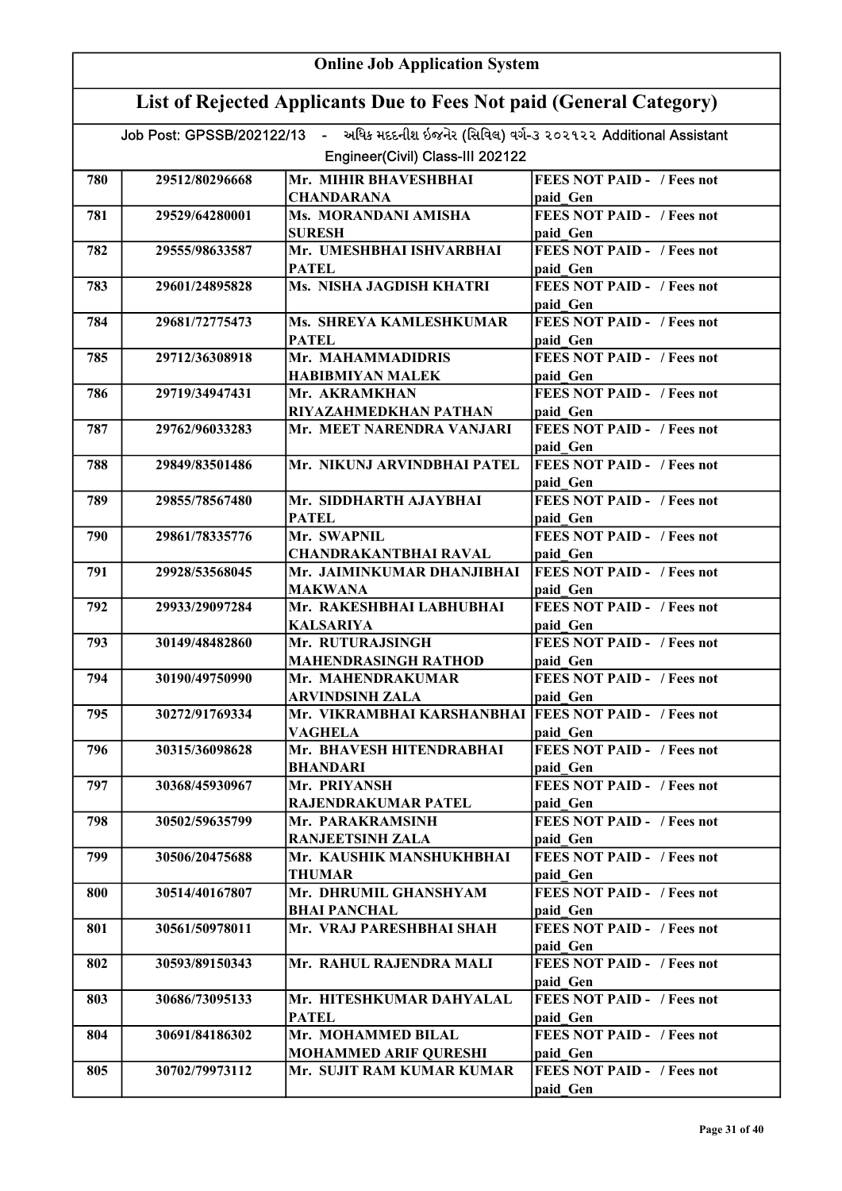| <b>Online Job Application System</b> |                                                                     |                                                                                          |                                               |  |
|--------------------------------------|---------------------------------------------------------------------|------------------------------------------------------------------------------------------|-----------------------------------------------|--|
|                                      | List of Rejected Applicants Due to Fees Not paid (General Category) |                                                                                          |                                               |  |
|                                      |                                                                     | Job Post: GPSSB/202122/13 - અધિક મદદનીશ ઇજનેર (સિવિલ) વર્ગ-૩ ૨૦૨૧૨૨ Additional Assistant |                                               |  |
|                                      |                                                                     | Engineer(Civil) Class-III 202122                                                         |                                               |  |
| 780                                  | 29512/80296668                                                      | Mr. MIHIR BHAVESHBHAI                                                                    | <b>FEES NOT PAID - / Fees not</b>             |  |
|                                      |                                                                     | <b>CHANDARANA</b>                                                                        | paid Gen                                      |  |
| 781                                  | 29529/64280001                                                      | Ms. MORANDANI AMISHA                                                                     | <b>FEES NOT PAID - / Fees not</b>             |  |
|                                      |                                                                     | <b>SURESH</b>                                                                            | paid Gen                                      |  |
| 782                                  | 29555/98633587                                                      | Mr. UMESHBHAI ISHVARBHAI                                                                 | <b>FEES NOT PAID - / Fees not</b>             |  |
|                                      |                                                                     | <b>PATEL</b>                                                                             | paid Gen                                      |  |
| 783                                  | 29601/24895828                                                      | Ms. NISHA JAGDISH KHATRI                                                                 | <b>FEES NOT PAID - / Fees not</b><br>paid Gen |  |
| 784                                  | 29681/72775473                                                      | Ms. SHREYA KAMLESHKUMAR<br><b>PATEL</b>                                                  | <b>FEES NOT PAID - / Fees not</b><br>paid Gen |  |
| 785                                  | 29712/36308918                                                      | Mr. MAHAMMADIDRIS                                                                        | <b>FEES NOT PAID - / Fees not</b>             |  |
|                                      |                                                                     | <b>HABIBMIYAN MALEK</b>                                                                  | paid Gen                                      |  |
| 786                                  | 29719/34947431                                                      | Mr. AKRAMKHAN                                                                            | <b>FEES NOT PAID - / Fees not</b>             |  |
|                                      |                                                                     | RIYAZAHMEDKHAN PATHAN                                                                    | paid Gen                                      |  |
| 787                                  | 29762/96033283                                                      | Mr. MEET NARENDRA VANJARI                                                                | <b>FEES NOT PAID - / Fees not</b>             |  |
|                                      |                                                                     |                                                                                          | paid Gen                                      |  |
| 788                                  | 29849/83501486                                                      | Mr. NIKUNJ ARVINDBHAI PATEL                                                              | <b>FEES NOT PAID - / Fees not</b>             |  |
| 789                                  | 29855/78567480                                                      | Mr. SIDDHARTH AJAYBHAI                                                                   | paid Gen<br><b>FEES NOT PAID - / Fees not</b> |  |
|                                      |                                                                     | <b>PATEL</b>                                                                             | paid Gen                                      |  |
| 790                                  | 29861/78335776                                                      | Mr. SWAPNIL                                                                              | <b>FEES NOT PAID - / Fees not</b>             |  |
|                                      |                                                                     | <b>CHANDRAKANTBHAI RAVAL</b>                                                             | paid Gen                                      |  |
| 791                                  | 29928/53568045                                                      | Mr. JAIMINKUMAR DHANJIBHAI                                                               | <b>FEES NOT PAID - / Fees not</b>             |  |
|                                      |                                                                     | <b>MAKWANA</b>                                                                           | paid Gen                                      |  |
| 792                                  | 29933/29097284                                                      | Mr. RAKESHBHAI LABHUBHAI                                                                 | <b>FEES NOT PAID - / Fees not</b>             |  |
|                                      |                                                                     | <b>KALSARIYA</b>                                                                         | paid Gen                                      |  |
| 793                                  | 30149/48482860                                                      | Mr. RUTURAJSINGH                                                                         | <b>FEES NOT PAID - / Fees not</b>             |  |
|                                      |                                                                     | <b>MAHENDRASINGH RATHOD</b><br>Mr. MAHENDRAKUMAR                                         | paid Gen                                      |  |
| 794                                  | 30190/49750990                                                      | <b>ARVINDSINH ZALA</b>                                                                   | <b>FEES NOT PAID -</b> / Fees not<br>paid Gen |  |
| 795                                  | 30272/91769334                                                      | Mr. VIKRAMBHAI KARSHANBHAI   FEES NOT PAID - / Fees not                                  |                                               |  |
|                                      |                                                                     | <b>VAGHELA</b>                                                                           | paid Gen                                      |  |
| 796                                  | 30315/36098628                                                      | Mr. BHAVESH HITENDRABHAI                                                                 | <b>FEES NOT PAID - / Fees not</b>             |  |
|                                      |                                                                     | <b>BHANDARI</b>                                                                          | paid Gen                                      |  |
| 797                                  | 30368/45930967                                                      | Mr. PRIYANSH                                                                             | <b>FEES NOT PAID - / Fees not</b>             |  |
|                                      |                                                                     | <b>RAJENDRAKUMAR PATEL</b>                                                               | paid Gen                                      |  |
| 798                                  | 30502/59635799                                                      | Mr. PARAKRAMSINH                                                                         | <b>FEES NOT PAID - / Fees not</b>             |  |
|                                      |                                                                     | <b>RANJEETSINH ZALA</b>                                                                  | paid Gen                                      |  |
| 799                                  | 30506/20475688                                                      | Mr. KAUSHIK MANSHUKHBHAI<br><b>THUMAR</b>                                                | <b>FEES NOT PAID - / Fees not</b><br>paid Gen |  |
| 800                                  | 30514/40167807                                                      | Mr. DHRUMIL GHANSHYAM<br><b>BHAI PANCHAL</b>                                             | <b>FEES NOT PAID - / Fees not</b><br>paid Gen |  |
| 801                                  | 30561/50978011                                                      | Mr. VRAJ PARESHBHAI SHAH                                                                 | <b>FEES NOT PAID - / Fees not</b>             |  |
|                                      |                                                                     |                                                                                          | paid Gen                                      |  |
| 802                                  | 30593/89150343                                                      | Mr. RAHUL RAJENDRA MALI                                                                  | <b>FEES NOT PAID - / Fees not</b>             |  |
|                                      |                                                                     |                                                                                          | paid Gen                                      |  |
| 803                                  | 30686/73095133                                                      | Mr. HITESHKUMAR DAHYALAL                                                                 | <b>FEES NOT PAID - / Fees not</b>             |  |
|                                      |                                                                     | <b>PATEL</b>                                                                             | paid Gen                                      |  |
| 804                                  | 30691/84186302                                                      | Mr. MOHAMMED BILAL                                                                       | <b>FEES NOT PAID - / Fees not</b>             |  |
|                                      |                                                                     | <b>MOHAMMED ARIF QURESHI</b><br>Mr. SUJIT RAM KUMAR KUMAR                                | paid Gen<br><b>FEES NOT PAID - / Fees not</b> |  |
| 805                                  | 30702/79973112                                                      |                                                                                          | paid Gen                                      |  |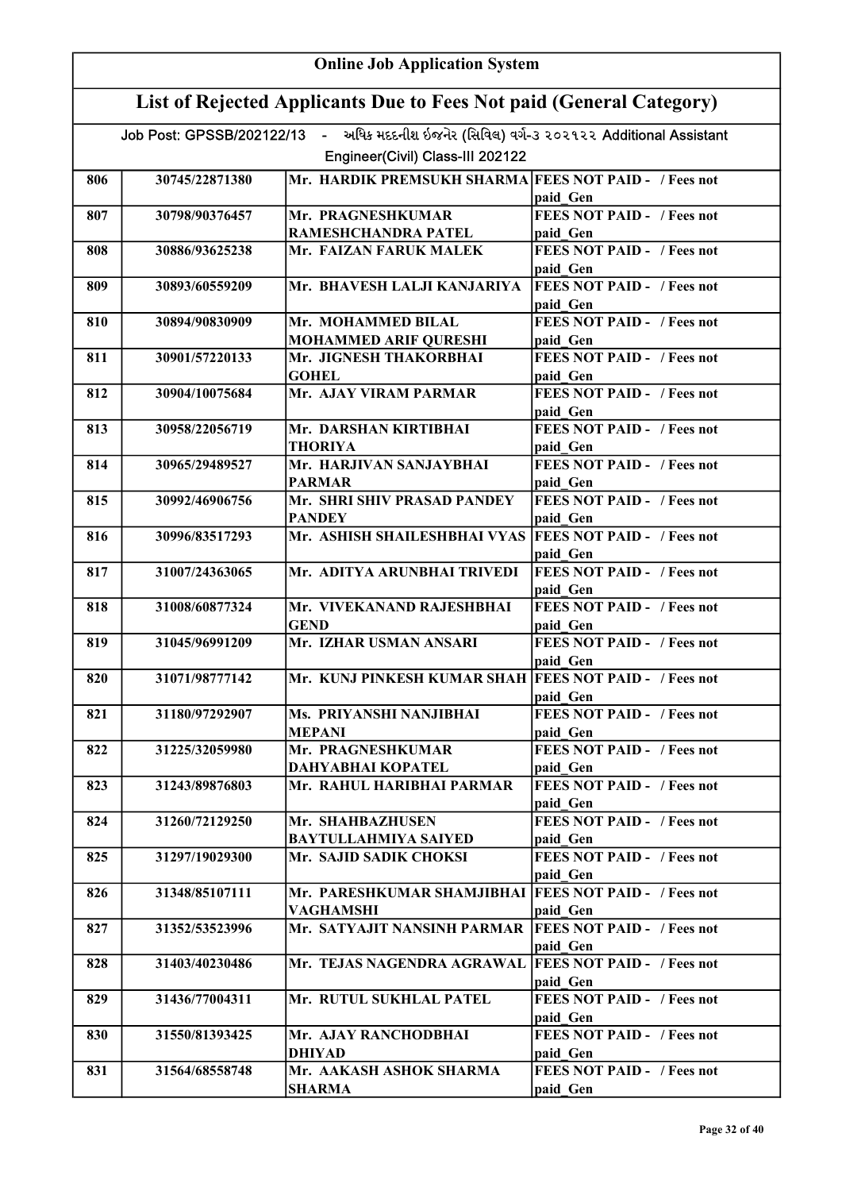| <b>Online Job Application System</b> |                                                                     |                                                                                          |                                               |  |
|--------------------------------------|---------------------------------------------------------------------|------------------------------------------------------------------------------------------|-----------------------------------------------|--|
|                                      | List of Rejected Applicants Due to Fees Not paid (General Category) |                                                                                          |                                               |  |
|                                      |                                                                     | Job Post: GPSSB/202122/13 - અધિક મદદનીશ ઇજનેર (સિવિલ) વર્ગ-૩ ૨૦૨૧૨૨ Additional Assistant |                                               |  |
|                                      |                                                                     | Engineer(Civil) Class-III 202122                                                         |                                               |  |
| 806                                  | 30745/22871380                                                      | Mr. HARDIK PREMSUKH SHARMA FEES NOT PAID - / Fees not                                    |                                               |  |
|                                      |                                                                     |                                                                                          | paid Gen                                      |  |
| 807                                  | 30798/90376457                                                      | Mr. PRAGNESHKUMAR                                                                        | <b>FEES NOT PAID - / Fees not</b>             |  |
|                                      |                                                                     | RAMESHCHANDRA PATEL                                                                      | paid Gen                                      |  |
| 808                                  | 30886/93625238                                                      | Mr. FAIZAN FARUK MALEK                                                                   | FEES NOT PAID - / Fees not<br>paid Gen        |  |
| 809                                  | 30893/60559209                                                      | Mr. BHAVESH LALJI KANJARIYA                                                              | <b>FEES NOT PAID - / Fees not</b><br>paid Gen |  |
| 810                                  | 30894/90830909                                                      | Mr. MOHAMMED BILAL<br><b>MOHAMMED ARIF QURESHI</b>                                       | <b>FEES NOT PAID - / Fees not</b><br>paid Gen |  |
| 811                                  | 30901/57220133                                                      | Mr. JIGNESH THAKORBHAI<br><b>GOHEL</b>                                                   | <b>FEES NOT PAID - / Fees not</b><br>paid Gen |  |
| 812                                  | 30904/10075684                                                      | Mr. AJAY VIRAM PARMAR                                                                    | <b>FEES NOT PAID - / Fees not</b>             |  |
|                                      |                                                                     |                                                                                          | paid Gen                                      |  |
| 813                                  | 30958/22056719                                                      | Mr. DARSHAN KIRTIBHAI<br>THORIYA                                                         | FEES NOT PAID - / Fees not<br>paid Gen        |  |
| 814                                  | 30965/29489527                                                      | Mr. HARJIVAN SANJAYBHAI                                                                  | <b>FEES NOT PAID - / Fees not</b>             |  |
|                                      |                                                                     | <b>PARMAR</b>                                                                            | paid Gen                                      |  |
| 815                                  | 30992/46906756                                                      | Mr. SHRI SHIV PRASAD PANDEY<br><b>PANDEY</b>                                             | <b>FEES NOT PAID - / Fees not</b><br>paid_Gen |  |
| 816                                  | 30996/83517293                                                      | Mr. ASHISH SHAILESHBHAI VYAS                                                             | <b>FEES NOT PAID - / Fees not</b><br>paid Gen |  |
| 817                                  | 31007/24363065                                                      | Mr. ADITYA ARUNBHAI TRIVEDI                                                              | <b>FEES NOT PAID - / Fees not</b><br>paid Gen |  |
| 818                                  | 31008/60877324                                                      | Mr. VIVEKANAND RAJESHBHAI                                                                | <b>FEES NOT PAID - / Fees not</b>             |  |
|                                      | 31045/96991209                                                      | <b>GEND</b>                                                                              | paid Gen<br><b>FEES NOT PAID - / Fees not</b> |  |
| 819                                  |                                                                     | Mr. IZHAR USMAN ANSARI                                                                   | paid Gen                                      |  |
| 820                                  | 31071/98777142                                                      | Mr. KUNJ PINKESH KUMAR SHAH FEES NOT PAID - / Fees not                                   | paid Gen                                      |  |
| 821                                  | 31180/97292907                                                      | Ms. PRIYANSHI NANJIBHAI<br><b>MEPANI</b>                                                 | FEES NOT PAID - / Fees not<br>paid Gen        |  |
| 822                                  | 31225/32059980                                                      | Mr. PRAGNESHKUMAR                                                                        | <b>FEES NOT PAID - / Fees not</b>             |  |
|                                      |                                                                     | DAHYABHAI KOPATEL                                                                        | paid Gen                                      |  |
| 823                                  | 31243/89876803                                                      | Mr. RAHUL HARIBHAI PARMAR                                                                | <b>FEES NOT PAID - / Fees not</b><br>paid Gen |  |
| 824                                  | 31260/72129250                                                      | Mr. SHAHBAZHUSEN                                                                         | FEES NOT PAID - / Fees not                    |  |
|                                      |                                                                     | <b>BAYTULLAHMIYA SAIYED</b>                                                              | paid Gen                                      |  |
| 825                                  | 31297/19029300                                                      | Mr. SAJID SADIK CHOKSI                                                                   | <b>FEES NOT PAID - / Fees not</b><br>paid Gen |  |
| 826                                  | 31348/85107111                                                      | Mr. PARESHKUMAR SHAMJIBHAI   FEES NOT PAID - / Fees not<br><b>VAGHAMSHI</b>              | paid Gen                                      |  |
| 827                                  | 31352/53523996                                                      | Mr. SATYAJIT NANSINH PARMAR  FEES NOT PAID - / Fees not                                  |                                               |  |
|                                      |                                                                     |                                                                                          | paid Gen                                      |  |
| 828                                  | 31403/40230486                                                      | Mr. TEJAS NAGENDRA AGRAWAL   FEES NOT PAID - / Fees not                                  | paid Gen                                      |  |
| 829                                  | 31436/77004311                                                      | Mr. RUTUL SUKHLAL PATEL                                                                  | <b>FEES NOT PAID - / Fees not</b>             |  |
| 830                                  | 31550/81393425                                                      | Mr. AJAY RANCHODBHAI                                                                     | paid Gen<br><b>FEES NOT PAID - / Fees not</b> |  |
|                                      |                                                                     | <b>DHIYAD</b>                                                                            | paid Gen                                      |  |
| 831                                  | 31564/68558748                                                      | Mr. AAKASH ASHOK SHARMA<br><b>SHARMA</b>                                                 | <b>FEES NOT PAID - / Fees not</b><br>paid Gen |  |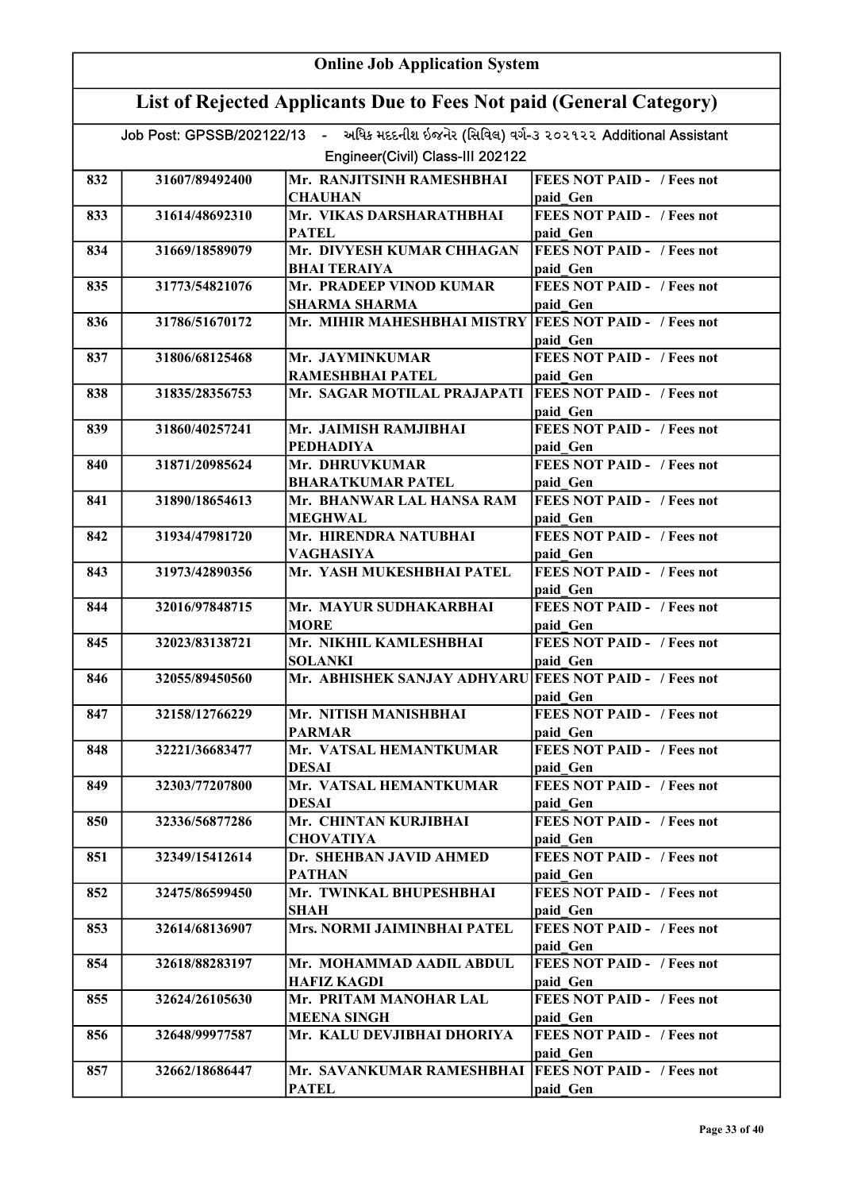|     | <b>Online Job Application System</b>                                |                                                                                          |                                               |  |
|-----|---------------------------------------------------------------------|------------------------------------------------------------------------------------------|-----------------------------------------------|--|
|     | List of Rejected Applicants Due to Fees Not paid (General Category) |                                                                                          |                                               |  |
|     |                                                                     | Job Post: GPSSB/202122/13 - અધિક મદદનીશ ઇજનેર (સિવિલ) વર્ગ-૩ ૨૦૨૧૨૨ Additional Assistant |                                               |  |
|     |                                                                     | Engineer(Civil) Class-III 202122                                                         |                                               |  |
| 832 | 31607/89492400                                                      | Mr. RANJITSINH RAMESHBHAI<br><b>CHAUHAN</b>                                              | <b>FEES NOT PAID - / Fees not</b><br>paid Gen |  |
| 833 | 31614/48692310                                                      | Mr. VIKAS DARSHARATHBHAI                                                                 | <b>FEES NOT PAID - / Fees not</b>             |  |
|     |                                                                     | <b>PATEL</b>                                                                             | paid Gen                                      |  |
| 834 | 31669/18589079                                                      | Mr. DIVYESH KUMAR CHHAGAN<br><b>BHAI TERAIYA</b>                                         | <b>FEES NOT PAID - / Fees not</b><br>paid Gen |  |
| 835 | 31773/54821076                                                      | Mr. PRADEEP VINOD KUMAR                                                                  | <b>FEES NOT PAID - / Fees not</b>             |  |
| 836 | 31786/51670172                                                      | <b>SHARMA SHARMA</b><br>Mr. MIHIR MAHESHBHAI MISTRY FEES NOT PAID - / Fees not           | paid Gen                                      |  |
|     |                                                                     |                                                                                          | paid Gen                                      |  |
| 837 | 31806/68125468                                                      | Mr. JAYMINKUMAR<br>RAMESHBHAI PATEL                                                      | <b>FEES NOT PAID - / Fees not</b><br>paid Gen |  |
| 838 | 31835/28356753                                                      | Mr. SAGAR MOTILAL PRAJAPATI                                                              | <b>FEES NOT PAID - / Fees not</b>             |  |
|     |                                                                     |                                                                                          | paid Gen                                      |  |
| 839 | 31860/40257241                                                      | Mr. JAIMISH RAMJIBHAI                                                                    | FEES NOT PAID - / Fees not                    |  |
|     |                                                                     | <b>PEDHADIYA</b>                                                                         | paid Gen                                      |  |
| 840 | 31871/20985624                                                      | Mr. DHRUVKUMAR                                                                           | <b>FEES NOT PAID - / Fees not</b>             |  |
| 841 | 31890/18654613                                                      | <b>BHARATKUMAR PATEL</b><br>Mr. BHANWAR LAL HANSA RAM                                    | paid Gen<br><b>FEES NOT PAID - / Fees not</b> |  |
|     |                                                                     | <b>MEGHWAL</b>                                                                           | paid Gen                                      |  |
| 842 | 31934/47981720                                                      | Mr. HIRENDRA NATUBHAI<br><b>VAGHASIYA</b>                                                | <b>FEES NOT PAID - / Fees not</b><br>paid Gen |  |
| 843 | 31973/42890356                                                      | Mr. YASH MUKESHBHAI PATEL                                                                | <b>FEES NOT PAID - / Fees not</b>             |  |
|     |                                                                     |                                                                                          | paid Gen                                      |  |
| 844 | 32016/97848715                                                      | Mr. MAYUR SUDHAKARBHAI<br><b>MORE</b>                                                    | <b>FEES NOT PAID - / Fees not</b><br>paid Gen |  |
| 845 | 32023/83138721                                                      | Mr. NIKHIL KAMLESHBHAI                                                                   | <b>FEES NOT PAID - / Fees not</b>             |  |
| 846 | 32055/89450560                                                      | <b>SOLANKI</b><br>Mr. ABHISHEK SANJAY ADHYARU FEES NOT PAID - / Fees not                 | paid Gen                                      |  |
|     |                                                                     |                                                                                          | paid Gen                                      |  |
| 847 | 32158/12766229                                                      | Mr. NITISH MANISHBHAI<br><b>PARMAR</b>                                                   | <b>FEES NOT PAID - / Fees not</b><br>paid Gen |  |
| 848 | 32221/36683477                                                      | Mr. VATSAL HEMANTKUMAR                                                                   | <b>FEES NOT PAID - / Fees not</b>             |  |
|     |                                                                     | DESAI                                                                                    | paid Gen                                      |  |
| 849 | 32303/77207800                                                      | Mr. VATSAL HEMANTKUMAR<br><b>DESAI</b>                                                   | <b>FEES NOT PAID - / Fees not</b><br>paid Gen |  |
| 850 | 32336/56877286                                                      | Mr. CHINTAN KURJIBHAI                                                                    | <b>FEES NOT PAID - / Fees not</b>             |  |
| 851 | 32349/15412614                                                      | <b>CHOVATIYA</b><br>Dr. SHEHBAN JAVID AHMED                                              | paid Gen<br><b>FEES NOT PAID - / Fees not</b> |  |
|     |                                                                     | <b>PATHAN</b>                                                                            | paid Gen                                      |  |
| 852 | 32475/86599450                                                      | Mr. TWINKAL BHUPESHBHAI<br><b>SHAH</b>                                                   | <b>FEES NOT PAID - / Fees not</b><br>paid Gen |  |
| 853 | 32614/68136907                                                      | Mrs. NORMI JAIMINBHAI PATEL                                                              | <b>FEES NOT PAID - / Fees not</b>             |  |
| 854 | 32618/88283197                                                      | Mr. MOHAMMAD AADIL ABDUL                                                                 | paid Gen<br><b>FEES NOT PAID - / Fees not</b> |  |
|     |                                                                     | <b>HAFIZ KAGDI</b>                                                                       | paid Gen                                      |  |
| 855 | 32624/26105630                                                      | Mr. PRITAM MANOHAR LAL<br><b>MEENA SINGH</b>                                             | <b>FEES NOT PAID - / Fees not</b><br>paid Gen |  |
| 856 | 32648/99977587                                                      | Mr. KALU DEVJIBHAI DHORIYA                                                               | <b>FEES NOT PAID - / Fees not</b>             |  |
| 857 | 32662/18686447                                                      | Mr. SAVANKUMAR RAMESHBHAI                                                                | paid Gen<br><b>FEES NOT PAID - / Fees not</b> |  |
|     |                                                                     | <b>PATEL</b>                                                                             | paid Gen                                      |  |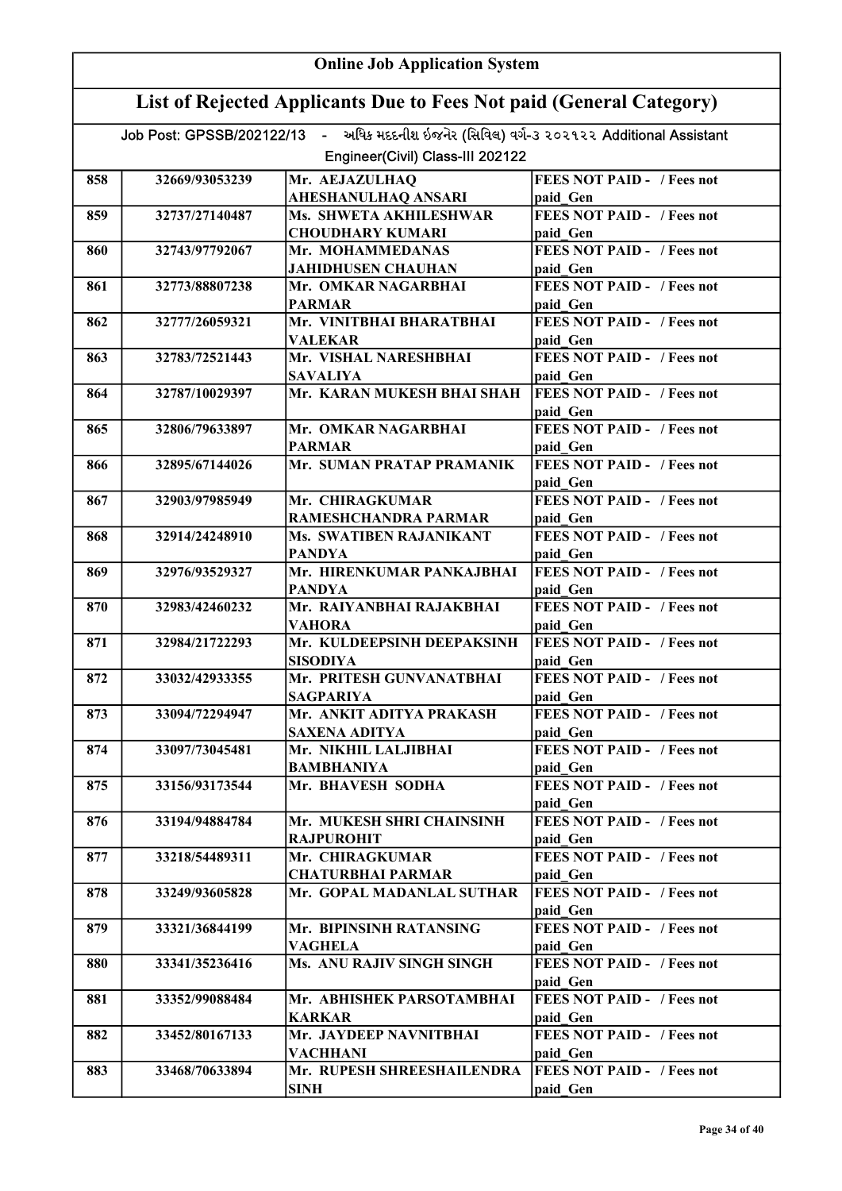| <b>Online Job Application System</b> |                                                                     |                                                                                          |                                               |  |
|--------------------------------------|---------------------------------------------------------------------|------------------------------------------------------------------------------------------|-----------------------------------------------|--|
|                                      | List of Rejected Applicants Due to Fees Not paid (General Category) |                                                                                          |                                               |  |
|                                      |                                                                     | Job Post: GPSSB/202122/13 - અધિક મદદનીશ ઇજનેર (સિવિલ) વર્ગ-3 ૨૦૨૧૨૨ Additional Assistant |                                               |  |
|                                      |                                                                     | Engineer(Civil) Class-III 202122                                                         |                                               |  |
| 858                                  | 32669/93053239                                                      | Mr. AEJAZULHAQ                                                                           | <b>FEES NOT PAID - / Fees not</b>             |  |
|                                      |                                                                     | <b>AHESHANULHAQ ANSARI</b>                                                               | paid Gen                                      |  |
| 859                                  | 32737/27140487                                                      | Ms. SHWETA AKHILESHWAR                                                                   | <b>FEES NOT PAID - / Fees not</b>             |  |
|                                      |                                                                     | <b>CHOUDHARY KUMARI</b>                                                                  | paid Gen                                      |  |
| 860                                  | 32743/97792067                                                      | Mr. MOHAMMEDANAS                                                                         | <b>FEES NOT PAID - / Fees not</b>             |  |
|                                      |                                                                     | <b>JAHIDHUSEN CHAUHAN</b>                                                                | paid Gen                                      |  |
| 861                                  | 32773/88807238                                                      | Mr. OMKAR NAGARBHAI                                                                      | <b>FEES NOT PAID - / Fees not</b>             |  |
| 862                                  | 32777/26059321                                                      | <b>PARMAR</b><br>Mr. VINITBHAI BHARATBHAI                                                | paid Gen<br><b>FEES NOT PAID - / Fees not</b> |  |
|                                      |                                                                     | <b>VALEKAR</b>                                                                           | paid Gen                                      |  |
| 863                                  | 32783/72521443                                                      | Mr. VISHAL NARESHBHAI                                                                    | <b>FEES NOT PAID - / Fees not</b>             |  |
|                                      |                                                                     | <b>SAVALIYA</b>                                                                          | paid Gen                                      |  |
| 864                                  | 32787/10029397                                                      | Mr. KARAN MUKESH BHAI SHAH                                                               | <b>FEES NOT PAID - / Fees not</b>             |  |
|                                      |                                                                     |                                                                                          | paid Gen                                      |  |
| 865                                  | 32806/79633897                                                      | Mr. OMKAR NAGARBHAI                                                                      | <b>FEES NOT PAID - / Fees not</b>             |  |
| 866                                  | 32895/67144026                                                      | <b>PARMAR</b><br>Mr. SUMAN PRATAP PRAMANIK                                               | paid Gen<br><b>FEES NOT PAID - / Fees not</b> |  |
|                                      |                                                                     |                                                                                          | paid Gen                                      |  |
| 867                                  | 32903/97985949                                                      | Mr. CHIRAGKUMAR                                                                          | <b>FEES NOT PAID - / Fees not</b>             |  |
|                                      |                                                                     | RAMESHCHANDRA PARMAR                                                                     | paid Gen                                      |  |
| 868                                  | 32914/24248910                                                      | Ms. SWATIBEN RAJANIKANT                                                                  | <b>FEES NOT PAID - / Fees not</b>             |  |
|                                      |                                                                     | <b>PANDYA</b>                                                                            | paid Gen                                      |  |
| 869                                  | 32976/93529327                                                      | Mr. HIRENKUMAR PANKAJBHAI                                                                | <b>FEES NOT PAID - / Fees not</b>             |  |
|                                      |                                                                     | <b>PANDYA</b>                                                                            | paid Gen                                      |  |
| 870                                  | 32983/42460232                                                      | Mr. RAIYANBHAI RAJAKBHAI                                                                 | <b>FEES NOT PAID - / Fees not</b>             |  |
| 871                                  | 32984/21722293                                                      | <b>VAHORA</b><br>Mr. KULDEEPSINH DEEPAKSINH                                              | paid Gen<br><b>FEES NOT PAID - / Fees not</b> |  |
|                                      |                                                                     | <b>SISODIYA</b>                                                                          | paid Gen                                      |  |
| 872                                  | 33032/42933355                                                      | Mr. PRITESH GUNVANATBHAI                                                                 | <b>FEES NOT PAID - / Fees not</b>             |  |
|                                      |                                                                     | <b>SAGPARIYA</b>                                                                         | paid Gen                                      |  |
| 873                                  | 33094/72294947                                                      | Mr. ANKIT ADITYA PRAKASH                                                                 | <b>FEES NOT PAID - / Fees not</b>             |  |
|                                      |                                                                     | <b>SAXENA ADITYA</b>                                                                     | paid Gen                                      |  |
| 874                                  | 33097/73045481                                                      | Mr. NIKHIL LALJIBHAI                                                                     | <b>FEES NOT PAID - / Fees not</b>             |  |
| 875                                  | 33156/93173544                                                      | <b>BAMBHANIYA</b><br>Mr. BHAVESH SODHA                                                   | paid Gen<br><b>FEES NOT PAID - / Fees not</b> |  |
|                                      |                                                                     |                                                                                          | paid Gen                                      |  |
| 876                                  | 33194/94884784                                                      | Mr. MUKESH SHRI CHAINSINH                                                                | <b>FEES NOT PAID - / Fees not</b>             |  |
|                                      |                                                                     | <b>RAJPUROHIT</b>                                                                        | paid Gen                                      |  |
| 877                                  | 33218/54489311                                                      | Mr. CHIRAGKUMAR                                                                          | <b>FEES NOT PAID - / Fees not</b>             |  |
|                                      |                                                                     | <b>CHATURBHAI PARMAR</b>                                                                 | paid Gen                                      |  |
| 878                                  | 33249/93605828                                                      | Mr. GOPAL MADANLAL SUTHAR                                                                | <b>FEES NOT PAID - / Fees not</b>             |  |
|                                      |                                                                     |                                                                                          | paid Gen                                      |  |
| 879                                  | 33321/36844199                                                      | Mr. BIPINSINH RATANSING                                                                  | <b>FEES NOT PAID - / Fees not</b>             |  |
| 880                                  | 33341/35236416                                                      | <b>VAGHELA</b><br>Ms. ANU RAJIV SINGH SINGH                                              | paid Gen<br><b>FEES NOT PAID - / Fees not</b> |  |
|                                      |                                                                     |                                                                                          | paid Gen                                      |  |
| 881                                  | 33352/99088484                                                      | Mr. ABHISHEK PARSOTAMBHAI                                                                | <b>FEES NOT PAID - / Fees not</b>             |  |
|                                      |                                                                     | <b>KARKAR</b>                                                                            | paid Gen                                      |  |
| 882                                  | 33452/80167133                                                      | Mr. JAYDEEP NAVNITBHAI                                                                   | <b>FEES NOT PAID - / Fees not</b>             |  |
|                                      |                                                                     | <b>VACHHANI</b>                                                                          | paid Gen                                      |  |
| 883                                  | 33468/70633894                                                      | Mr. RUPESH SHREESHAILENDRA                                                               | <b>FEES NOT PAID - / Fees not</b>             |  |
|                                      |                                                                     | <b>SINH</b>                                                                              | paid Gen                                      |  |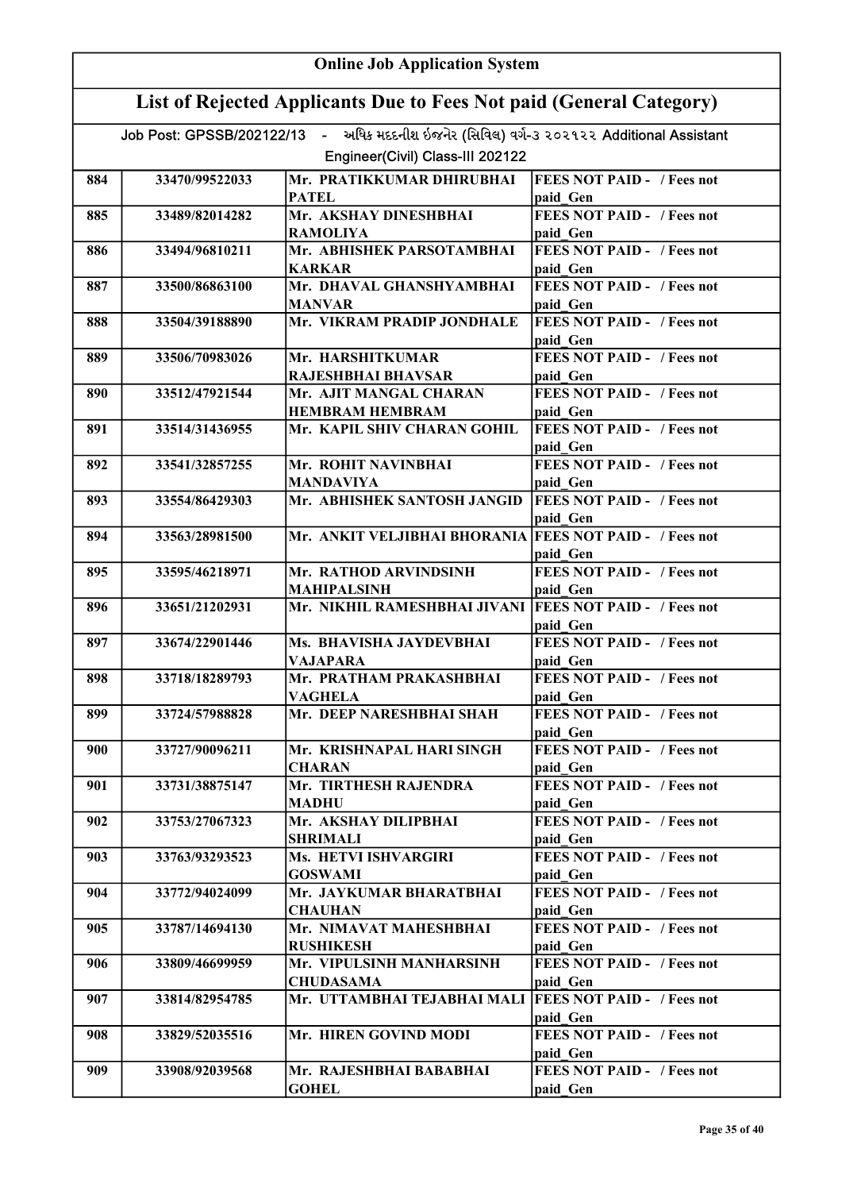|     | <b>Online Job Application System</b>                                |                                                                                          |                                               |  |
|-----|---------------------------------------------------------------------|------------------------------------------------------------------------------------------|-----------------------------------------------|--|
|     | List of Rejected Applicants Due to Fees Not paid (General Category) |                                                                                          |                                               |  |
|     |                                                                     | Job Post: GPSSB/202122/13 - અધિક મદદનીશ ઇજનેર (સિવિલ) વર્ગ-૩ ૨૦૨૧૨૨ Additional Assistant |                                               |  |
|     |                                                                     | Engineer(Civil) Class-III 202122                                                         |                                               |  |
| 884 | 33470/99522033                                                      | Mr. PRATIKKUMAR DHIRUBHAI<br><b>PATEL</b>                                                | <b>FEES NOT PAID - / Fees not</b><br>paid Gen |  |
| 885 | 33489/82014282                                                      | Mr. AKSHAY DINESHBHAI<br><b>RAMOLIYA</b>                                                 | <b>FEES NOT PAID - / Fees not</b><br>paid Gen |  |
| 886 | 33494/96810211                                                      | Mr. ABHISHEK PARSOTAMBHAI<br><b>KARKAR</b>                                               | <b>FEES NOT PAID - / Fees not</b><br>paid Gen |  |
| 887 | 33500/86863100                                                      | Mr. DHAVAL GHANSHYAMBHAI<br><b>MANVAR</b>                                                | <b>FEES NOT PAID - / Fees not</b><br>paid Gen |  |
| 888 | 33504/39188890                                                      | Mr. VIKRAM PRADIP JONDHALE                                                               | <b>FEES NOT PAID - / Fees not</b><br>paid Gen |  |
| 889 | 33506/70983026                                                      | Mr. HARSHITKUMAR<br><b>RAJESHBHAI BHAVSAR</b>                                            | <b>FEES NOT PAID - / Fees not</b><br>paid Gen |  |
| 890 | 33512/47921544                                                      | Mr. AJIT MANGAL CHARAN<br><b>HEMBRAM HEMBRAM</b>                                         | <b>FEES NOT PAID - / Fees not</b><br>paid Gen |  |
| 891 | 33514/31436955                                                      | Mr. KAPIL SHIV CHARAN GOHIL                                                              | <b>FEES NOT PAID - / Fees not</b><br>paid Gen |  |
| 892 | 33541/32857255                                                      | Mr. ROHIT NAVINBHAI<br><b>MANDAVIYA</b>                                                  | <b>FEES NOT PAID - / Fees not</b><br>paid Gen |  |
| 893 | 33554/86429303                                                      | Mr. ABHISHEK SANTOSH JANGID                                                              | <b>FEES NOT PAID - / Fees not</b><br>paid Gen |  |
| 894 | 33563/28981500                                                      | Mr. ANKIT VELJIBHAI BHORANIA FEES NOT PAID - / Fees not                                  | paid Gen                                      |  |
| 895 | 33595/46218971                                                      | Mr. RATHOD ARVINDSINH<br><b>MAHIPALSINH</b>                                              | <b>FEES NOT PAID - / Fees not</b><br>paid Gen |  |
| 896 | 33651/21202931                                                      | Mr. NIKHIL RAMESHBHAI JIVANI   FEES NOT PAID - / Fees not                                | paid Gen                                      |  |
| 897 | 33674/22901446                                                      | Ms. BHAVISHA JAYDEVBHAI<br>VAJAPARA                                                      | <b>FEES NOT PAID - / Fees not</b><br>paid Gen |  |
| 898 | 33718/18289793                                                      | Mr. PRATHAM PRAKASHBHAI<br>VAGHELA                                                       | <b>FEES NOT PAID -</b> / Fees not<br>paid Gen |  |
| 899 | 33724/57988828                                                      | Mr. DEEP NARESHBHAI SHAH                                                                 | <b>FEES NOT PAID - / Fees not</b><br>paid Gen |  |
| 900 | 33727/90096211                                                      | Mr. KRISHNAPAL HARI SINGH<br><b>CHARAN</b>                                               | <b>FEES NOT PAID - / Fees not</b><br>paid Gen |  |
| 901 | 33731/38875147                                                      | Mr. TIRTHESH RAJENDRA<br><b>MADHU</b>                                                    | <b>FEES NOT PAID - / Fees not</b><br>paid Gen |  |
| 902 | 33753/27067323                                                      | Mr. AKSHAY DILIPBHAI<br><b>SHRIMALI</b>                                                  | <b>FEES NOT PAID - / Fees not</b><br>paid Gen |  |
| 903 | 33763/93293523                                                      | Ms. HETVI ISHVARGIRI<br><b>GOSWAMI</b>                                                   | <b>FEES NOT PAID - / Fees not</b><br>paid Gen |  |
| 904 | 33772/94024099                                                      | Mr. JAYKUMAR BHARATBHAI<br><b>CHAUHAN</b>                                                | <b>FEES NOT PAID - / Fees not</b><br>paid Gen |  |
| 905 | 33787/14694130                                                      | Mr. NIMAVAT MAHESHBHAI<br><b>RUSHIKESH</b>                                               | <b>FEES NOT PAID - / Fees not</b><br>paid Gen |  |
| 906 | 33809/46699959                                                      | Mr. VIPULSINH MANHARSINH<br><b>CHUDASAMA</b>                                             | <b>FEES NOT PAID - / Fees not</b><br>paid Gen |  |
| 907 | 33814/82954785                                                      | Mr. UTTAMBHAI TEJABHAI MALI                                                              | <b>FEES NOT PAID - / Fees not</b><br>paid Gen |  |
| 908 | 33829/52035516                                                      | Mr. HIREN GOVIND MODI                                                                    | <b>FEES NOT PAID - / Fees not</b><br>paid Gen |  |
| 909 | 33908/92039568                                                      | Mr. RAJESHBHAI BABABHAI<br><b>GOHEL</b>                                                  | <b>FEES NOT PAID - / Fees not</b><br>paid Gen |  |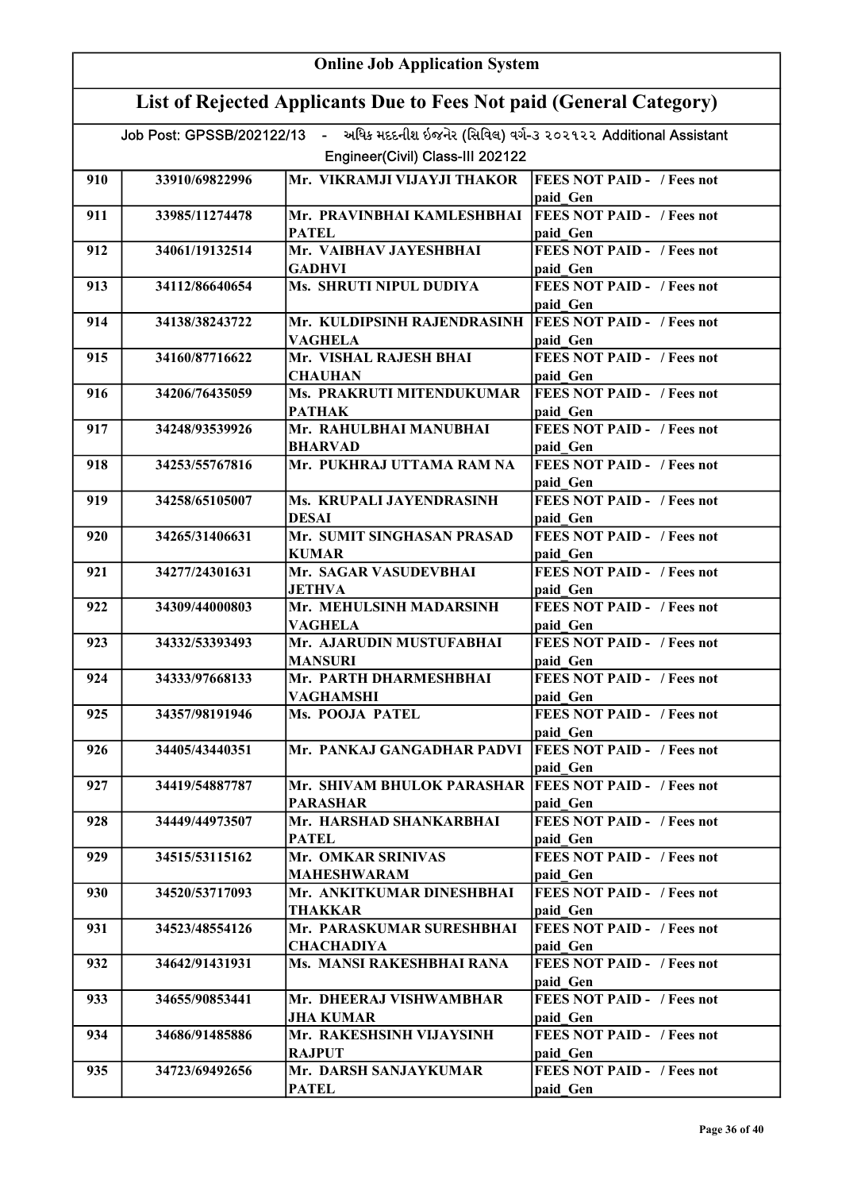|     | <b>Online Job Application System</b>                                |                                                                                          |                                               |  |
|-----|---------------------------------------------------------------------|------------------------------------------------------------------------------------------|-----------------------------------------------|--|
|     | List of Rejected Applicants Due to Fees Not paid (General Category) |                                                                                          |                                               |  |
|     |                                                                     | Job Post: GPSSB/202122/13 - અધિક મદદનીશ ઇજનેર (સિવિલ) વર્ગ-૩ ૨૦૨૧૨૨ Additional Assistant |                                               |  |
|     |                                                                     | Engineer(Civil) Class-III 202122                                                         |                                               |  |
| 910 | 33910/69822996                                                      | Mr. VIKRAMJI VIJAYJI THAKOR                                                              | <b>FEES NOT PAID - / Fees not</b>             |  |
|     |                                                                     |                                                                                          | paid Gen                                      |  |
| 911 | 33985/11274478                                                      | Mr. PRAVINBHAI KAMLESHBHAI<br><b>PATEL</b>                                               | <b>FEES NOT PAID - / Fees not</b><br>paid Gen |  |
| 912 | 34061/19132514                                                      | Mr. VAIBHAV JAYESHBHAI                                                                   | <b>FEES NOT PAID - / Fees not</b>             |  |
|     |                                                                     | <b>GADHVI</b>                                                                            | paid Gen                                      |  |
| 913 | 34112/86640654                                                      | Ms. SHRUTI NIPUL DUDIYA                                                                  | <b>FEES NOT PAID - / Fees not</b><br>paid Gen |  |
| 914 | 34138/38243722                                                      | Mr. KULDIPSINH RAJENDRASINH<br><b>VAGHELA</b>                                            | <b>FEES NOT PAID - / Fees not</b><br>paid Gen |  |
| 915 | 34160/87716622                                                      | Mr. VISHAL RAJESH BHAI                                                                   | <b>FEES NOT PAID - / Fees not</b>             |  |
|     |                                                                     | <b>CHAUHAN</b>                                                                           | paid Gen                                      |  |
| 916 | 34206/76435059                                                      | Ms. PRAKRUTI MITENDUKUMAR                                                                | <b>FEES NOT PAID - / Fees not</b>             |  |
|     |                                                                     | <b>PATHAK</b>                                                                            | paid Gen                                      |  |
| 917 | 34248/93539926                                                      | Mr. RAHULBHAI MANUBHAI                                                                   | <b>FEES NOT PAID - / Fees not</b>             |  |
| 918 | 34253/55767816                                                      | <b>BHARVAD</b><br>Mr. PUKHRAJ UTTAMA RAM NA                                              | paid Gen<br><b>FEES NOT PAID - / Fees not</b> |  |
|     |                                                                     |                                                                                          | paid Gen                                      |  |
| 919 | 34258/65105007                                                      | Ms. KRUPALI JAYENDRASINH<br><b>DESAI</b>                                                 | <b>FEES NOT PAID - / Fees not</b><br>paid Gen |  |
| 920 | 34265/31406631                                                      | Mr. SUMIT SINGHASAN PRASAD                                                               | <b>FEES NOT PAID - / Fees not</b>             |  |
|     |                                                                     | <b>KUMAR</b>                                                                             | paid Gen                                      |  |
| 921 | 34277/24301631                                                      | Mr. SAGAR VASUDEVBHAI                                                                    | <b>FEES NOT PAID - / Fees not</b>             |  |
|     |                                                                     | <b>JETHVA</b>                                                                            | paid Gen                                      |  |
| 922 | 34309/44000803                                                      | Mr. MEHULSINH MADARSINH                                                                  | <b>FEES NOT PAID - / Fees not</b><br>paid Gen |  |
| 923 | 34332/53393493                                                      | VAGHELA<br>Mr. AJARUDIN MUSTUFABHAI                                                      | <b>FEES NOT PAID - / Fees not</b>             |  |
|     |                                                                     | <b>MANSURI</b>                                                                           | paid Gen                                      |  |
| 924 | 34333/97668133                                                      | Mr. PARTH DHARMESHBHAI<br>VAGHAMSHI                                                      | <b>FEES NOT PAID - / Fees not</b><br>paid Gen |  |
| 925 | 34357/98191946                                                      | Ms. POOJA PATEL                                                                          | <b>FEES NOT PAID - / Fees not</b>             |  |
|     |                                                                     |                                                                                          | paid Gen                                      |  |
| 926 | 34405/43440351                                                      | Mr. PANKAJ GANGADHAR PADVI                                                               | <b>FEES NOT PAID - / Fees not</b>             |  |
| 927 | 34419/54887787                                                      | Mr. SHIVAM BHULOK PARASHAR   FEES NOT PAID - / Fees not                                  | paid Gen                                      |  |
|     |                                                                     | <b>PARASHAR</b>                                                                          | paid Gen                                      |  |
| 928 | 34449/44973507                                                      | Mr. HARSHAD SHANKARBHAI                                                                  | <b>FEES NOT PAID - / Fees not</b>             |  |
|     |                                                                     | <b>PATEL</b>                                                                             | paid Gen                                      |  |
| 929 | 34515/53115162                                                      | Mr. OMKAR SRINIVAS                                                                       | <b>FEES NOT PAID - / Fees not</b>             |  |
|     |                                                                     | <b>MAHESHWARAM</b>                                                                       | paid Gen                                      |  |
| 930 | 34520/53717093                                                      | Mr. ANKITKUMAR DINESHBHAI<br><b>THAKKAR</b>                                              | <b>FEES NOT PAID - / Fees not</b><br>paid Gen |  |
| 931 | 34523/48554126                                                      | Mr. PARASKUMAR SURESHBHAI                                                                | <b>FEES NOT PAID - / Fees not</b>             |  |
|     |                                                                     | <b>CHACHADIYA</b>                                                                        | paid Gen                                      |  |
| 932 | 34642/91431931                                                      | Ms. MANSI RAKESHBHAI RANA                                                                | <b>FEES NOT PAID - / Fees not</b><br>paid Gen |  |
| 933 | 34655/90853441                                                      | Mr. DHEERAJ VISHWAMBHAR                                                                  | <b>FEES NOT PAID - / Fees not</b>             |  |
|     |                                                                     | JHA KUMAR                                                                                | paid Gen                                      |  |
| 934 | 34686/91485886                                                      | Mr. RAKESHSINH VIJAYSINH<br><b>RAJPUT</b>                                                | <b>FEES NOT PAID - / Fees not</b><br>paid Gen |  |
| 935 | 34723/69492656                                                      | Mr. DARSH SANJAYKUMAR                                                                    | <b>FEES NOT PAID - / Fees not</b>             |  |
|     |                                                                     | <b>PATEL</b>                                                                             | paid Gen                                      |  |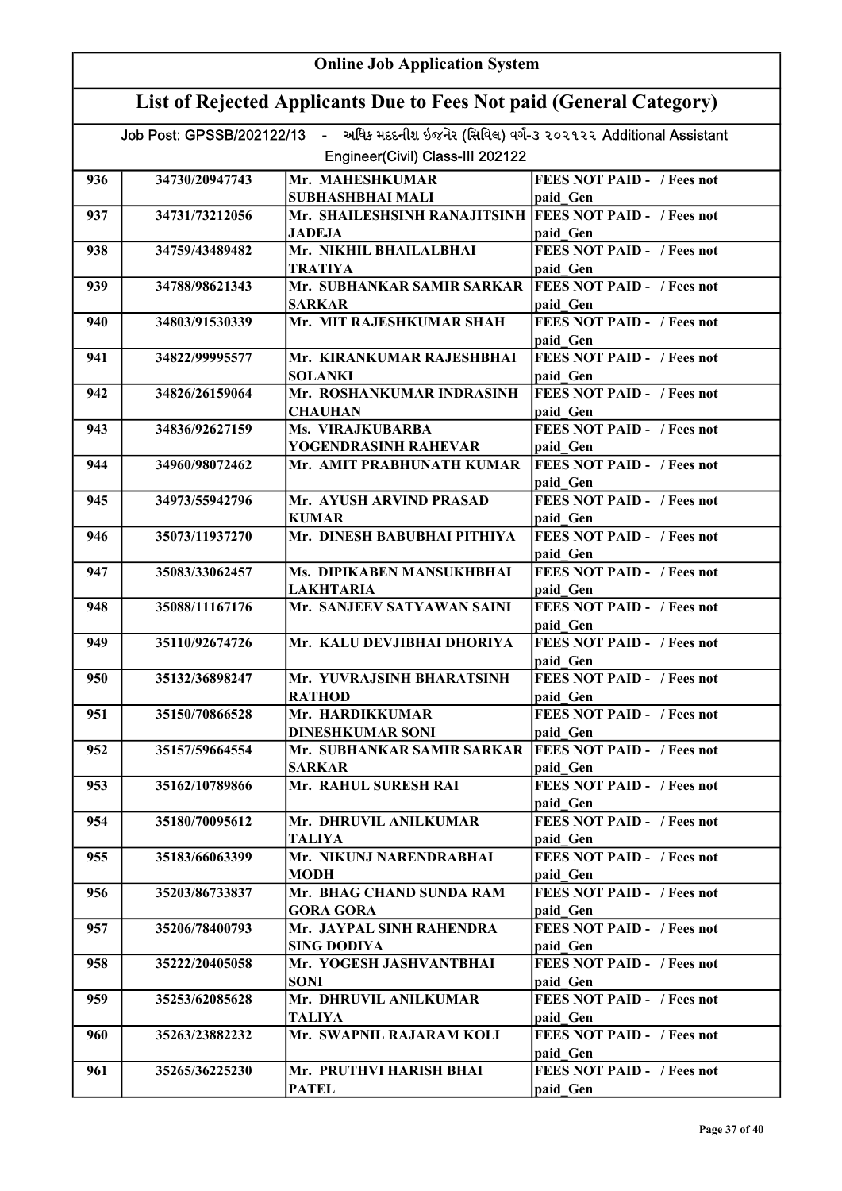| <b>Online Job Application System</b>                                                     |                |                                                                          |                                               |  |  |
|------------------------------------------------------------------------------------------|----------------|--------------------------------------------------------------------------|-----------------------------------------------|--|--|
| List of Rejected Applicants Due to Fees Not paid (General Category)                      |                |                                                                          |                                               |  |  |
| Job Post: GPSSB/202122/13 - અધિક મદદનીશ ઇજનેર (સિવિલ) વર્ગ-૩ ૨૦૨૧૨૨ Additional Assistant |                |                                                                          |                                               |  |  |
| Engineer(Civil) Class-III 202122                                                         |                |                                                                          |                                               |  |  |
| 936                                                                                      | 34730/20947743 | Mr. MAHESHKUMAR                                                          | <b>FEES NOT PAID - / Fees not</b>             |  |  |
|                                                                                          |                | <b>SUBHASHBHAI MALI</b>                                                  | paid Gen                                      |  |  |
| 937                                                                                      | 34731/73212056 | Mr. SHAILESHSINH RANAJITSINH FEES NOT PAID - / Fees not                  |                                               |  |  |
|                                                                                          |                | <b>JADEJA</b><br>Mr. NIKHIL BHAILALBHAI                                  | paid Gen<br><b>FEES NOT PAID - / Fees not</b> |  |  |
| 938                                                                                      | 34759/43489482 | TRATIYA                                                                  | paid Gen                                      |  |  |
| 939                                                                                      | 34788/98621343 | Mr. SUBHANKAR SAMIR SARKAR   FEES NOT PAID - / Fees not<br><b>SARKAR</b> | paid Gen                                      |  |  |
| 940                                                                                      | 34803/91530339 | Mr. MIT RAJESHKUMAR SHAH                                                 | <b>FEES NOT PAID - / Fees not</b><br>paid Gen |  |  |
| 941                                                                                      | 34822/99995577 | Mr. KIRANKUMAR RAJESHBHAI                                                | <b>FEES NOT PAID - / Fees not</b>             |  |  |
|                                                                                          |                | <b>SOLANKI</b>                                                           | paid Gen                                      |  |  |
| 942                                                                                      | 34826/26159064 | Mr. ROSHANKUMAR INDRASINH                                                | <b>FEES NOT PAID - / Fees not</b>             |  |  |
|                                                                                          |                | <b>CHAUHAN</b>                                                           | paid Gen<br><b>FEES NOT PAID - / Fees not</b> |  |  |
| 943                                                                                      | 34836/92627159 | Ms. VIRAJKUBARBA<br>YOGENDRASINH RAHEVAR                                 | paid Gen                                      |  |  |
| 944                                                                                      | 34960/98072462 | Mr. AMIT PRABHUNATH KUMAR                                                | <b>FEES NOT PAID - / Fees not</b>             |  |  |
|                                                                                          |                |                                                                          | paid Gen                                      |  |  |
| 945                                                                                      | 34973/55942796 | Mr. AYUSH ARVIND PRASAD<br><b>KUMAR</b>                                  | <b>FEES NOT PAID - / Fees not</b><br>paid Gen |  |  |
| 946                                                                                      | 35073/11937270 | Mr. DINESH BABUBHAI PITHIYA                                              | <b>FEES NOT PAID - / Fees not</b>             |  |  |
| 947                                                                                      | 35083/33062457 | Ms. DIPIKABEN MANSUKHBHAI                                                | paid Gen<br><b>FEES NOT PAID - / Fees not</b> |  |  |
|                                                                                          |                | <b>LAKHTARIA</b>                                                         | paid Gen                                      |  |  |
| 948                                                                                      | 35088/11167176 | Mr. SANJEEV SATYAWAN SAINI                                               | <b>FEES NOT PAID - / Fees not</b>             |  |  |
| 949                                                                                      | 35110/92674726 | Mr. KALU DEVJIBHAI DHORIYA                                               | paid Gen<br><b>FEES NOT PAID - / Fees not</b> |  |  |
|                                                                                          |                |                                                                          | paid Gen                                      |  |  |
| 950                                                                                      | 35132/36898247 | Mr. YUVRAJSINH BHARATSINH<br><b>RATHOD</b>                               | <b>FEES NOT PAID - / Fees not</b><br>paid Gen |  |  |
| 951                                                                                      | 35150/70866528 | Mr. HARDIKKUMAR                                                          | <b>FEES NOT PAID - / Fees not</b>             |  |  |
|                                                                                          |                | <b>DINESHKUMAR SONI</b>                                                  | paid Gen                                      |  |  |
| 952                                                                                      | 35157/59664554 | Mr. SUBHANKAR SAMIR SARKAR                                               | <b>FEES NOT PAID - / Fees not</b>             |  |  |
| 953                                                                                      | 35162/10789866 | <b>SARKAR</b><br>Mr. RAHUL SURESH RAI                                    | paid Gen<br><b>FEES NOT PAID - / Fees not</b> |  |  |
|                                                                                          |                |                                                                          | paid Gen                                      |  |  |
| 954                                                                                      | 35180/70095612 | Mr. DHRUVIL ANILKUMAR                                                    | <b>FEES NOT PAID - / Fees not</b>             |  |  |
|                                                                                          |                | <b>TALIYA</b>                                                            | paid Gen                                      |  |  |
| 955                                                                                      | 35183/66063399 | Mr. NIKUNJ NARENDRABHAI<br><b>MODH</b>                                   | <b>FEES NOT PAID - / Fees not</b><br>paid Gen |  |  |
| 956                                                                                      | 35203/86733837 | Mr. BHAG CHAND SUNDA RAM                                                 | <b>FEES NOT PAID - / Fees not</b>             |  |  |
| 957                                                                                      | 35206/78400793 | <b>GORA GORA</b><br>Mr. JAYPAL SINH RAHENDRA                             | paid Gen<br><b>FEES NOT PAID - / Fees not</b> |  |  |
|                                                                                          |                | <b>SING DODIYA</b>                                                       | paid Gen                                      |  |  |
| 958                                                                                      | 35222/20405058 | Mr. YOGESH JASHVANTBHAI                                                  | <b>FEES NOT PAID - / Fees not</b>             |  |  |
|                                                                                          |                | <b>SONI</b>                                                              | paid Gen                                      |  |  |
| 959                                                                                      | 35253/62085628 | Mr. DHRUVIL ANILKUMAR<br><b>TALIYA</b>                                   | <b>FEES NOT PAID - / Fees not</b><br>paid Gen |  |  |
| 960                                                                                      | 35263/23882232 | Mr. SWAPNIL RAJARAM KOLI                                                 | <b>FEES NOT PAID - / Fees not</b>             |  |  |
| 961                                                                                      | 35265/36225230 | Mr. PRUTHVI HARISH BHAI                                                  | paid Gen<br><b>FEES NOT PAID - / Fees not</b> |  |  |
|                                                                                          |                | <b>PATEL</b>                                                             | paid Gen                                      |  |  |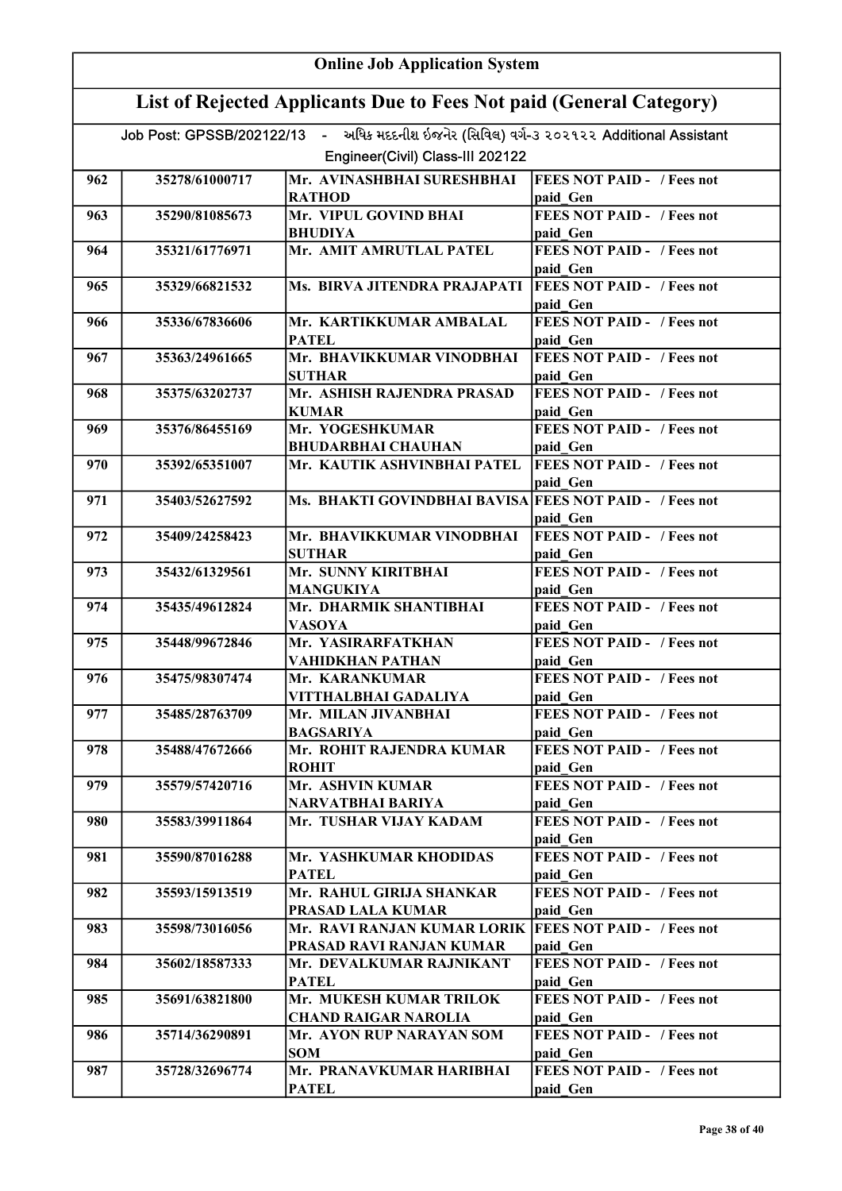|                                                                                                                              | <b>Online Job Application System</b> |                                                                                      |                                               |  |  |
|------------------------------------------------------------------------------------------------------------------------------|--------------------------------------|--------------------------------------------------------------------------------------|-----------------------------------------------|--|--|
| List of Rejected Applicants Due to Fees Not paid (General Category)                                                          |                                      |                                                                                      |                                               |  |  |
| Job Post: GPSSB/202122/13 - અધિક મદદનીશ ઇજનેર (સિવિલ) વર્ગ-૩ ૨૦૨૧૨૨ Additional Assistant<br>Engineer(Civil) Class-III 202122 |                                      |                                                                                      |                                               |  |  |
| 962                                                                                                                          | 35278/61000717                       | Mr. AVINASHBHAI SURESHBHAI<br><b>RATHOD</b>                                          | <b>FEES NOT PAID - / Fees not</b><br>paid Gen |  |  |
| 963                                                                                                                          | 35290/81085673                       | Mr. VIPUL GOVIND BHAI<br><b>BHUDIYA</b>                                              | <b>FEES NOT PAID - / Fees not</b><br>paid Gen |  |  |
| 964                                                                                                                          | 35321/61776971                       | Mr. AMIT AMRUTLAL PATEL                                                              | <b>FEES NOT PAID - / Fees not</b><br>paid Gen |  |  |
| 965                                                                                                                          | 35329/66821532                       | Ms. BIRVA JITENDRA PRAJAPATI                                                         | <b>FEES NOT PAID - / Fees not</b><br>paid Gen |  |  |
| 966                                                                                                                          | 35336/67836606                       | Mr. KARTIKKUMAR AMBALAL<br><b>PATEL</b>                                              | <b>FEES NOT PAID - / Fees not</b><br>paid Gen |  |  |
| 967                                                                                                                          | 35363/24961665                       | Mr. BHAVIKKUMAR VINODBHAI<br><b>SUTHAR</b>                                           | <b>FEES NOT PAID - / Fees not</b><br>paid Gen |  |  |
| 968                                                                                                                          | 35375/63202737                       | Mr. ASHISH RAJENDRA PRASAD<br><b>KUMAR</b>                                           | <b>FEES NOT PAID - / Fees not</b><br>paid Gen |  |  |
| 969                                                                                                                          | 35376/86455169                       | Mr. YOGESHKUMAR<br><b>BHUDARBHAI CHAUHAN</b>                                         | <b>FEES NOT PAID - / Fees not</b><br>paid Gen |  |  |
| 970                                                                                                                          | 35392/65351007                       | Mr. KAUTIK ASHVINBHAI PATEL                                                          | <b>FEES NOT PAID - / Fees not</b><br>paid Gen |  |  |
| 971                                                                                                                          | 35403/52627592                       | Ms. BHAKTI GOVINDBHAI BAVISA FEES NOT PAID - / Fees not                              | paid Gen                                      |  |  |
| 972                                                                                                                          | 35409/24258423                       | Mr. BHAVIKKUMAR VINODBHAI<br><b>SUTHAR</b>                                           | <b>FEES NOT PAID - / Fees not</b><br>paid Gen |  |  |
| 973                                                                                                                          | 35432/61329561                       | Mr. SUNNY KIRITBHAI<br>MANGUKIYA                                                     | <b>FEES NOT PAID - / Fees not</b><br>paid Gen |  |  |
| 974                                                                                                                          | 35435/49612824                       | Mr. DHARMIK SHANTIBHAI<br><b>VASOYA</b>                                              | <b>FEES NOT PAID - / Fees not</b><br>paid Gen |  |  |
| 975                                                                                                                          | 35448/99672846                       | Mr. YASIRARFATKHAN<br>VAHIDKHAN PATHAN                                               | FEES NOT PAID - / Fees not<br>paid Gen        |  |  |
| 976                                                                                                                          | 35475/98307474                       | Mr. KARANKUMAR<br>VITTHALBHAI GADALIYA                                               | <b>FEES NOT PAID - / Fees not</b><br>paid Gen |  |  |
| 977                                                                                                                          | 35485/28763709                       | Mr. MILAN JIVANBHAI<br><b>BAGSARIYA</b>                                              | <b>FEES NOT PAID - / Fees not</b><br>paid Gen |  |  |
| 978                                                                                                                          | 35488/47672666                       | Mr. ROHIT RAJENDRA KUMAR<br><b>ROHIT</b>                                             | <b>FEES NOT PAID - / Fees not</b><br>paid Gen |  |  |
| 979                                                                                                                          | 35579/57420716                       | Mr. ASHVIN KUMAR<br>NARVATBHAI BARIYA                                                | FEES NOT PAID - / Fees not<br>paid Gen        |  |  |
| 980                                                                                                                          | 35583/39911864                       | Mr. TUSHAR VIJAY KADAM                                                               | FEES NOT PAID - / Fees not<br>paid Gen        |  |  |
| 981                                                                                                                          | 35590/87016288                       | Mr. YASHKUMAR KHODIDAS<br><b>PATEL</b>                                               | <b>FEES NOT PAID - / Fees not</b><br>paid Gen |  |  |
| 982                                                                                                                          | 35593/15913519                       | Mr. RAHUL GIRIJA SHANKAR<br>PRASAD LALA KUMAR                                        | <b>FEES NOT PAID - / Fees not</b><br>paid Gen |  |  |
| 983                                                                                                                          | 35598/73016056                       | Mr. RAVI RANJAN KUMAR LORIK   FEES NOT PAID - / Fees not<br>PRASAD RAVI RANJAN KUMAR | paid Gen                                      |  |  |
| 984                                                                                                                          | 35602/18587333                       | Mr. DEVALKUMAR RAJNIKANT<br><b>PATEL</b>                                             | <b>FEES NOT PAID - / Fees not</b><br>paid Gen |  |  |
| 985                                                                                                                          | 35691/63821800                       | Mr. MUKESH KUMAR TRILOK<br><b>CHAND RAIGAR NAROLIA</b>                               | <b>FEES NOT PAID - / Fees not</b><br>paid Gen |  |  |
| 986                                                                                                                          | 35714/36290891                       | Mr. AYON RUP NARAYAN SOM<br>SOM                                                      | <b>FEES NOT PAID - / Fees not</b><br>paid Gen |  |  |
| 987                                                                                                                          | 35728/32696774                       | Mr. PRANAVKUMAR HARIBHAI<br><b>PATEL</b>                                             | <b>FEES NOT PAID - / Fees not</b><br>paid Gen |  |  |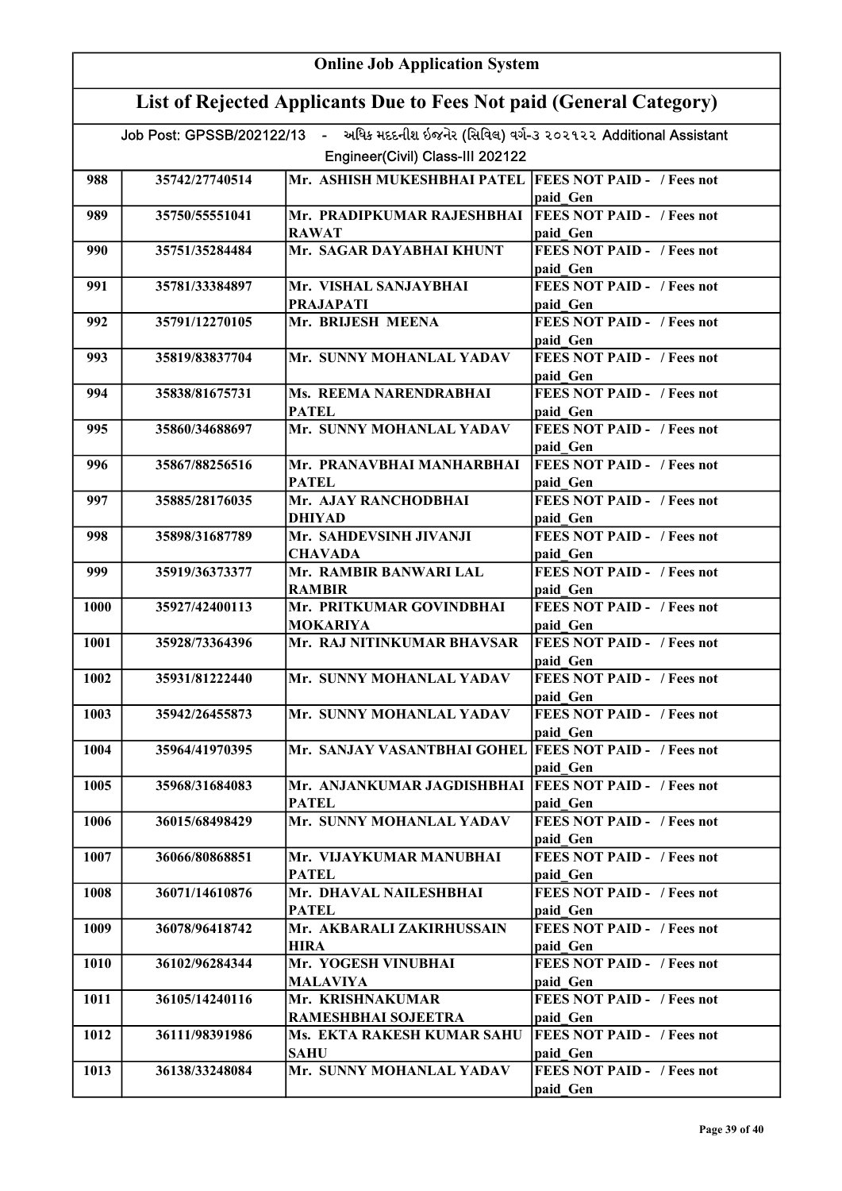| <b>Online Job Application System</b>                                                     |                |                                                                         |                                                           |  |  |
|------------------------------------------------------------------------------------------|----------------|-------------------------------------------------------------------------|-----------------------------------------------------------|--|--|
| List of Rejected Applicants Due to Fees Not paid (General Category)                      |                |                                                                         |                                                           |  |  |
| Job Post: GPSSB/202122/13 - અધિક મદદનીશ ઇજનેર (સિવિલ) વર્ગ-૩ ૨૦૨૧૨૨ Additional Assistant |                |                                                                         |                                                           |  |  |
| Engineer(Civil) Class-III 202122                                                         |                |                                                                         |                                                           |  |  |
| 988                                                                                      | 35742/27740514 | Mr. ASHISH MUKESHBHAI PATEL  FEES NOT PAID - / Fees not                 | paid Gen                                                  |  |  |
| 989                                                                                      | 35750/55551041 | Mr. PRADIPKUMAR RAJESHBHAI   FEES NOT PAID - / Fees not<br><b>RAWAT</b> | paid Gen                                                  |  |  |
| 990                                                                                      | 35751/35284484 | Mr. SAGAR DAYABHAI KHUNT                                                | <b>FEES NOT PAID - / Fees not</b><br>paid Gen             |  |  |
| 991                                                                                      | 35781/33384897 | Mr. VISHAL SANJAYBHAI<br><b>PRAJAPATI</b>                               | <b>FEES NOT PAID - / Fees not</b><br>paid Gen             |  |  |
| 992                                                                                      | 35791/12270105 | Mr. BRIJESH MEENA                                                       | <b>FEES NOT PAID - / Fees not</b><br>paid Gen             |  |  |
| 993                                                                                      | 35819/83837704 | Mr. SUNNY MOHANLAL YADAV                                                | <b>FEES NOT PAID - / Fees not</b><br>paid Gen             |  |  |
| 994                                                                                      | 35838/81675731 | Ms. REEMA NARENDRABHAI                                                  | <b>FEES NOT PAID - / Fees not</b>                         |  |  |
| 995                                                                                      | 35860/34688697 | <b>PATEL</b><br>Mr. SUNNY MOHANLAL YADAV                                | paid Gen<br><b>FEES NOT PAID - / Fees not</b>             |  |  |
| 996                                                                                      | 35867/88256516 | Mr. PRANAVBHAI MANHARBHAI                                               | paid Gen<br><b>FEES NOT PAID - / Fees not</b>             |  |  |
| 997                                                                                      | 35885/28176035 | PATEL<br>Mr. AJAY RANCHODBHAI<br><b>DHIYAD</b>                          | paid Gen<br><b>FEES NOT PAID - / Fees not</b>             |  |  |
| 998                                                                                      | 35898/31687789 | Mr. SAHDEVSINH JIVANJI<br><b>CHAVADA</b>                                | paid_Gen<br><b>FEES NOT PAID - / Fees not</b>             |  |  |
| 999                                                                                      | 35919/36373377 | Mr. RAMBIR BANWARI LAL<br><b>RAMBIR</b>                                 | paid Gen<br><b>FEES NOT PAID - / Fees not</b><br>paid Gen |  |  |
| 1000                                                                                     | 35927/42400113 | Mr. PRITKUMAR GOVINDBHAI<br><b>MOKARIYA</b>                             | FEES NOT PAID - / Fees not<br>paid Gen                    |  |  |
| 1001                                                                                     | 35928/73364396 | Mr. RAJ NITINKUMAR BHAVSAR                                              | FEES NOT PAID - / Fees not<br>paid Gen                    |  |  |
| 1002                                                                                     | 35931/81222440 | Mr. SUNNY MOHANLAL YADAV                                                | <b>FEES NOT PAID -</b> / Fees not<br>paid Gen             |  |  |
| 1003                                                                                     | 35942/26455873 | Mr. SUNNY MOHANLAL YADAV                                                | <b>FEES NOT PAID - / Fees not</b><br>paid Gen             |  |  |
| 1004                                                                                     | 35964/41970395 | Mr. SANJAY VASANTBHAI GOHEL FEES NOT PAID - / Fees not                  | paid Gen                                                  |  |  |
| 1005                                                                                     | 35968/31684083 | Mr. ANJANKUMAR JAGDISHBHAI<br><b>PATEL</b>                              | <b>FEES NOT PAID - / Fees not</b><br>paid Gen             |  |  |
| 1006                                                                                     | 36015/68498429 | Mr. SUNNY MOHANLAL YADAV                                                | <b>FEES NOT PAID - / Fees not</b><br>paid Gen             |  |  |
| 1007                                                                                     | 36066/80868851 | Mr. VIJAYKUMAR MANUBHAI<br><b>PATEL</b>                                 | <b>FEES NOT PAID - / Fees not</b><br>paid Gen             |  |  |
| 1008                                                                                     | 36071/14610876 | Mr. DHAVAL NAILESHBHAI<br><b>PATEL</b>                                  | <b>FEES NOT PAID - / Fees not</b><br>paid Gen             |  |  |
| 1009                                                                                     | 36078/96418742 | Mr. AKBARALI ZAKIRHUSSAIN<br><b>HIRA</b>                                | <b>FEES NOT PAID - / Fees not</b><br>paid Gen             |  |  |
| 1010                                                                                     | 36102/96284344 | Mr. YOGESH VINUBHAI<br><b>MALAVIYA</b>                                  | <b>FEES NOT PAID - / Fees not</b><br>paid Gen             |  |  |
| 1011                                                                                     | 36105/14240116 | Mr. KRISHNAKUMAR<br>RAMESHBHAI SOJEETRA                                 | FEES NOT PAID - / Fees not<br>paid Gen                    |  |  |
| 1012                                                                                     | 36111/98391986 | Ms. EKTA RAKESH KUMAR SAHU<br><b>SAHU</b>                               | <b>FEES NOT PAID - / Fees not</b><br>paid Gen             |  |  |
| 1013                                                                                     | 36138/33248084 | Mr. SUNNY MOHANLAL YADAV                                                | <b>FEES NOT PAID - / Fees not</b><br>paid Gen             |  |  |